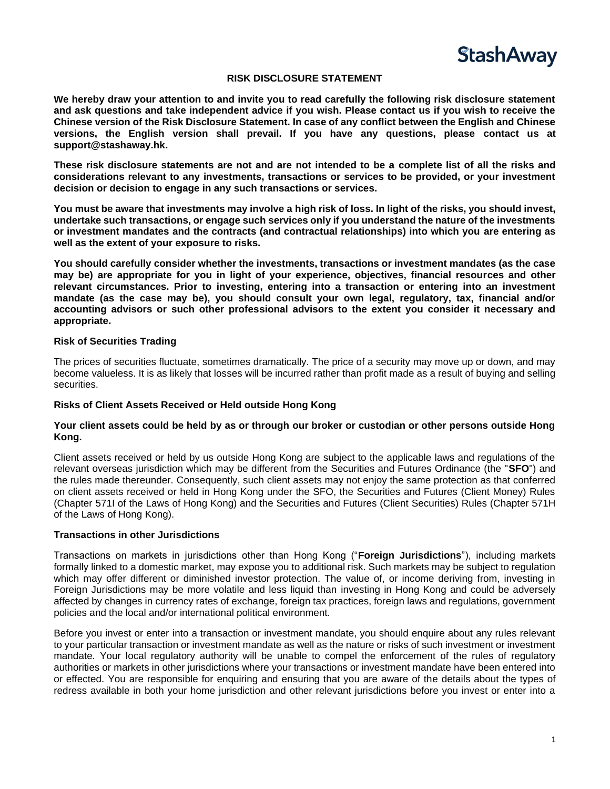

### **RISK DISCLOSURE STATEMENT**

**We hereby draw your attention to and invite you to read carefully the following risk disclosure statement and ask questions and take independent advice if you wish. Please contact us if you wish to receive the Chinese version of the Risk Disclosure Statement. In case of any conflict between the English and Chinese versions, the English version shall prevail. If you have any questions, please contact us at support@stashaway.hk.**

**These risk disclosure statements are not and are not intended to be a complete list of all the risks and considerations relevant to any investments, transactions or services to be provided, or your investment decision or decision to engage in any such transactions or services.**

**You must be aware that investments may involve a high risk of loss. In light of the risks, you should invest, undertake such transactions, or engage such services only if you understand the nature of the investments or investment mandates and the contracts (and contractual relationships) into which you are entering as well as the extent of your exposure to risks.** 

**You should carefully consider whether the investments, transactions or investment mandates (as the case may be) are appropriate for you in light of your experience, objectives, financial resources and other relevant circumstances. Prior to investing, entering into a transaction or entering into an investment mandate (as the case may be), you should consult your own legal, regulatory, tax, financial and/or accounting advisors or such other professional advisors to the extent you consider it necessary and appropriate.**

### **Risk of Securities Trading**

The prices of securities fluctuate, sometimes dramatically. The price of a security may move up or down, and may become valueless. It is as likely that losses will be incurred rather than profit made as a result of buying and selling securities.

### **Risks of Client Assets Received or Held outside Hong Kong**

### **Your client assets could be held by as or through our broker or custodian or other persons outside Hong Kong.**

Client assets received or held by us outside Hong Kong are subject to the applicable laws and regulations of the relevant overseas jurisdiction which may be different from the Securities and Futures Ordinance (the "**SFO**") and the rules made thereunder. Consequently, such client assets may not enjoy the same protection as that conferred on client assets received or held in Hong Kong under the SFO, the Securities and Futures (Client Money) Rules (Chapter 571I of the Laws of Hong Kong) and the Securities and Futures (Client Securities) Rules (Chapter 571H of the Laws of Hong Kong).

### **Transactions in other Jurisdictions**

Transactions on markets in jurisdictions other than Hong Kong ("**Foreign Jurisdictions**"), including markets formally linked to a domestic market, may expose you to additional risk. Such markets may be subject to regulation which may offer different or diminished investor protection. The value of, or income deriving from, investing in Foreign Jurisdictions may be more volatile and less liquid than investing in Hong Kong and could be adversely affected by changes in currency rates of exchange, foreign tax practices, foreign laws and regulations, government policies and the local and/or international political environment.

Before you invest or enter into a transaction or investment mandate, you should enquire about any rules relevant to your particular transaction or investment mandate as well as the nature or risks of such investment or investment mandate. Your local regulatory authority will be unable to compel the enforcement of the rules of regulatory authorities or markets in other jurisdictions where your transactions or investment mandate have been entered into or effected. You are responsible for enquiring and ensuring that you are aware of the details about the types of redress available in both your home jurisdiction and other relevant jurisdictions before you invest or enter into a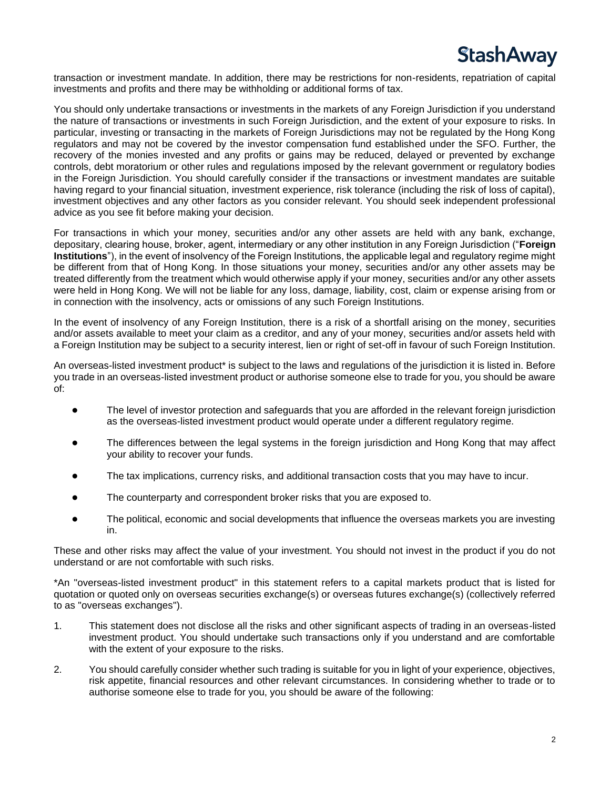

transaction or investment mandate. In addition, there may be restrictions for non-residents, repatriation of capital investments and profits and there may be withholding or additional forms of tax.

You should only undertake transactions or investments in the markets of any Foreign Jurisdiction if you understand the nature of transactions or investments in such Foreign Jurisdiction, and the extent of your exposure to risks. In particular, investing or transacting in the markets of Foreign Jurisdictions may not be regulated by the Hong Kong regulators and may not be covered by the investor compensation fund established under the SFO. Further, the recovery of the monies invested and any profits or gains may be reduced, delayed or prevented by exchange controls, debt moratorium or other rules and regulations imposed by the relevant government or regulatory bodies in the Foreign Jurisdiction. You should carefully consider if the transactions or investment mandates are suitable having regard to your financial situation, investment experience, risk tolerance (including the risk of loss of capital), investment objectives and any other factors as you consider relevant. You should seek independent professional advice as you see fit before making your decision.

For transactions in which your money, securities and/or any other assets are held with any bank, exchange, depositary, clearing house, broker, agent, intermediary or any other institution in any Foreign Jurisdiction ("**Foreign Institutions**"), in the event of insolvency of the Foreign Institutions, the applicable legal and regulatory regime might be different from that of Hong Kong. In those situations your money, securities and/or any other assets may be treated differently from the treatment which would otherwise apply if your money, securities and/or any other assets were held in Hong Kong. We will not be liable for any loss, damage, liability, cost, claim or expense arising from or in connection with the insolvency, acts or omissions of any such Foreign Institutions.

In the event of insolvency of any Foreign Institution, there is a risk of a shortfall arising on the money, securities and/or assets available to meet your claim as a creditor, and any of your money, securities and/or assets held with a Foreign Institution may be subject to a security interest, lien or right of set-off in favour of such Foreign Institution.

An overseas-listed investment product\* is subject to the laws and regulations of the jurisdiction it is listed in. Before you trade in an overseas-listed investment product or authorise someone else to trade for you, you should be aware of:

- The level of investor protection and safeguards that you are afforded in the relevant foreign jurisdiction as the overseas-listed investment product would operate under a different regulatory regime.
- The differences between the legal systems in the foreign jurisdiction and Hong Kong that may affect your ability to recover your funds.
- The tax implications, currency risks, and additional transaction costs that you may have to incur.
- The counterparty and correspondent broker risks that you are exposed to.
- The political, economic and social developments that influence the overseas markets you are investing in.

These and other risks may affect the value of your investment. You should not invest in the product if you do not understand or are not comfortable with such risks.

\*An "overseas-listed investment product" in this statement refers to a capital markets product that is listed for quotation or quoted only on overseas securities exchange(s) or overseas futures exchange(s) (collectively referred to as "overseas exchanges").

- 1. This statement does not disclose all the risks and other significant aspects of trading in an overseas-listed investment product. You should undertake such transactions only if you understand and are comfortable with the extent of your exposure to the risks.
- 2. You should carefully consider whether such trading is suitable for you in light of your experience, objectives, risk appetite, financial resources and other relevant circumstances. In considering whether to trade or to authorise someone else to trade for you, you should be aware of the following: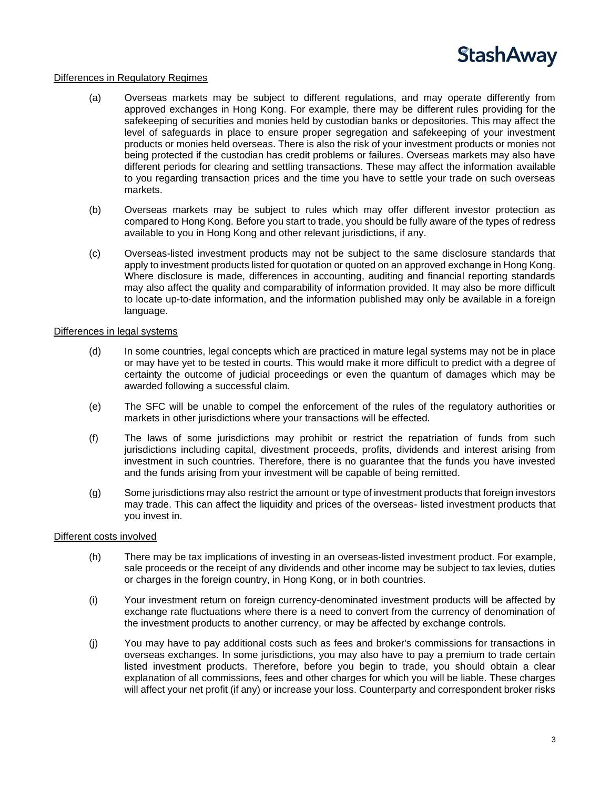

### Differences in Regulatory Regimes

- (a) Overseas markets may be subject to different regulations, and may operate differently from approved exchanges in Hong Kong. For example, there may be different rules providing for the safekeeping of securities and monies held by custodian banks or depositories. This may affect the level of safeguards in place to ensure proper segregation and safekeeping of your investment products or monies held overseas. There is also the risk of your investment products or monies not being protected if the custodian has credit problems or failures. Overseas markets may also have different periods for clearing and settling transactions. These may affect the information available to you regarding transaction prices and the time you have to settle your trade on such overseas markets.
- (b) Overseas markets may be subject to rules which may offer different investor protection as compared to Hong Kong. Before you start to trade, you should be fully aware of the types of redress available to you in Hong Kong and other relevant jurisdictions, if any.
- (c) Overseas-listed investment products may not be subject to the same disclosure standards that apply to investment products listed for quotation or quoted on an approved exchange in Hong Kong. Where disclosure is made, differences in accounting, auditing and financial reporting standards may also affect the quality and comparability of information provided. It may also be more difficult to locate up-to-date information, and the information published may only be available in a foreign language.

### Differences in legal systems

- (d) In some countries, legal concepts which are practiced in mature legal systems may not be in place or may have yet to be tested in courts. This would make it more difficult to predict with a degree of certainty the outcome of judicial proceedings or even the quantum of damages which may be awarded following a successful claim.
- (e) The SFC will be unable to compel the enforcement of the rules of the regulatory authorities or markets in other jurisdictions where your transactions will be effected.
- (f) The laws of some jurisdictions may prohibit or restrict the repatriation of funds from such jurisdictions including capital, divestment proceeds, profits, dividends and interest arising from investment in such countries. Therefore, there is no guarantee that the funds you have invested and the funds arising from your investment will be capable of being remitted.
- (g) Some jurisdictions may also restrict the amount or type of investment products that foreign investors may trade. This can affect the liquidity and prices of the overseas- listed investment products that you invest in.

### Different costs involved

- (h) There may be tax implications of investing in an overseas-listed investment product. For example, sale proceeds or the receipt of any dividends and other income may be subject to tax levies, duties or charges in the foreign country, in Hong Kong, or in both countries.
- (i) Your investment return on foreign currency-denominated investment products will be affected by exchange rate fluctuations where there is a need to convert from the currency of denomination of the investment products to another currency, or may be affected by exchange controls.
- (j) You may have to pay additional costs such as fees and broker's commissions for transactions in overseas exchanges. In some jurisdictions, you may also have to pay a premium to trade certain listed investment products. Therefore, before you begin to trade, you should obtain a clear explanation of all commissions, fees and other charges for which you will be liable. These charges will affect your net profit (if any) or increase your loss. Counterparty and correspondent broker risks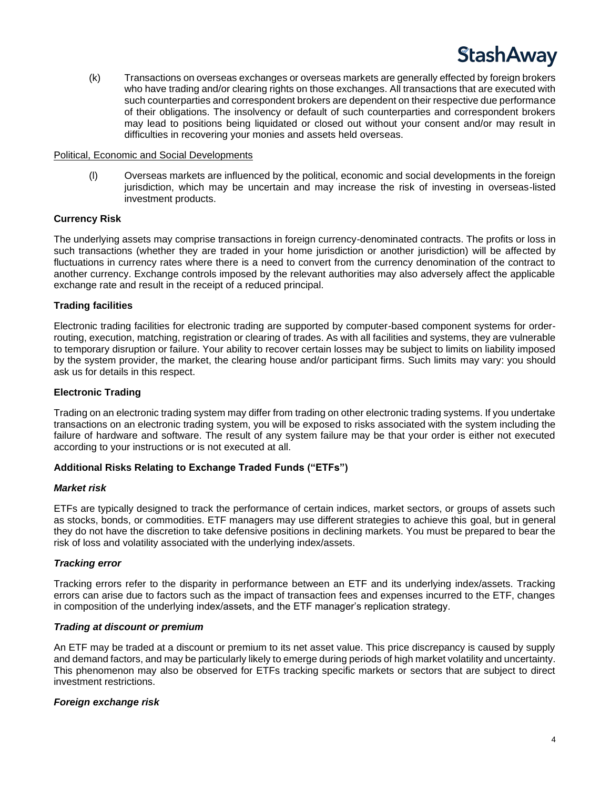(k) Transactions on overseas exchanges or overseas markets are generally effected by foreign brokers who have trading and/or clearing rights on those exchanges. All transactions that are executed with such counterparties and correspondent brokers are dependent on their respective due performance of their obligations. The insolvency or default of such counterparties and correspondent brokers may lead to positions being liquidated or closed out without your consent and/or may result in difficulties in recovering your monies and assets held overseas.

### Political, Economic and Social Developments

(l) Overseas markets are influenced by the political, economic and social developments in the foreign jurisdiction, which may be uncertain and may increase the risk of investing in overseas-listed investment products.

### **Currency Risk**

The underlying assets may comprise transactions in foreign currency-denominated contracts. The profits or loss in such transactions (whether they are traded in your home jurisdiction or another jurisdiction) will be affected by fluctuations in currency rates where there is a need to convert from the currency denomination of the contract to another currency. Exchange controls imposed by the relevant authorities may also adversely affect the applicable exchange rate and result in the receipt of a reduced principal.

### **Trading facilities**

Electronic trading facilities for electronic trading are supported by computer-based component systems for orderrouting, execution, matching, registration or clearing of trades. As with all facilities and systems, they are vulnerable to temporary disruption or failure. Your ability to recover certain losses may be subject to limits on liability imposed by the system provider, the market, the clearing house and/or participant firms. Such limits may vary: you should ask us for details in this respect.

### **Electronic Trading**

Trading on an electronic trading system may differ from trading on other electronic trading systems. If you undertake transactions on an electronic trading system, you will be exposed to risks associated with the system including the failure of hardware and software. The result of any system failure may be that your order is either not executed according to your instructions or is not executed at all.

### **Additional Risks Relating to Exchange Traded Funds ("ETFs")**

### *Market risk*

ETFs are typically designed to track the performance of certain indices, market sectors, or groups of assets such as stocks, bonds, or commodities. ETF managers may use different strategies to achieve this goal, but in general they do not have the discretion to take defensive positions in declining markets. You must be prepared to bear the risk of loss and volatility associated with the underlying index/assets.

### *Tracking error*

Tracking errors refer to the disparity in performance between an ETF and its underlying index/assets. Tracking errors can arise due to factors such as the impact of transaction fees and expenses incurred to the ETF, changes in composition of the underlying index/assets, and the ETF manager's replication strategy.

### *Trading at discount or premium*

An ETF may be traded at a discount or premium to its net asset value. This price discrepancy is caused by supply and demand factors, and may be particularly likely to emerge during periods of high market volatility and uncertainty. This phenomenon may also be observed for ETFs tracking specific markets or sectors that are subject to direct investment restrictions.

### *Foreign exchange risk*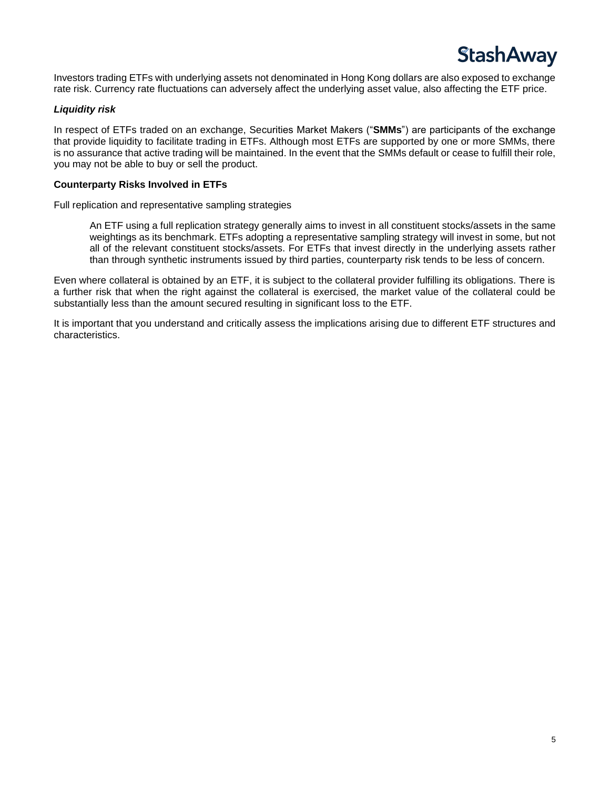

Investors trading ETFs with underlying assets not denominated in Hong Kong dollars are also exposed to exchange rate risk. Currency rate fluctuations can adversely affect the underlying asset value, also affecting the ETF price.

### *Liquidity risk*

In respect of ETFs traded on an exchange, Securities Market Makers ("**SMMs**") are participants of the exchange that provide liquidity to facilitate trading in ETFs. Although most ETFs are supported by one or more SMMs, there is no assurance that active trading will be maintained. In the event that the SMMs default or cease to fulfill their role, you may not be able to buy or sell the product.

### **Counterparty Risks Involved in ETFs**

Full replication and representative sampling strategies

An ETF using a full replication strategy generally aims to invest in all constituent stocks/assets in the same weightings as its benchmark. ETFs adopting a representative sampling strategy will invest in some, but not all of the relevant constituent stocks/assets. For ETFs that invest directly in the underlying assets rather than through synthetic instruments issued by third parties, counterparty risk tends to be less of concern.

Even where collateral is obtained by an ETF, it is subject to the collateral provider fulfilling its obligations. There is a further risk that when the right against the collateral is exercised, the market value of the collateral could be substantially less than the amount secured resulting in significant loss to the ETF.

It is important that you understand and critically assess the implications arising due to different ETF structures and characteristics.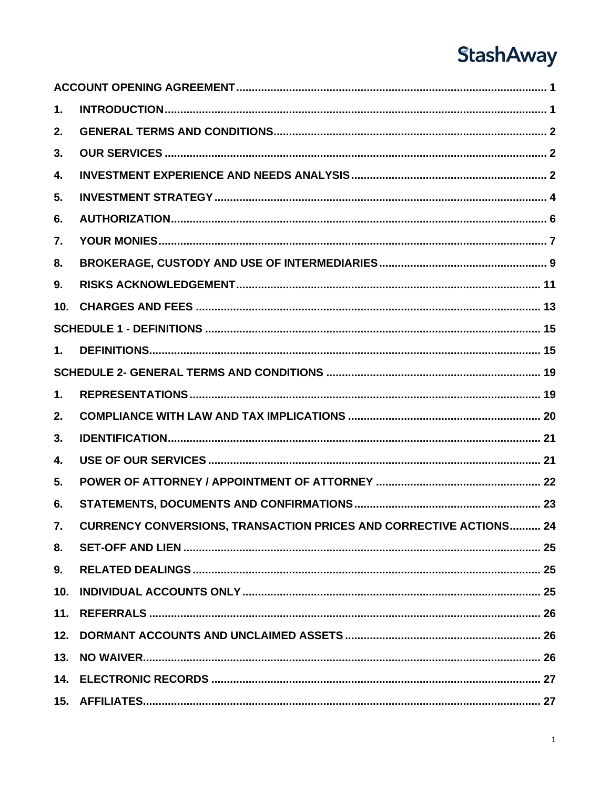| 1.              |                                                                           |
|-----------------|---------------------------------------------------------------------------|
| 2.              |                                                                           |
| 3.              |                                                                           |
| 4.              |                                                                           |
| 5.              |                                                                           |
| 6.              |                                                                           |
| 7.              |                                                                           |
| 8.              |                                                                           |
| 9.              |                                                                           |
| 10.             |                                                                           |
|                 |                                                                           |
| $\mathbf 1$ .   |                                                                           |
|                 |                                                                           |
| 1.              |                                                                           |
| 2.              |                                                                           |
| 3.              |                                                                           |
| 4.              |                                                                           |
| 5.              |                                                                           |
| 6.              |                                                                           |
| 7.              | <b>CURRENCY CONVERSIONS, TRANSACTION PRICES AND CORRECTIVE ACTIONS 24</b> |
| 8.              |                                                                           |
| 9.              |                                                                           |
| 10 <sub>1</sub> |                                                                           |
|                 |                                                                           |
|                 |                                                                           |
|                 |                                                                           |
|                 |                                                                           |
|                 |                                                                           |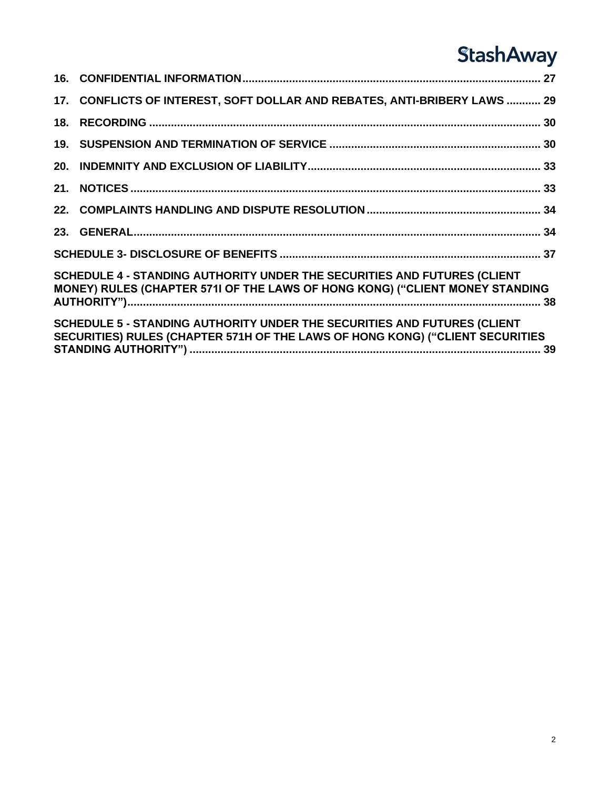|                                                                                                                                                          | 17. CONFLICTS OF INTEREST, SOFT DOLLAR AND REBATES, ANTI-BRIBERY LAWS  29                                                                                 |  |  |  |
|----------------------------------------------------------------------------------------------------------------------------------------------------------|-----------------------------------------------------------------------------------------------------------------------------------------------------------|--|--|--|
|                                                                                                                                                          |                                                                                                                                                           |  |  |  |
|                                                                                                                                                          |                                                                                                                                                           |  |  |  |
|                                                                                                                                                          |                                                                                                                                                           |  |  |  |
|                                                                                                                                                          |                                                                                                                                                           |  |  |  |
|                                                                                                                                                          |                                                                                                                                                           |  |  |  |
|                                                                                                                                                          |                                                                                                                                                           |  |  |  |
|                                                                                                                                                          |                                                                                                                                                           |  |  |  |
| SCHEDULE 4 - STANDING AUTHORITY UNDER THE SECURITIES AND FUTURES (CLIENT<br>MONEY) RULES (CHAPTER 5711 OF THE LAWS OF HONG KONG) ("CLIENT MONEY STANDING |                                                                                                                                                           |  |  |  |
|                                                                                                                                                          | SCHEDULE 5 - STANDING AUTHORITY UNDER THE SECURITIES AND FUTURES (CLIENT<br>SECURITIES) RULES (CHAPTER 571H OF THE LAWS OF HONG KONG) ("CLIENT SECURITIES |  |  |  |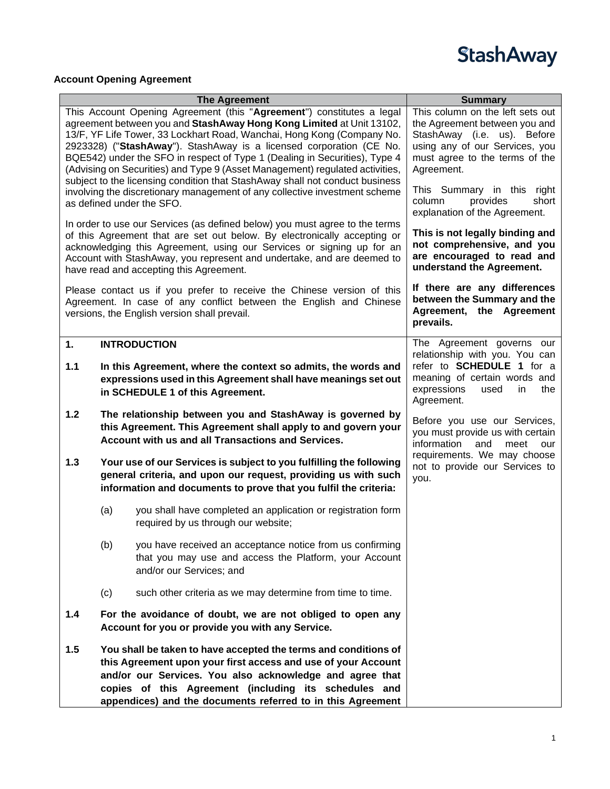

### <span id="page-7-0"></span>**Account Opening Agreement**

<span id="page-7-1"></span>

|     |     | <b>The Agreement</b>                                                                                                                                                                                                                                                                                                                                                                                                                                         | <b>Summary</b>                                                                                                                                                                     |
|-----|-----|--------------------------------------------------------------------------------------------------------------------------------------------------------------------------------------------------------------------------------------------------------------------------------------------------------------------------------------------------------------------------------------------------------------------------------------------------------------|------------------------------------------------------------------------------------------------------------------------------------------------------------------------------------|
|     |     | This Account Opening Agreement (this "Agreement") constitutes a legal<br>agreement between you and StashAway Hong Kong Limited at Unit 13102,<br>13/F, YF Life Tower, 33 Lockhart Road, Wanchai, Hong Kong (Company No.<br>2923328) ("StashAway"). StashAway is a licensed corporation (CE No.<br>BQE542) under the SFO in respect of Type 1 (Dealing in Securities), Type 4<br>(Advising on Securities) and Type 9 (Asset Management) regulated activities, | This column on the left sets out<br>the Agreement between you and<br>StashAway (i.e. us). Before<br>using any of our Services, you<br>must agree to the terms of the<br>Agreement. |
|     |     | subject to the licensing condition that StashAway shall not conduct business<br>involving the discretionary management of any collective investment scheme<br>as defined under the SFO.                                                                                                                                                                                                                                                                      | This Summary in this right<br>short<br>column<br>provides<br>explanation of the Agreement.                                                                                         |
|     |     | In order to use our Services (as defined below) you must agree to the terms<br>of this Agreement that are set out below. By electronically accepting or<br>acknowledging this Agreement, using our Services or signing up for an<br>Account with StashAway, you represent and undertake, and are deemed to<br>have read and accepting this Agreement.                                                                                                        | This is not legally binding and<br>not comprehensive, and you<br>are encouraged to read and<br>understand the Agreement.                                                           |
|     |     | Please contact us if you prefer to receive the Chinese version of this<br>Agreement. In case of any conflict between the English and Chinese<br>versions, the English version shall prevail.                                                                                                                                                                                                                                                                 | If there are any differences<br>between the Summary and the<br>Agreement, the Agreement<br>prevails.                                                                               |
| 1.  |     | <b>INTRODUCTION</b>                                                                                                                                                                                                                                                                                                                                                                                                                                          | The Agreement governs our                                                                                                                                                          |
| 1.1 |     | In this Agreement, where the context so admits, the words and<br>expressions used in this Agreement shall have meanings set out<br>in SCHEDULE 1 of this Agreement.                                                                                                                                                                                                                                                                                          | relationship with you. You can<br>refer to <b>SCHEDULE</b> 1 for a<br>meaning of certain words and<br>expressions<br>in<br>the<br>used<br>Agreement.                               |
| 1.2 |     | The relationship between you and StashAway is governed by<br>this Agreement. This Agreement shall apply to and govern your<br>Account with us and all Transactions and Services.                                                                                                                                                                                                                                                                             | Before you use our Services,<br>you must provide us with certain<br>information<br>and<br>meet<br>our                                                                              |
| 1.3 |     | Your use of our Services is subject to you fulfilling the following<br>general criteria, and upon our request, providing us with such<br>information and documents to prove that you fulfil the criteria:                                                                                                                                                                                                                                                    | requirements. We may choose<br>not to provide our Services to<br>you.                                                                                                              |
|     | (a) | you shall have completed an application or registration form<br>required by us through our website;                                                                                                                                                                                                                                                                                                                                                          |                                                                                                                                                                                    |
|     | (b) | you have received an acceptance notice from us confirming<br>that you may use and access the Platform, your Account<br>and/or our Services; and                                                                                                                                                                                                                                                                                                              |                                                                                                                                                                                    |
|     | (c) | such other criteria as we may determine from time to time.                                                                                                                                                                                                                                                                                                                                                                                                   |                                                                                                                                                                                    |
| 1.4 |     | For the avoidance of doubt, we are not obliged to open any<br>Account for you or provide you with any Service.                                                                                                                                                                                                                                                                                                                                               |                                                                                                                                                                                    |
| 1.5 |     | You shall be taken to have accepted the terms and conditions of<br>this Agreement upon your first access and use of your Account<br>and/or our Services. You also acknowledge and agree that<br>copies of this Agreement (including its schedules and<br>appendices) and the documents referred to in this Agreement                                                                                                                                         |                                                                                                                                                                                    |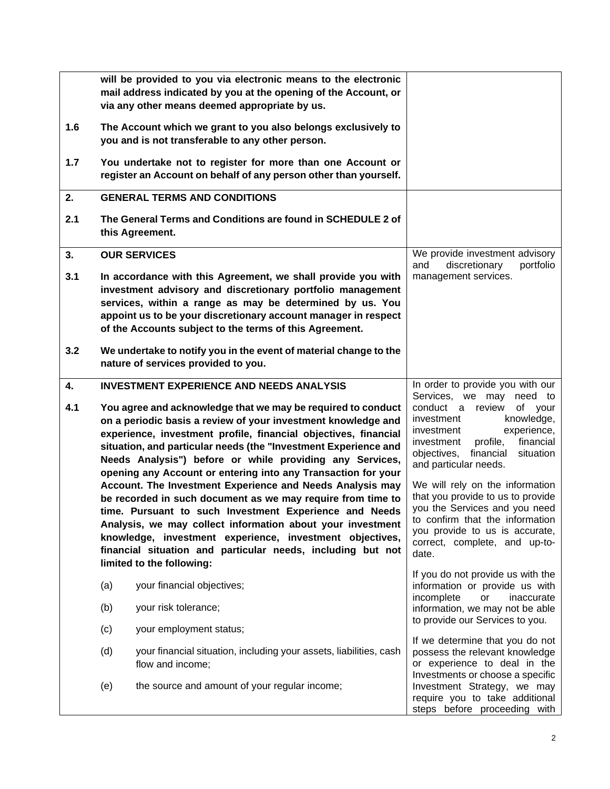<span id="page-8-2"></span><span id="page-8-1"></span><span id="page-8-0"></span>

|     |                                                 | will be provided to you via electronic means to the electronic<br>mail address indicated by you at the opening of the Account, or<br>via any other means deemed appropriate by us.                                                                                                                                                                                                                                                                            |                                                                                                                                                                                                                                     |
|-----|-------------------------------------------------|---------------------------------------------------------------------------------------------------------------------------------------------------------------------------------------------------------------------------------------------------------------------------------------------------------------------------------------------------------------------------------------------------------------------------------------------------------------|-------------------------------------------------------------------------------------------------------------------------------------------------------------------------------------------------------------------------------------|
| 1.6 |                                                 | The Account which we grant to you also belongs exclusively to<br>you and is not transferable to any other person.                                                                                                                                                                                                                                                                                                                                             |                                                                                                                                                                                                                                     |
| 1.7 |                                                 | You undertake not to register for more than one Account or<br>register an Account on behalf of any person other than yourself.                                                                                                                                                                                                                                                                                                                                |                                                                                                                                                                                                                                     |
| 2.  |                                                 | <b>GENERAL TERMS AND CONDITIONS</b>                                                                                                                                                                                                                                                                                                                                                                                                                           |                                                                                                                                                                                                                                     |
| 2.1 |                                                 | The General Terms and Conditions are found in SCHEDULE 2 of<br>this Agreement.                                                                                                                                                                                                                                                                                                                                                                                |                                                                                                                                                                                                                                     |
| 3.  |                                                 | <b>OUR SERVICES</b>                                                                                                                                                                                                                                                                                                                                                                                                                                           | We provide investment advisory<br>discretionary<br>portfolio<br>and                                                                                                                                                                 |
| 3.1 |                                                 | In accordance with this Agreement, we shall provide you with<br>investment advisory and discretionary portfolio management<br>services, within a range as may be determined by us. You<br>appoint us to be your discretionary account manager in respect<br>of the Accounts subject to the terms of this Agreement.                                                                                                                                           | management services.                                                                                                                                                                                                                |
| 3.2 |                                                 | We undertake to notify you in the event of material change to the<br>nature of services provided to you.                                                                                                                                                                                                                                                                                                                                                      |                                                                                                                                                                                                                                     |
| 4.  | <b>INVESTMENT EXPERIENCE AND NEEDS ANALYSIS</b> |                                                                                                                                                                                                                                                                                                                                                                                                                                                               | In order to provide you with our<br>we may<br>need to<br>Services,                                                                                                                                                                  |
| 4.1 |                                                 | You agree and acknowledge that we may be required to conduct<br>on a periodic basis a review of your investment knowledge and<br>experience, investment profile, financial objectives, financial<br>situation, and particular needs (the "Investment Experience and<br>Needs Analysis") before or while providing any Services,<br>opening any Account or entering into any Transaction for your<br>Account. The Investment Experience and Needs Analysis may | conduct a<br>review<br>of your<br>investment<br>knowledge,<br>experience,<br>investment<br>financial<br>investment<br>profile,<br>objectives,<br>financial<br>situation<br>and particular needs.<br>We will rely on the information |
|     |                                                 | be recorded in such document as we may require from time to<br>time. Pursuant to such Investment Experience and Needs<br>Analysis, we may collect information about your investment<br>knowledge, investment experience, investment objectives,<br>financial situation and particular needs, including but not<br>limited to the following:                                                                                                                   | that you provide to us to provide<br>you the Services and you need<br>to confirm that the information<br>you provide to us is accurate,<br>correct, complete, and up-to-<br>date.                                                   |
|     | (a)                                             | your financial objectives;                                                                                                                                                                                                                                                                                                                                                                                                                                    | If you do not provide us with the<br>information or provide us with                                                                                                                                                                 |
|     | (b)                                             | your risk tolerance;                                                                                                                                                                                                                                                                                                                                                                                                                                          | incomplete<br>inaccurate<br>or<br>information, we may not be able                                                                                                                                                                   |
|     | (c)                                             | your employment status;                                                                                                                                                                                                                                                                                                                                                                                                                                       | to provide our Services to you.                                                                                                                                                                                                     |
|     | (d)                                             | your financial situation, including your assets, liabilities, cash<br>flow and income;                                                                                                                                                                                                                                                                                                                                                                        | If we determine that you do not<br>possess the relevant knowledge<br>or experience to deal in the<br>Investments or choose a specific                                                                                               |
|     | (e)                                             | the source and amount of your regular income;                                                                                                                                                                                                                                                                                                                                                                                                                 | Investment Strategy, we may<br>require you to take additional<br>steps before proceeding with                                                                                                                                       |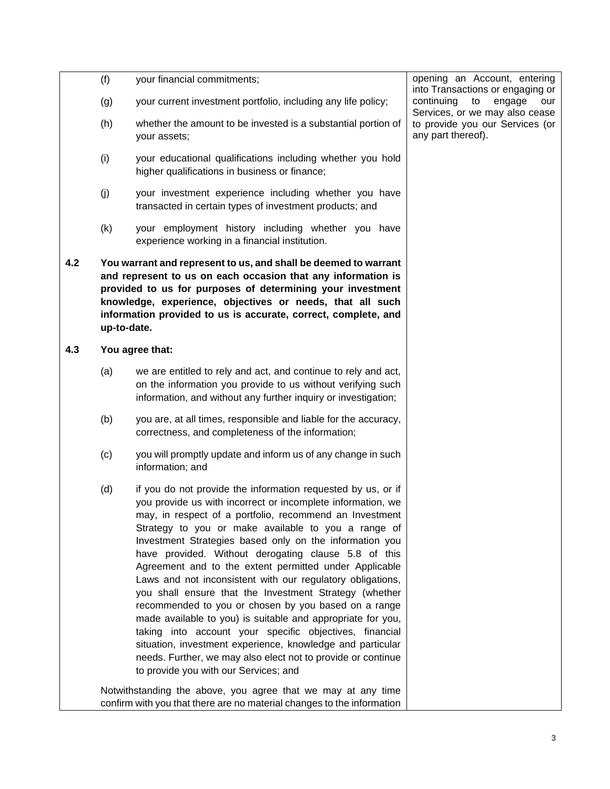|     | (f) | your financial commitments;                                                                                                                                                                                                                                                                                                                                                                                                                                                                                                                                                                                                                                                                                                                                                                                                                                                                                 | opening an Account, entering<br>into Transactions or engaging or    |
|-----|-----|-------------------------------------------------------------------------------------------------------------------------------------------------------------------------------------------------------------------------------------------------------------------------------------------------------------------------------------------------------------------------------------------------------------------------------------------------------------------------------------------------------------------------------------------------------------------------------------------------------------------------------------------------------------------------------------------------------------------------------------------------------------------------------------------------------------------------------------------------------------------------------------------------------------|---------------------------------------------------------------------|
|     | (g) | your current investment portfolio, including any life policy;                                                                                                                                                                                                                                                                                                                                                                                                                                                                                                                                                                                                                                                                                                                                                                                                                                               | continuing<br>to<br>engage<br>our<br>Services, or we may also cease |
|     | (h) | whether the amount to be invested is a substantial portion of<br>your assets;                                                                                                                                                                                                                                                                                                                                                                                                                                                                                                                                                                                                                                                                                                                                                                                                                               | to provide you our Services (or<br>any part thereof).               |
|     | (i) | your educational qualifications including whether you hold<br>higher qualifications in business or finance;                                                                                                                                                                                                                                                                                                                                                                                                                                                                                                                                                                                                                                                                                                                                                                                                 |                                                                     |
|     | (j) | your investment experience including whether you have<br>transacted in certain types of investment products; and                                                                                                                                                                                                                                                                                                                                                                                                                                                                                                                                                                                                                                                                                                                                                                                            |                                                                     |
|     | (k) | your employment history including whether you have<br>experience working in a financial institution.                                                                                                                                                                                                                                                                                                                                                                                                                                                                                                                                                                                                                                                                                                                                                                                                        |                                                                     |
| 4.2 |     | You warrant and represent to us, and shall be deemed to warrant<br>and represent to us on each occasion that any information is<br>provided to us for purposes of determining your investment<br>knowledge, experience, objectives or needs, that all such<br>information provided to us is accurate, correct, complete, and<br>up-to-date.                                                                                                                                                                                                                                                                                                                                                                                                                                                                                                                                                                 |                                                                     |
| 4.3 |     | You agree that:                                                                                                                                                                                                                                                                                                                                                                                                                                                                                                                                                                                                                                                                                                                                                                                                                                                                                             |                                                                     |
|     | (a) | we are entitled to rely and act, and continue to rely and act,<br>on the information you provide to us without verifying such<br>information, and without any further inquiry or investigation;                                                                                                                                                                                                                                                                                                                                                                                                                                                                                                                                                                                                                                                                                                             |                                                                     |
|     | (b) | you are, at all times, responsible and liable for the accuracy,<br>correctness, and completeness of the information;                                                                                                                                                                                                                                                                                                                                                                                                                                                                                                                                                                                                                                                                                                                                                                                        |                                                                     |
|     | (c) | you will promptly update and inform us of any change in such<br>information; and                                                                                                                                                                                                                                                                                                                                                                                                                                                                                                                                                                                                                                                                                                                                                                                                                            |                                                                     |
|     | (d) | if you do not provide the information requested by us, or if<br>you provide us with incorrect or incomplete information, we<br>may, in respect of a portfolio, recommend an Investment<br>Strategy to you or make available to you a range of<br>Investment Strategies based only on the information you<br>have provided. Without derogating clause 5.8 of this<br>Agreement and to the extent permitted under Applicable<br>Laws and not inconsistent with our regulatory obligations,<br>you shall ensure that the Investment Strategy (whether<br>recommended to you or chosen by you based on a range<br>made available to you) is suitable and appropriate for you,<br>taking into account your specific objectives, financial<br>situation, investment experience, knowledge and particular<br>needs. Further, we may also elect not to provide or continue<br>to provide you with our Services; and |                                                                     |
|     |     | Notwithstanding the above, you agree that we may at any time<br>confirm with you that there are no material changes to the information                                                                                                                                                                                                                                                                                                                                                                                                                                                                                                                                                                                                                                                                                                                                                                      |                                                                     |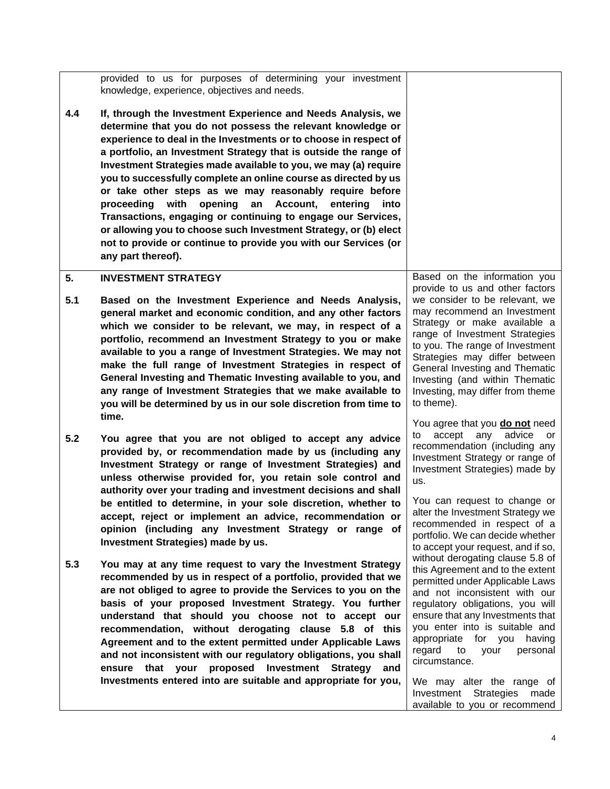<span id="page-10-0"></span>

|           | provided to us for purposes of determining your investment<br>knowledge, experience, objectives and needs.                                                                                                                                                                                                                                                                                                                                                                                                                                                                                                                                                                                                                                                            |                                                                                                                                                                                                                                                                                                                                                                                              |
|-----------|-----------------------------------------------------------------------------------------------------------------------------------------------------------------------------------------------------------------------------------------------------------------------------------------------------------------------------------------------------------------------------------------------------------------------------------------------------------------------------------------------------------------------------------------------------------------------------------------------------------------------------------------------------------------------------------------------------------------------------------------------------------------------|----------------------------------------------------------------------------------------------------------------------------------------------------------------------------------------------------------------------------------------------------------------------------------------------------------------------------------------------------------------------------------------------|
| 4.4       | If, through the Investment Experience and Needs Analysis, we<br>determine that you do not possess the relevant knowledge or<br>experience to deal in the Investments or to choose in respect of<br>a portfolio, an Investment Strategy that is outside the range of<br>Investment Strategies made available to you, we may (a) require<br>you to successfully complete an online course as directed by us<br>or take other steps as we may reasonably require before<br>proceeding with<br>opening<br>an<br>Account,<br>entering<br>into<br>Transactions, engaging or continuing to engage our Services,<br>or allowing you to choose such Investment Strategy, or (b) elect<br>not to provide or continue to provide you with our Services (or<br>any part thereof). |                                                                                                                                                                                                                                                                                                                                                                                              |
| 5.<br>5.1 | <b>INVESTMENT STRATEGY</b><br>Based on the Investment Experience and Needs Analysis,<br>general market and economic condition, and any other factors<br>which we consider to be relevant, we may, in respect of a<br>portfolio, recommend an Investment Strategy to you or make<br>available to you a range of Investment Strategies. We may not<br>make the full range of Investment Strategies in respect of<br>General Investing and Thematic Investing available to you, and<br>any range of Investment Strategies that we make available to<br>you will be determined by us in our sole discretion from time to                                                                                                                                                  | Based on the information you<br>provide to us and other factors<br>we consider to be relevant, we<br>may recommend an Investment<br>Strategy or make available a<br>range of Investment Strategies<br>to you. The range of Investment<br>Strategies may differ between<br>General Investing and Thematic<br>Investing (and within Thematic<br>Investing, may differ from theme<br>to theme). |
| 5.2       | time.<br>You agree that you are not obliged to accept any advice<br>provided by, or recommendation made by us (including any<br>Investment Strategy or range of Investment Strategies) and<br>unless otherwise provided for, you retain sole control and<br>authority over your trading and investment decisions and shall<br>be entitled to determine, in your sole discretion, whether to<br>accept, reject or implement an advice, recommendation or<br>opinion (including any Investment Strategy or range of<br>Investment Strategies) made by us.                                                                                                                                                                                                               | You agree that you <b>do not</b> need<br>accept any advice<br>to<br>or<br>recommendation (including any<br>Investment Strategy or range of<br>Investment Strategies) made by<br>us.<br>You can request to change or<br>alter the Investment Strategy we<br>recommended in respect of a<br>portfolio. We can decide whether<br>to accept your request, and if so,                             |
| 5.3       | You may at any time request to vary the Investment Strategy<br>recommended by us in respect of a portfolio, provided that we<br>are not obliged to agree to provide the Services to you on the<br>basis of your proposed Investment Strategy. You further<br>understand that should you choose not to accept our<br>recommendation, without derogating clause 5.8 of this<br>Agreement and to the extent permitted under Applicable Laws<br>and not inconsistent with our regulatory obligations, you shall<br>ensure that your proposed Investment Strategy<br>and<br>Investments entered into are suitable and appropriate for you,                                                                                                                                 | without derogating clause 5.8 of<br>this Agreement and to the extent<br>permitted under Applicable Laws<br>and not inconsistent with our<br>regulatory obligations, you will<br>ensure that any Investments that<br>you enter into is suitable and<br>appropriate for you having<br>regard<br>to<br>your<br>personal<br>circumstance.<br>We may alter the range of                           |
|           |                                                                                                                                                                                                                                                                                                                                                                                                                                                                                                                                                                                                                                                                                                                                                                       | Investment Strategies<br>made<br>available to you or recommend                                                                                                                                                                                                                                                                                                                               |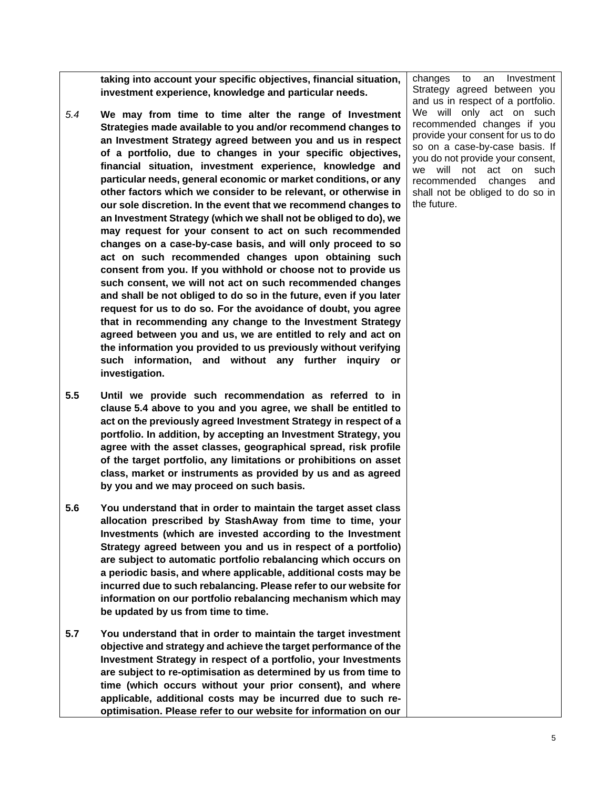**taking into account your specific objectives, financial situation, investment experience, knowledge and particular needs.** 

- *5.4* **We may from time to time alter the range of Investment Strategies made available to you and/or recommend changes to an Investment Strategy agreed between you and us in respect of a portfolio, due to changes in your specific objectives, financial situation, investment experience, knowledge and particular needs, general economic or market conditions, or any other factors which we consider to be relevant, or otherwise in our sole discretion. In the event that we recommend changes to an Investment Strategy (which we shall not be obliged to do), we may request for your consent to act on such recommended changes on a case-by-case basis, and will only proceed to so act on such recommended changes upon obtaining such consent from you. If you withhold or choose not to provide us such consent, we will not act on such recommended changes and shall be not obliged to do so in the future, even if you later request for us to do so. For the avoidance of doubt, you agree that in recommending any change to the Investment Strategy agreed between you and us, we are entitled to rely and act on the information you provided to us previously without verifying such information, and without any further inquiry or investigation.**
- **5.5 Until we provide such recommendation as referred to in clause 5.4 above to you and you agree, we shall be entitled to act on the previously agreed Investment Strategy in respect of a portfolio. In addition, by accepting an Investment Strategy, you agree with the asset classes, geographical spread, risk profile of the target portfolio, any limitations or prohibitions on asset class, market or instruments as provided by us and as agreed by you and we may proceed on such basis.**
- **5.6 You understand that in order to maintain the target asset class allocation prescribed by StashAway from time to time, your Investments (which are invested according to the Investment Strategy agreed between you and us in respect of a portfolio) are subject to automatic portfolio rebalancing which occurs on a periodic basis, and where applicable, additional costs may be incurred due to such rebalancing. Please refer to our website for information on our portfolio rebalancing mechanism which may be updated by us from time to time.**
- **5.7 You understand that in order to maintain the target investment objective and strategy and achieve the target performance of the Investment Strategy in respect of a portfolio, your Investments are subject to re-optimisation as determined by us from time to time (which occurs without your prior consent), and where applicable, additional costs may be incurred due to such reoptimisation. Please refer to our website for information on our**

changes to an Investment Strategy agreed between you and us in respect of a portfolio. We will only act on such recommended changes if you provide your consent for us to do so on a case-by-case basis. If you do not provide your consent, we will not act on such recommended changes and shall not be obliged to do so in the future.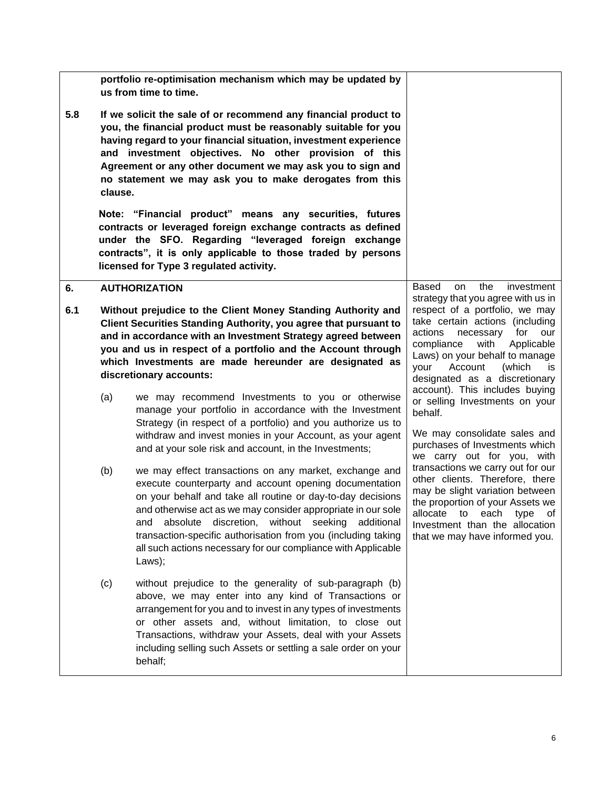<span id="page-12-0"></span>

|     |                                                                                                                                                                                                                                                                                                                                                       | portfolio re-optimisation mechanism which may be updated by<br>us from time to time.                                                                                                                                                                                                                                                                                                                                                                  |                                                                                                                                                                                                                                                                                     |
|-----|-------------------------------------------------------------------------------------------------------------------------------------------------------------------------------------------------------------------------------------------------------------------------------------------------------------------------------------------------------|-------------------------------------------------------------------------------------------------------------------------------------------------------------------------------------------------------------------------------------------------------------------------------------------------------------------------------------------------------------------------------------------------------------------------------------------------------|-------------------------------------------------------------------------------------------------------------------------------------------------------------------------------------------------------------------------------------------------------------------------------------|
| 5.8 | clause.                                                                                                                                                                                                                                                                                                                                               | If we solicit the sale of or recommend any financial product to<br>you, the financial product must be reasonably suitable for you<br>having regard to your financial situation, investment experience<br>and investment objectives. No other provision of this<br>Agreement or any other document we may ask you to sign and<br>no statement we may ask you to make derogates from this                                                               |                                                                                                                                                                                                                                                                                     |
|     |                                                                                                                                                                                                                                                                                                                                                       | Note: "Financial product" means any securities, futures<br>contracts or leveraged foreign exchange contracts as defined<br>under the SFO. Regarding "leveraged foreign exchange<br>contracts", it is only applicable to those traded by persons<br>licensed for Type 3 regulated activity.                                                                                                                                                            |                                                                                                                                                                                                                                                                                     |
| 6.  |                                                                                                                                                                                                                                                                                                                                                       | <b>AUTHORIZATION</b>                                                                                                                                                                                                                                                                                                                                                                                                                                  | Based<br>the<br>on<br>investment<br>strategy that you agree with us in                                                                                                                                                                                                              |
| 6.1 | Without prejudice to the Client Money Standing Authority and<br>Client Securities Standing Authority, you agree that pursuant to<br>and in accordance with an Investment Strategy agreed between<br>you and us in respect of a portfolio and the Account through<br>which Investments are made hereunder are designated as<br>discretionary accounts: |                                                                                                                                                                                                                                                                                                                                                                                                                                                       | respect of a portfolio, we may<br>take certain actions (including<br>actions<br>for<br>necessary<br>our<br>compliance<br>with<br>Applicable<br>Laws) on your behalf to manage<br>Account<br>(which<br>your<br>is<br>designated as a discretionary<br>account). This includes buying |
|     | (a)<br>we may recommend Investments to you or otherwise<br>manage your portfolio in accordance with the Investment<br>Strategy (in respect of a portfolio) and you authorize us to<br>withdraw and invest monies in your Account, as your agent<br>and at your sole risk and account, in the Investments;                                             |                                                                                                                                                                                                                                                                                                                                                                                                                                                       | or selling Investments on your<br>behalf.<br>We may consolidate sales and<br>purchases of Investments which<br>we carry out for you, with                                                                                                                                           |
|     | (b)                                                                                                                                                                                                                                                                                                                                                   | we may effect transactions on any market, exchange and<br>execute counterparty and account opening documentation<br>on your behalf and take all routine or day-to-day decisions<br>and otherwise act as we may consider appropriate in our sole<br>absolute discretion, without seeking additional<br>and<br>transaction-specific authorisation from you (including taking<br>all such actions necessary for our compliance with Applicable<br>Laws); | transactions we carry out for our<br>other clients. Therefore, there<br>may be slight variation between<br>the proportion of your Assets we<br>allocate to each type of<br>Investment than the allocation<br>that we may have informed you.                                         |
|     | (c)                                                                                                                                                                                                                                                                                                                                                   | without prejudice to the generality of sub-paragraph (b)<br>above, we may enter into any kind of Transactions or<br>arrangement for you and to invest in any types of investments<br>or other assets and, without limitation, to close out<br>Transactions, withdraw your Assets, deal with your Assets<br>including selling such Assets or settling a sale order on your<br>behalf;                                                                  |                                                                                                                                                                                                                                                                                     |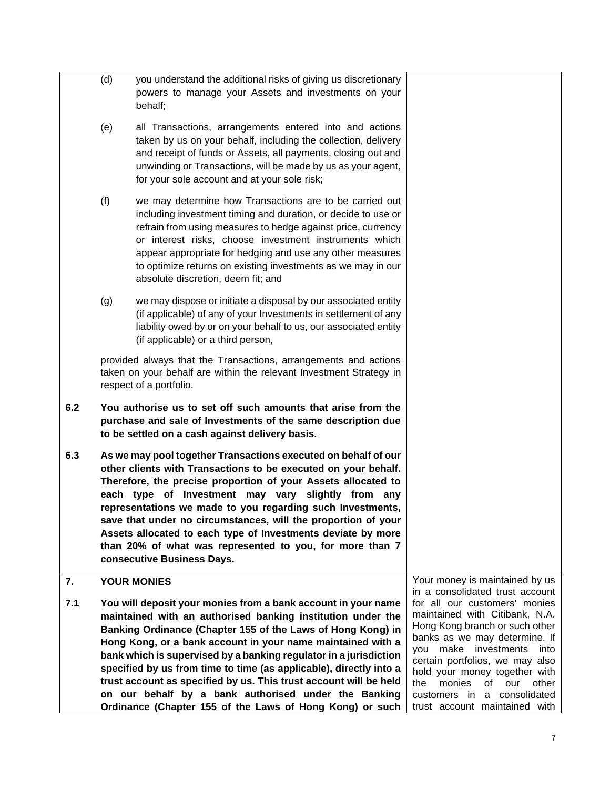<span id="page-13-0"></span>

|     | (d)                                                           | you understand the additional risks of giving us discretionary<br>powers to manage your Assets and investments on your<br>behalf;                                                                                                                                                                                                                                                                                                                                                                                                                |                                                                   |
|-----|---------------------------------------------------------------|--------------------------------------------------------------------------------------------------------------------------------------------------------------------------------------------------------------------------------------------------------------------------------------------------------------------------------------------------------------------------------------------------------------------------------------------------------------------------------------------------------------------------------------------------|-------------------------------------------------------------------|
|     | (e)                                                           | all Transactions, arrangements entered into and actions<br>taken by us on your behalf, including the collection, delivery<br>and receipt of funds or Assets, all payments, closing out and<br>unwinding or Transactions, will be made by us as your agent,<br>for your sole account and at your sole risk;                                                                                                                                                                                                                                       |                                                                   |
|     | (f)                                                           | we may determine how Transactions are to be carried out<br>including investment timing and duration, or decide to use or<br>refrain from using measures to hedge against price, currency<br>or interest risks, choose investment instruments which<br>appear appropriate for hedging and use any other measures<br>to optimize returns on existing investments as we may in our<br>absolute discretion, deem fit; and                                                                                                                            |                                                                   |
|     | (g)                                                           | we may dispose or initiate a disposal by our associated entity<br>(if applicable) of any of your Investments in settlement of any<br>liability owed by or on your behalf to us, our associated entity<br>(if applicable) or a third person,                                                                                                                                                                                                                                                                                                      |                                                                   |
|     |                                                               | provided always that the Transactions, arrangements and actions<br>taken on your behalf are within the relevant Investment Strategy in<br>respect of a portfolio.                                                                                                                                                                                                                                                                                                                                                                                |                                                                   |
| 6.2 |                                                               | You authorise us to set off such amounts that arise from the<br>purchase and sale of Investments of the same description due<br>to be settled on a cash against delivery basis.                                                                                                                                                                                                                                                                                                                                                                  |                                                                   |
| 6.3 |                                                               | As we may pool together Transactions executed on behalf of our<br>other clients with Transactions to be executed on your behalf.<br>Therefore, the precise proportion of your Assets allocated to<br>each type of Investment may vary slightly from any<br>representations we made to you regarding such Investments,<br>save that under no circumstances, will the proportion of your<br>Assets allocated to each type of Investments deviate by more<br>than 20% of what was represented to you, for more than 7<br>consecutive Business Days. |                                                                   |
| 7.  |                                                               | <b>YOUR MONIES</b>                                                                                                                                                                                                                                                                                                                                                                                                                                                                                                                               | Your money is maintained by us<br>in a consolidated trust account |
| 7.1 | You will deposit your monies from a bank account in your name |                                                                                                                                                                                                                                                                                                                                                                                                                                                                                                                                                  | for all our customers' monies                                     |
|     |                                                               | maintained with an authorised banking institution under the                                                                                                                                                                                                                                                                                                                                                                                                                                                                                      | maintained with Citibank, N.A.<br>Hong Kong branch or such other  |
|     |                                                               | Banking Ordinance (Chapter 155 of the Laws of Hong Kong) in<br>Hong Kong, or a bank account in your name maintained with a                                                                                                                                                                                                                                                                                                                                                                                                                       | banks as we may determine. If                                     |
|     |                                                               | bank which is supervised by a banking regulator in a jurisdiction                                                                                                                                                                                                                                                                                                                                                                                                                                                                                | investments<br>make<br>into<br>vou                                |
|     |                                                               | specified by us from time to time (as applicable), directly into a                                                                                                                                                                                                                                                                                                                                                                                                                                                                               | certain portfolios, we may also<br>hold your money together with  |
|     |                                                               | trust account as specified by us. This trust account will be held                                                                                                                                                                                                                                                                                                                                                                                                                                                                                | monies<br>the<br>of<br>our<br>other                               |
|     |                                                               | on our behalf by a bank authorised under the Banking                                                                                                                                                                                                                                                                                                                                                                                                                                                                                             | customers in<br>a consolidated                                    |
|     |                                                               | Ordinance (Chapter 155 of the Laws of Hong Kong) or such                                                                                                                                                                                                                                                                                                                                                                                                                                                                                         | trust account maintained with                                     |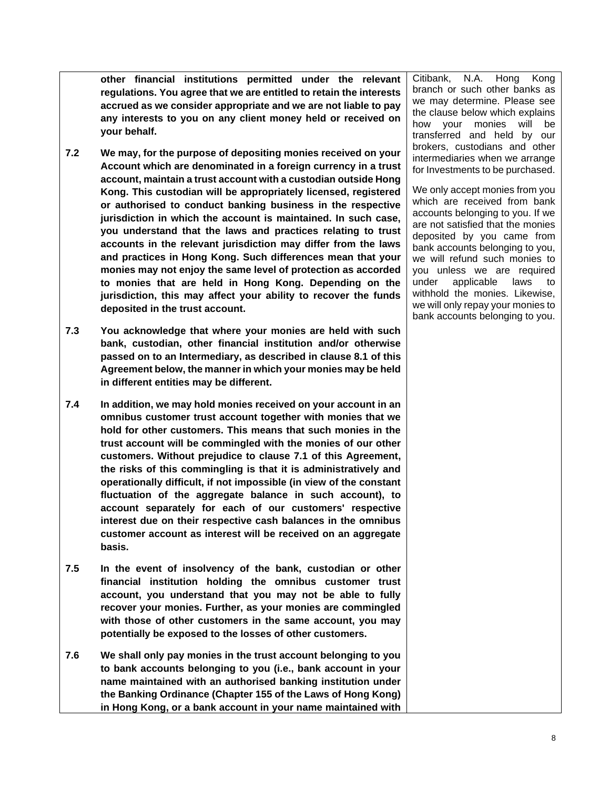**other financial institutions permitted under the relevant regulations. You agree that we are entitled to retain the interests accrued as we consider appropriate and we are not liable to pay any interests to you on any client money held or received on your behalf.** 

- **7.2 We may, for the purpose of depositing monies received on your Account which are denominated in a foreign currency in a trust account, maintain a trust account with a custodian outside Hong Kong. This custodian will be appropriately licensed, registered or authorised to conduct banking business in the respective jurisdiction in which the account is maintained. In such case, you understand that the laws and practices relating to trust accounts in the relevant jurisdiction may differ from the laws and practices in Hong Kong. Such differences mean that your monies may not enjoy the same level of protection as accorded to monies that are held in Hong Kong. Depending on the jurisdiction, this may affect your ability to recover the funds deposited in the trust account.**
- **7.3 You acknowledge that where your monies are held with such bank, custodian, other financial institution and/or otherwise passed on to an Intermediary, as described in clause 8.1 of this Agreement below, the manner in which your monies may be held in different entities may be different.**
- **7.4 In addition, we may hold monies received on your account in an omnibus customer trust account together with monies that we hold for other customers. This means that such monies in the trust account will be commingled with the monies of our other customers. Without prejudice to clause 7.1 of this Agreement, the risks of this commingling is that it is administratively and operationally difficult, if not impossible (in view of the constant fluctuation of the aggregate balance in such account), to account separately for each of our customers' respective interest due on their respective cash balances in the omnibus customer account as interest will be received on an aggregate basis.**
- **7.5 In the event of insolvency of the bank, custodian or other financial institution holding the omnibus customer trust account, you understand that you may not be able to fully recover your monies. Further, as your monies are commingled with those of other customers in the same account, you may potentially be exposed to the losses of other customers.**
- **7.6 We shall only pay monies in the trust account belonging to you to bank accounts belonging to you (i.e., bank account in your name maintained with an authorised banking institution under the Banking Ordinance (Chapter 155 of the Laws of Hong Kong) in Hong Kong, or a bank account in your name maintained with**

Citibank, N.A. Hong Kong branch or such other banks as we may determine. Please see the clause below which explains how your monies will be transferred and held by our brokers, custodians and other intermediaries when we arrange for Investments to be purchased.

We only accept monies from you which are received from bank accounts belonging to you. If we are not satisfied that the monies deposited by you came from bank accounts belonging to you, we will refund such monies to you unless we are required under applicable laws to withhold the monies. Likewise, we will only repay your monies to bank accounts belonging to you.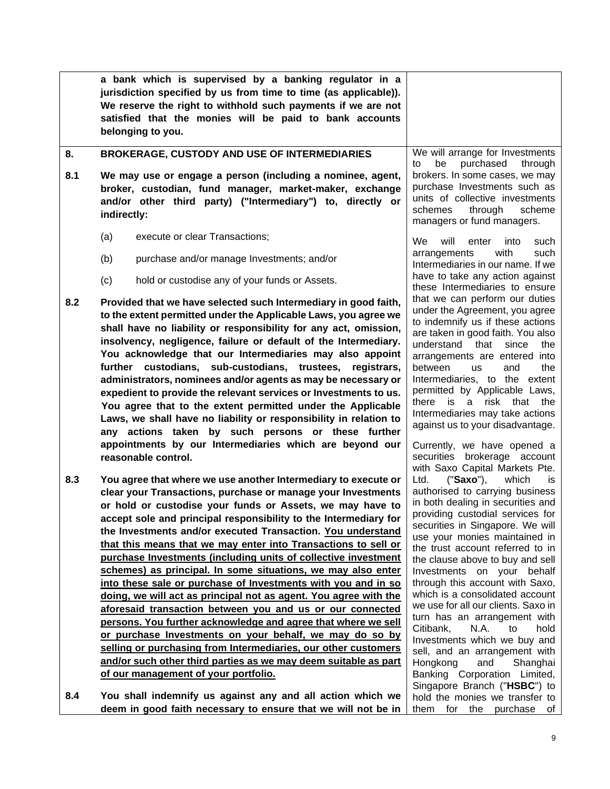<span id="page-15-0"></span>

|     |                                                                                                                                                                                                                                                                                                                                                                                                                                                                                                                                                                                                                                                                                                                                      | a bank which is supervised by a banking regulator in a<br>jurisdiction specified by us from time to time (as applicable)).<br>We reserve the right to withhold such payments if we are not<br>satisfied that the monies will be paid to bank accounts<br>belonging to you. |                                                                                                                                                                                                                                                                                                                                                                                                                                                            |  |
|-----|--------------------------------------------------------------------------------------------------------------------------------------------------------------------------------------------------------------------------------------------------------------------------------------------------------------------------------------------------------------------------------------------------------------------------------------------------------------------------------------------------------------------------------------------------------------------------------------------------------------------------------------------------------------------------------------------------------------------------------------|----------------------------------------------------------------------------------------------------------------------------------------------------------------------------------------------------------------------------------------------------------------------------|------------------------------------------------------------------------------------------------------------------------------------------------------------------------------------------------------------------------------------------------------------------------------------------------------------------------------------------------------------------------------------------------------------------------------------------------------------|--|
| 8.  |                                                                                                                                                                                                                                                                                                                                                                                                                                                                                                                                                                                                                                                                                                                                      | <b>BROKERAGE, CUSTODY AND USE OF INTERMEDIARIES</b>                                                                                                                                                                                                                        | We will arrange for Investments<br>purchased<br>be<br>through<br>to                                                                                                                                                                                                                                                                                                                                                                                        |  |
| 8.1 | We may use or engage a person (including a nominee, agent,<br>broker, custodian, fund manager, market-maker, exchange<br>and/or other third party) ("Intermediary") to, directly or<br>indirectly:                                                                                                                                                                                                                                                                                                                                                                                                                                                                                                                                   |                                                                                                                                                                                                                                                                            | brokers. In some cases, we may<br>purchase Investments such as<br>units of collective investments<br>schemes<br>through<br>scheme<br>managers or fund managers.                                                                                                                                                                                                                                                                                            |  |
|     | (a)                                                                                                                                                                                                                                                                                                                                                                                                                                                                                                                                                                                                                                                                                                                                  | execute or clear Transactions;                                                                                                                                                                                                                                             | We<br>will<br>enter<br>such<br>into                                                                                                                                                                                                                                                                                                                                                                                                                        |  |
|     | (b)                                                                                                                                                                                                                                                                                                                                                                                                                                                                                                                                                                                                                                                                                                                                  | purchase and/or manage Investments; and/or                                                                                                                                                                                                                                 | with<br>arrangements<br>such<br>Intermediaries in our name. If we                                                                                                                                                                                                                                                                                                                                                                                          |  |
|     | (c)                                                                                                                                                                                                                                                                                                                                                                                                                                                                                                                                                                                                                                                                                                                                  | hold or custodise any of your funds or Assets.                                                                                                                                                                                                                             | have to take any action against<br>these Intermediaries to ensure                                                                                                                                                                                                                                                                                                                                                                                          |  |
| 8.2 | Provided that we have selected such Intermediary in good faith,<br>to the extent permitted under the Applicable Laws, you agree we<br>shall have no liability or responsibility for any act, omission,<br>insolvency, negligence, failure or default of the Intermediary.<br>You acknowledge that our Intermediaries may also appoint<br>further custodians, sub-custodians, trustees,<br>registrars,<br>administrators, nominees and/or agents as may be necessary or<br>expedient to provide the relevant services or Investments to us.<br>You agree that to the extent permitted under the Applicable<br>Laws, we shall have no liability or responsibility in relation to<br>any actions taken by such persons or these further |                                                                                                                                                                                                                                                                            | that we can perform our duties<br>under the Agreement, you agree<br>to indemnify us if these actions<br>are taken in good faith. You also<br>understand that<br>since<br>the<br>arrangements are entered into<br>between<br>and<br>the<br><b>us</b><br>Intermediaries, to the extent<br>permitted by Applicable Laws,<br>there is a risk that<br>the<br>Intermediaries may take actions<br>against us to your disadvantage.<br>Currently, we have opened a |  |
|     |                                                                                                                                                                                                                                                                                                                                                                                                                                                                                                                                                                                                                                                                                                                                      | reasonable control.                                                                                                                                                                                                                                                        | securities brokerage account<br>with Saxo Capital Markets Pte.                                                                                                                                                                                                                                                                                                                                                                                             |  |
| 8.3 |                                                                                                                                                                                                                                                                                                                                                                                                                                                                                                                                                                                                                                                                                                                                      | You agree that where we use another Intermediary to execute or                                                                                                                                                                                                             | ("Saxo"),<br>which<br>Ltd.<br>İS.                                                                                                                                                                                                                                                                                                                                                                                                                          |  |
|     |                                                                                                                                                                                                                                                                                                                                                                                                                                                                                                                                                                                                                                                                                                                                      | clear your Transactions, purchase or manage your Investments                                                                                                                                                                                                               | authorised to carrying business                                                                                                                                                                                                                                                                                                                                                                                                                            |  |
|     |                                                                                                                                                                                                                                                                                                                                                                                                                                                                                                                                                                                                                                                                                                                                      | or hold or custodise your funds or Assets, we may have to                                                                                                                                                                                                                  | in both dealing in securities and<br>providing custodial services for                                                                                                                                                                                                                                                                                                                                                                                      |  |
|     |                                                                                                                                                                                                                                                                                                                                                                                                                                                                                                                                                                                                                                                                                                                                      | accept sole and principal responsibility to the Intermediary for                                                                                                                                                                                                           | securities in Singapore. We will                                                                                                                                                                                                                                                                                                                                                                                                                           |  |
|     |                                                                                                                                                                                                                                                                                                                                                                                                                                                                                                                                                                                                                                                                                                                                      | the Investments and/or executed Transaction. You understand<br>that this means that we may enter into Transactions to sell or                                                                                                                                              | use your monies maintained in                                                                                                                                                                                                                                                                                                                                                                                                                              |  |
|     |                                                                                                                                                                                                                                                                                                                                                                                                                                                                                                                                                                                                                                                                                                                                      | purchase Investments (including units of collective investment                                                                                                                                                                                                             | the trust account referred to in                                                                                                                                                                                                                                                                                                                                                                                                                           |  |
|     |                                                                                                                                                                                                                                                                                                                                                                                                                                                                                                                                                                                                                                                                                                                                      | schemes) as principal. In some situations, we may also enter                                                                                                                                                                                                               | the clause above to buy and sell<br>Investments on your behalf                                                                                                                                                                                                                                                                                                                                                                                             |  |
|     |                                                                                                                                                                                                                                                                                                                                                                                                                                                                                                                                                                                                                                                                                                                                      | into these sale or purchase of Investments with you and in so                                                                                                                                                                                                              | through this account with Saxo,                                                                                                                                                                                                                                                                                                                                                                                                                            |  |
|     |                                                                                                                                                                                                                                                                                                                                                                                                                                                                                                                                                                                                                                                                                                                                      | doing, we will act as principal not as agent. You agree with the                                                                                                                                                                                                           | which is a consolidated account                                                                                                                                                                                                                                                                                                                                                                                                                            |  |
|     |                                                                                                                                                                                                                                                                                                                                                                                                                                                                                                                                                                                                                                                                                                                                      | aforesaid transaction between you and us or our connected                                                                                                                                                                                                                  | we use for all our clients. Saxo in                                                                                                                                                                                                                                                                                                                                                                                                                        |  |
|     |                                                                                                                                                                                                                                                                                                                                                                                                                                                                                                                                                                                                                                                                                                                                      | persons. You further acknowledge and agree that where we sell                                                                                                                                                                                                              | turn has an arrangement with<br>Citibank,<br>N.A.<br>to<br>hold                                                                                                                                                                                                                                                                                                                                                                                            |  |
|     |                                                                                                                                                                                                                                                                                                                                                                                                                                                                                                                                                                                                                                                                                                                                      | or purchase Investments on your behalf, we may do so by                                                                                                                                                                                                                    | Investments which we buy and                                                                                                                                                                                                                                                                                                                                                                                                                               |  |
|     |                                                                                                                                                                                                                                                                                                                                                                                                                                                                                                                                                                                                                                                                                                                                      | selling or purchasing from Intermediaries, our other customers                                                                                                                                                                                                             | sell, and an arrangement with                                                                                                                                                                                                                                                                                                                                                                                                                              |  |
|     |                                                                                                                                                                                                                                                                                                                                                                                                                                                                                                                                                                                                                                                                                                                                      | and/or such other third parties as we may deem suitable as part<br>of our management of your portfolio.                                                                                                                                                                    | and<br>Hongkong<br>Shanghai<br>Banking Corporation Limited,<br>Singapore Branch ("HSBC") to                                                                                                                                                                                                                                                                                                                                                                |  |
| 8.4 |                                                                                                                                                                                                                                                                                                                                                                                                                                                                                                                                                                                                                                                                                                                                      | You shall indemnify us against any and all action which we<br>deem in good faith necessary to ensure that we will not be in                                                                                                                                                | hold the monies we transfer to<br>them for the purchase of                                                                                                                                                                                                                                                                                                                                                                                                 |  |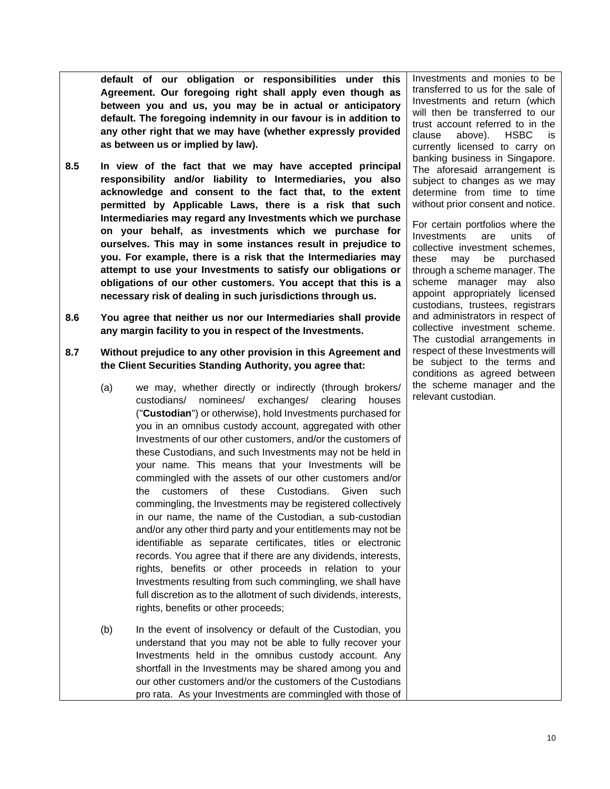**default of our obligation or responsibilities under this Agreement. Our foregoing right shall apply even though as between you and us, you may be in actual or anticipatory default. The foregoing indemnity in our favour is in addition to any other right that we may have (whether expressly provided as between us or implied by law).**

- **8.5 In view of the fact that we may have accepted principal responsibility and/or liability to Intermediaries, you also acknowledge and consent to the fact that, to the extent permitted by Applicable Laws, there is a risk that such Intermediaries may regard any Investments which we purchase on your behalf, as investments which we purchase for ourselves. This may in some instances result in prejudice to you. For example, there is a risk that the Intermediaries may attempt to use your Investments to satisfy our obligations or obligations of our other customers. You accept that this is a necessary risk of dealing in such jurisdictions through us.**
- **8.6 You agree that neither us nor our Intermediaries shall provide any margin facility to you in respect of the Investments.**
- **8.7 Without prejudice to any other provision in this Agreement and the Client Securities Standing Authority, you agree that:**
	- (a) we may, whether directly or indirectly (through brokers/ custodians/ nominees/ exchanges/ clearing houses ("**Custodian**") or otherwise), hold Investments purchased for you in an omnibus custody account, aggregated with other Investments of our other customers, and/or the customers of these Custodians, and such Investments may not be held in your name. This means that your Investments will be commingled with the assets of our other customers and/or the customers of these Custodians. Given such commingling, the Investments may be registered collectively in our name, the name of the Custodian, a sub-custodian and/or any other third party and your entitlements may not be identifiable as separate certificates, titles or electronic records. You agree that if there are any dividends, interests, rights, benefits or other proceeds in relation to your Investments resulting from such commingling, we shall have full discretion as to the allotment of such dividends, interests, rights, benefits or other proceeds;
	- (b) In the event of insolvency or default of the Custodian, you understand that you may not be able to fully recover your Investments held in the omnibus custody account. Any shortfall in the Investments may be shared among you and our other customers and/or the customers of the Custodians pro rata. As your Investments are commingled with those of

Investments and monies to be transferred to us for the sale of Investments and return (which will then be transferred to our trust account referred to in the clause above). HSBC is currently licensed to carry on banking business in Singapore. The aforesaid arrangement is subject to changes as we may determine from time to time without prior consent and notice.

For certain portfolios where the Investments are units of collective investment schemes, these may be purchased through a scheme manager. The scheme manager may also appoint appropriately licensed custodians, trustees, registrars and administrators in respect of collective investment scheme. The custodial arrangements in respect of these Investments will be subject to the terms and conditions as agreed between the scheme manager and the relevant custodian.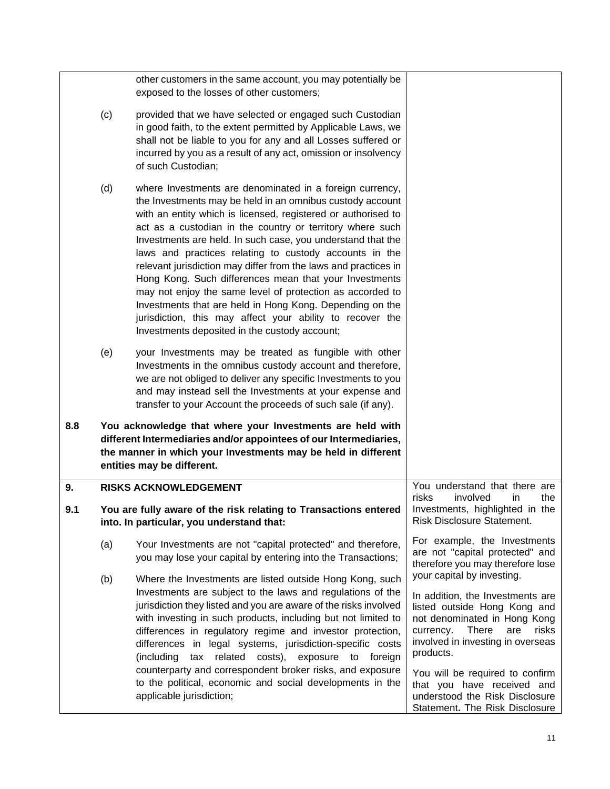<span id="page-17-0"></span>

|     |     | other customers in the same account, you may potentially be<br>exposed to the losses of other customers;                                                                                                                                                                                                                                                                                                                                                                                                                                                                                                                                                                                                                                         |                                                                                                                                                                                                                               |
|-----|-----|--------------------------------------------------------------------------------------------------------------------------------------------------------------------------------------------------------------------------------------------------------------------------------------------------------------------------------------------------------------------------------------------------------------------------------------------------------------------------------------------------------------------------------------------------------------------------------------------------------------------------------------------------------------------------------------------------------------------------------------------------|-------------------------------------------------------------------------------------------------------------------------------------------------------------------------------------------------------------------------------|
|     | (c) | provided that we have selected or engaged such Custodian<br>in good faith, to the extent permitted by Applicable Laws, we<br>shall not be liable to you for any and all Losses suffered or<br>incurred by you as a result of any act, omission or insolvency<br>of such Custodian;                                                                                                                                                                                                                                                                                                                                                                                                                                                               |                                                                                                                                                                                                                               |
|     | (d) | where Investments are denominated in a foreign currency,<br>the Investments may be held in an omnibus custody account<br>with an entity which is licensed, registered or authorised to<br>act as a custodian in the country or territory where such<br>Investments are held. In such case, you understand that the<br>laws and practices relating to custody accounts in the<br>relevant jurisdiction may differ from the laws and practices in<br>Hong Kong. Such differences mean that your Investments<br>may not enjoy the same level of protection as accorded to<br>Investments that are held in Hong Kong. Depending on the<br>jurisdiction, this may affect your ability to recover the<br>Investments deposited in the custody account; |                                                                                                                                                                                                                               |
|     | (e) | your Investments may be treated as fungible with other<br>Investments in the omnibus custody account and therefore,<br>we are not obliged to deliver any specific Investments to you<br>and may instead sell the Investments at your expense and<br>transfer to your Account the proceeds of such sale (if any).                                                                                                                                                                                                                                                                                                                                                                                                                                 |                                                                                                                                                                                                                               |
| 8.8 |     | You acknowledge that where your Investments are held with<br>different Intermediaries and/or appointees of our Intermediaries,<br>the manner in which your Investments may be held in different<br>entities may be different.                                                                                                                                                                                                                                                                                                                                                                                                                                                                                                                    |                                                                                                                                                                                                                               |
| 9.  |     | <b>RISKS ACKNOWLEDGEMENT</b>                                                                                                                                                                                                                                                                                                                                                                                                                                                                                                                                                                                                                                                                                                                     | You understand that there are<br>risks<br>involved<br>the<br>in                                                                                                                                                               |
| 9.1 |     | You are fully aware of the risk relating to Transactions entered<br>into. In particular, you understand that:                                                                                                                                                                                                                                                                                                                                                                                                                                                                                                                                                                                                                                    | Investments, highlighted in the<br>Risk Disclosure Statement.                                                                                                                                                                 |
|     | (a) | Your Investments are not "capital protected" and therefore,<br>you may lose your capital by entering into the Transactions;                                                                                                                                                                                                                                                                                                                                                                                                                                                                                                                                                                                                                      | For example, the Investments<br>are not "capital protected" and<br>therefore you may therefore lose                                                                                                                           |
|     | (b) | Where the Investments are listed outside Hong Kong, such<br>Investments are subject to the laws and regulations of the<br>jurisdiction they listed and you are aware of the risks involved<br>with investing in such products, including but not limited to<br>differences in regulatory regime and investor protection,<br>differences in legal systems, jurisdiction-specific costs<br>(including<br>related costs), exposure to foreign<br>tax                                                                                                                                                                                                                                                                                                | your capital by investing.<br>In addition, the Investments are<br>listed outside Hong Kong and<br>not denominated in Hong Kong<br>currency.<br><b>There</b><br>risks<br>are<br>involved in investing in overseas<br>products. |
|     |     | counterparty and correspondent broker risks, and exposure<br>to the political, economic and social developments in the<br>applicable jurisdiction;                                                                                                                                                                                                                                                                                                                                                                                                                                                                                                                                                                                               | You will be required to confirm<br>that you have received and<br>understood the Risk Disclosure<br>Statement. The Risk Disclosure                                                                                             |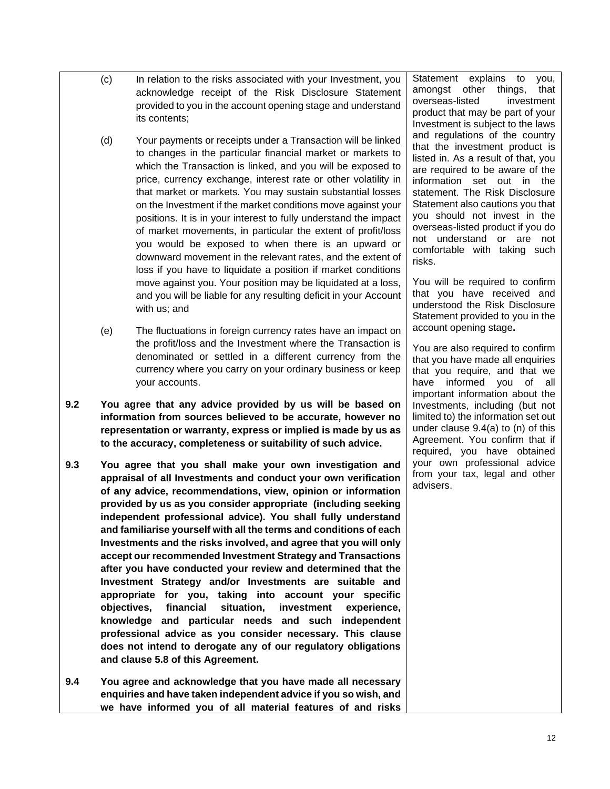- (c) In relation to the risks associated with your Investment, you acknowledge receipt of the Risk Disclosure Statement provided to you in the account opening stage and understand its contents;
- (d) Your payments or receipts under a Transaction will be linked to changes in the particular financial market or markets to which the Transaction is linked, and you will be exposed to price, currency exchange, interest rate or other volatility in that market or markets. You may sustain substantial losses on the Investment if the market conditions move against your positions. It is in your interest to fully understand the impact of market movements, in particular the extent of profit/loss you would be exposed to when there is an upward or downward movement in the relevant rates, and the extent of loss if you have to liquidate a position if market conditions move against you. Your position may be liquidated at a loss, and you will be liable for any resulting deficit in your Account with us; and
- (e) The fluctuations in foreign currency rates have an impact on the profit/loss and the Investment where the Transaction is denominated or settled in a different currency from the currency where you carry on your ordinary business or keep your accounts.
- **9.2 You agree that any advice provided by us will be based on information from sources believed to be accurate, however no representation or warranty, express or implied is made by us as to the accuracy, completeness or suitability of such advice.**
- **9.3 You agree that you shall make your own investigation and appraisal of all Investments and conduct your own verification of any advice, recommendations, view, opinion or information provided by us as you consider appropriate (including seeking independent professional advice). You shall fully understand and familiarise yourself with all the terms and conditions of each Investments and the risks involved, and agree that you will only accept our recommended Investment Strategy and Transactions after you have conducted your review and determined that the Investment Strategy and/or Investments are suitable and appropriate for you, taking into account your specific objectives, financial situation, investment experience, knowledge and particular needs and such independent professional advice as you consider necessary. This clause does not intend to derogate any of our regulatory obligations and clause 5.8 of this Agreement.**
- **9.4 You agree and acknowledge that you have made all necessary enquiries and have taken independent advice if you so wish, and we have informed you of all material features of and risks**

Statement explains to you, amongst other things, that overseas-listed investment product that may be part of your Investment is subject to the laws and regulations of the country that the investment product is listed in. As a result of that, you are required to be aware of the information set out in the statement. The Risk Disclosure Statement also cautions you that you should not invest in the overseas-listed product if you do not understand or are not comfortable with taking such risks.

You will be required to confirm that you have received and understood the Risk Disclosure Statement provided to you in the account opening stage**.**

You are also required to confirm that you have made all enquiries that you require, and that we have informed you of all important information about the Investments, including (but not limited to) the information set out under clause 9.4(a) to (n) of this Agreement. You confirm that if required, you have obtained your own professional advice from your tax, legal and other advisers.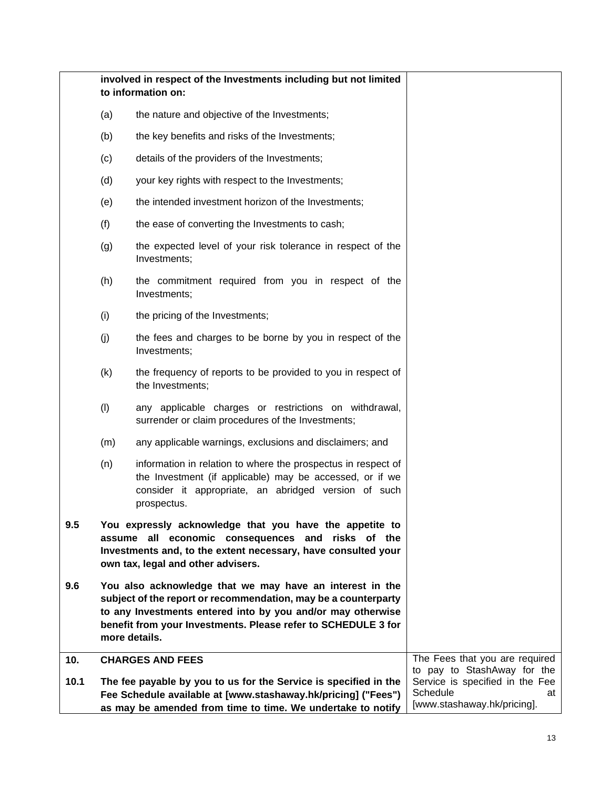<span id="page-19-0"></span>

|      | involved in respect of the Investments including but not limited<br>to information on: |                                                                                                                                                                                                                                                                             |                                                                                  |
|------|----------------------------------------------------------------------------------------|-----------------------------------------------------------------------------------------------------------------------------------------------------------------------------------------------------------------------------------------------------------------------------|----------------------------------------------------------------------------------|
|      | (a)                                                                                    | the nature and objective of the Investments;                                                                                                                                                                                                                                |                                                                                  |
|      | (b)                                                                                    | the key benefits and risks of the Investments;                                                                                                                                                                                                                              |                                                                                  |
|      | (c)                                                                                    | details of the providers of the Investments;                                                                                                                                                                                                                                |                                                                                  |
|      | (d)                                                                                    | your key rights with respect to the Investments;                                                                                                                                                                                                                            |                                                                                  |
|      | (e)                                                                                    | the intended investment horizon of the Investments;                                                                                                                                                                                                                         |                                                                                  |
|      | (f)                                                                                    | the ease of converting the Investments to cash;                                                                                                                                                                                                                             |                                                                                  |
|      | (g)                                                                                    | the expected level of your risk tolerance in respect of the<br>Investments;                                                                                                                                                                                                 |                                                                                  |
|      | (h)                                                                                    | the commitment required from you in respect of the<br>Investments;                                                                                                                                                                                                          |                                                                                  |
|      | (i)                                                                                    | the pricing of the Investments;                                                                                                                                                                                                                                             |                                                                                  |
|      | (j)                                                                                    | the fees and charges to be borne by you in respect of the<br>Investments;                                                                                                                                                                                                   |                                                                                  |
|      | (k)                                                                                    | the frequency of reports to be provided to you in respect of<br>the Investments;                                                                                                                                                                                            |                                                                                  |
|      | (1)                                                                                    | any applicable charges or restrictions on withdrawal,<br>surrender or claim procedures of the Investments;                                                                                                                                                                  |                                                                                  |
|      | (m)                                                                                    | any applicable warnings, exclusions and disclaimers; and                                                                                                                                                                                                                    |                                                                                  |
|      | (n)                                                                                    | information in relation to where the prospectus in respect of<br>the Investment (if applicable) may be accessed, or if we<br>consider it appropriate, an abridged version of such<br>prospectus.                                                                            |                                                                                  |
| 9.5  |                                                                                        | You expressly acknowledge that you have the appetite to<br>assume all economic consequences and risks of the<br>Investments and, to the extent necessary, have consulted your<br>own tax, legal and other advisers.                                                         |                                                                                  |
| 9.6  |                                                                                        | You also acknowledge that we may have an interest in the<br>subject of the report or recommendation, may be a counterparty<br>to any Investments entered into by you and/or may otherwise<br>benefit from your Investments. Please refer to SCHEDULE 3 for<br>more details. |                                                                                  |
| 10.  |                                                                                        | <b>CHARGES AND FEES</b>                                                                                                                                                                                                                                                     | The Fees that you are required<br>to pay to StashAway for the                    |
| 10.1 |                                                                                        | The fee payable by you to us for the Service is specified in the<br>Fee Schedule available at [www.stashaway.hk/pricing] ("Fees")<br>as may be amended from time to time. We undertake to notify                                                                            | Service is specified in the Fee<br>Schedule<br>at<br>[www.stashaway.hk/pricing]. |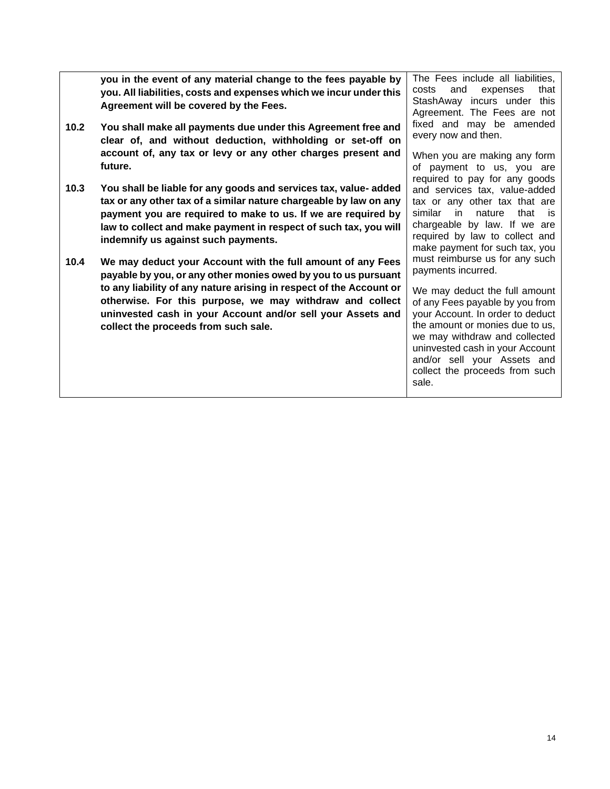**you in the event of any material change to the fees payable by you. All liabilities, costs and expenses which we incur under this Agreement will be covered by the Fees. 10.2 You shall make all payments due under this Agreement free and clear of, and without deduction, withholding or set-off on account of, any tax or levy or any other charges present and future. 10.3 You shall be liable for any goods and services tax, value- added tax or any other tax of a similar nature chargeable by law on any payment you are required to make to us. If we are required by law to collect and make payment in respect of such tax, you will indemnify us against such payments. 10.4 We may deduct your Account with the full amount of any Fees payable by you, or any other monies owed by you to us pursuant to any liability of any nature arising in respect of the Account or otherwise. For this purpose, we may withdraw and collect uninvested cash in your Account and/or sell your Assets and collect the proceeds from such sale.** The Fees include all liabilities, costs and expenses that StashAway incurs under this Agreement. The Fees are not fixed and may be amended every now and then. When you are making any form of payment to us, you are required to pay for any goods and services tax, value-added tax or any other tax that are similar in nature that is chargeable by law. If we are required by law to collect and make payment for such tax, you must reimburse us for any such payments incurred. We may deduct the full amount of any Fees payable by you from your Account. In order to deduct the amount or monies due to us, we may withdraw and collected uninvested cash in your Account and/or sell your Assets and collect the proceeds from such sale.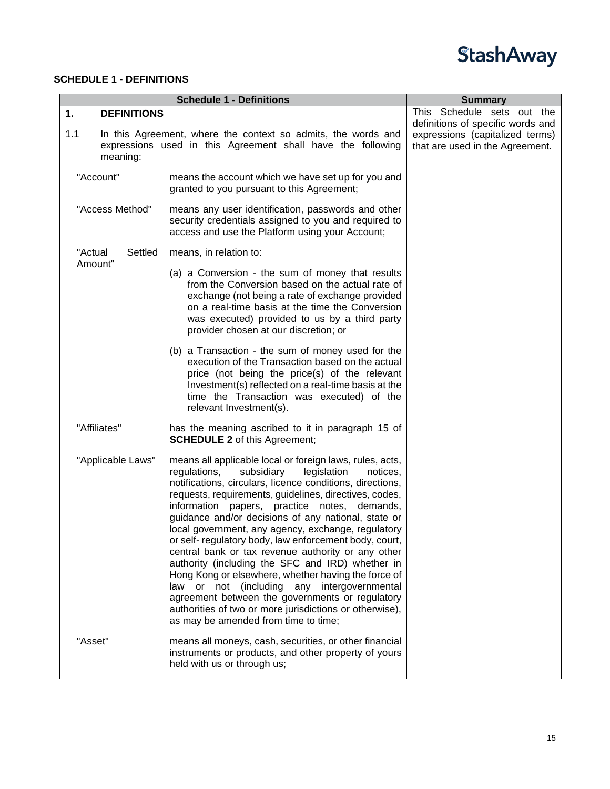

### <span id="page-21-0"></span>**SCHEDULE 1 - DEFINITIONS**

<span id="page-21-1"></span>

|                          | <b>Summary</b>                                                                                                                                                                                                                                                                                                                                                                                                                                                                                                                                                                                                                                                                                                                                                                                                                        |                                                                                                         |
|--------------------------|---------------------------------------------------------------------------------------------------------------------------------------------------------------------------------------------------------------------------------------------------------------------------------------------------------------------------------------------------------------------------------------------------------------------------------------------------------------------------------------------------------------------------------------------------------------------------------------------------------------------------------------------------------------------------------------------------------------------------------------------------------------------------------------------------------------------------------------|---------------------------------------------------------------------------------------------------------|
| 1.<br><b>DEFINITIONS</b> |                                                                                                                                                                                                                                                                                                                                                                                                                                                                                                                                                                                                                                                                                                                                                                                                                                       | This Schedule sets out the                                                                              |
| 1.1<br>meaning:          | In this Agreement, where the context so admits, the words and<br>expressions used in this Agreement shall have the following                                                                                                                                                                                                                                                                                                                                                                                                                                                                                                                                                                                                                                                                                                          | definitions of specific words and<br>expressions (capitalized terms)<br>that are used in the Agreement. |
| "Account"                | means the account which we have set up for you and<br>granted to you pursuant to this Agreement;                                                                                                                                                                                                                                                                                                                                                                                                                                                                                                                                                                                                                                                                                                                                      |                                                                                                         |
| "Access Method"          | means any user identification, passwords and other<br>security credentials assigned to you and required to<br>access and use the Platform using your Account;                                                                                                                                                                                                                                                                                                                                                                                                                                                                                                                                                                                                                                                                         |                                                                                                         |
| "Actual<br>Settled       | means, in relation to:                                                                                                                                                                                                                                                                                                                                                                                                                                                                                                                                                                                                                                                                                                                                                                                                                |                                                                                                         |
| Amount"                  | (a) a Conversion - the sum of money that results<br>from the Conversion based on the actual rate of<br>exchange (not being a rate of exchange provided<br>on a real-time basis at the time the Conversion<br>was executed) provided to us by a third party<br>provider chosen at our discretion; or                                                                                                                                                                                                                                                                                                                                                                                                                                                                                                                                   |                                                                                                         |
|                          | (b) a Transaction - the sum of money used for the<br>execution of the Transaction based on the actual<br>price (not being the price(s) of the relevant<br>Investment(s) reflected on a real-time basis at the<br>time the Transaction was executed) of the<br>relevant Investment(s).                                                                                                                                                                                                                                                                                                                                                                                                                                                                                                                                                 |                                                                                                         |
| "Affiliates"             | has the meaning ascribed to it in paragraph 15 of<br><b>SCHEDULE 2</b> of this Agreement;                                                                                                                                                                                                                                                                                                                                                                                                                                                                                                                                                                                                                                                                                                                                             |                                                                                                         |
| "Applicable Laws"        | means all applicable local or foreign laws, rules, acts,<br>regulations,<br>subsidiary<br>legislation<br>notices,<br>notifications, circulars, licence conditions, directions,<br>requests, requirements, guidelines, directives, codes,<br>information papers, practice notes, demands,<br>guidance and/or decisions of any national, state or<br>local government, any agency, exchange, regulatory<br>or self- regulatory body, law enforcement body, court,<br>central bank or tax revenue authority or any other<br>authority (including the SFC and IRD) whether in<br>Hong Kong or elsewhere, whether having the force of<br>law or not (including any intergovernmental<br>agreement between the governments or regulatory<br>authorities of two or more jurisdictions or otherwise),<br>as may be amended from time to time; |                                                                                                         |
| "Asset"                  | means all moneys, cash, securities, or other financial<br>instruments or products, and other property of yours<br>held with us or through us;                                                                                                                                                                                                                                                                                                                                                                                                                                                                                                                                                                                                                                                                                         |                                                                                                         |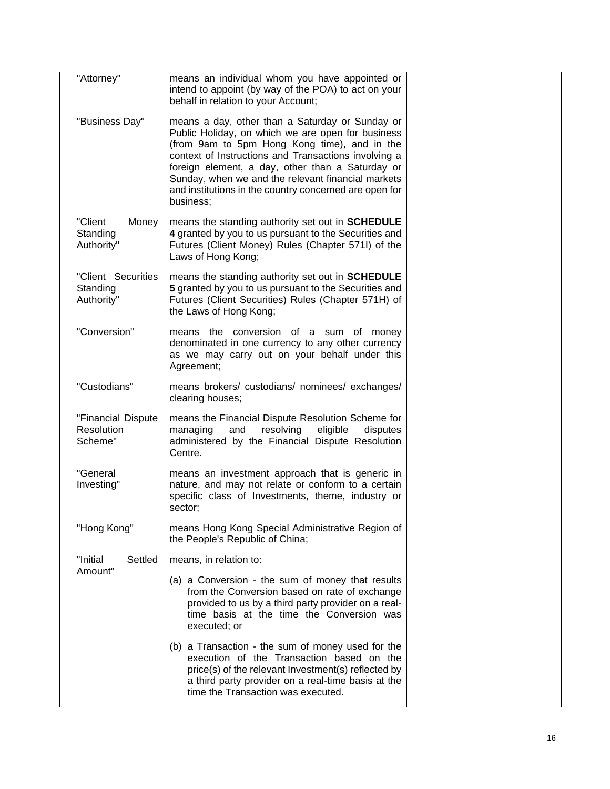| "Attorney"                                   | means an individual whom you have appointed or<br>intend to appoint (by way of the POA) to act on your<br>behalf in relation to your Account;                                                                                                                                                                                                                                                 |  |
|----------------------------------------------|-----------------------------------------------------------------------------------------------------------------------------------------------------------------------------------------------------------------------------------------------------------------------------------------------------------------------------------------------------------------------------------------------|--|
| "Business Day"                               | means a day, other than a Saturday or Sunday or<br>Public Holiday, on which we are open for business<br>(from 9am to 5pm Hong Kong time), and in the<br>context of Instructions and Transactions involving a<br>foreign element, a day, other than a Saturday or<br>Sunday, when we and the relevant financial markets<br>and institutions in the country concerned are open for<br>business; |  |
| "Client<br>Money<br>Standing<br>Authority"   | means the standing authority set out in <b>SCHEDULE</b><br>4 granted by you to us pursuant to the Securities and<br>Futures (Client Money) Rules (Chapter 571I) of the<br>Laws of Hong Kong;                                                                                                                                                                                                  |  |
| "Client Securities<br>Standing<br>Authority" | means the standing authority set out in <b>SCHEDULE</b><br>5 granted by you to us pursuant to the Securities and<br>Futures (Client Securities) Rules (Chapter 571H) of<br>the Laws of Hong Kong;                                                                                                                                                                                             |  |
| "Conversion"                                 | means the conversion of a sum of money<br>denominated in one currency to any other currency<br>as we may carry out on your behalf under this<br>Agreement;                                                                                                                                                                                                                                    |  |
| "Custodians"                                 | means brokers/ custodians/ nominees/ exchanges/<br>clearing houses;                                                                                                                                                                                                                                                                                                                           |  |
| "Financial Dispute<br>Resolution<br>Scheme"  | means the Financial Dispute Resolution Scheme for<br>resolving<br>eligible<br>managing<br>and<br>disputes<br>administered by the Financial Dispute Resolution<br>Centre.                                                                                                                                                                                                                      |  |
| "General<br>Investing"                       | means an investment approach that is generic in<br>nature, and may not relate or conform to a certain<br>specific class of Investments, theme, industry or<br>sector;                                                                                                                                                                                                                         |  |
| "Hong Kong"                                  | means Hong Kong Special Administrative Region of<br>the People's Republic of China;                                                                                                                                                                                                                                                                                                           |  |
| "Initial<br>Settled<br>Amount"               | means, in relation to:                                                                                                                                                                                                                                                                                                                                                                        |  |
|                                              | (a) a Conversion - the sum of money that results<br>from the Conversion based on rate of exchange<br>provided to us by a third party provider on a real-<br>time basis at the time the Conversion was<br>executed; or                                                                                                                                                                         |  |
|                                              | (b) a Transaction - the sum of money used for the<br>execution of the Transaction based on the<br>price(s) of the relevant Investment(s) reflected by<br>a third party provider on a real-time basis at the<br>time the Transaction was executed.                                                                                                                                             |  |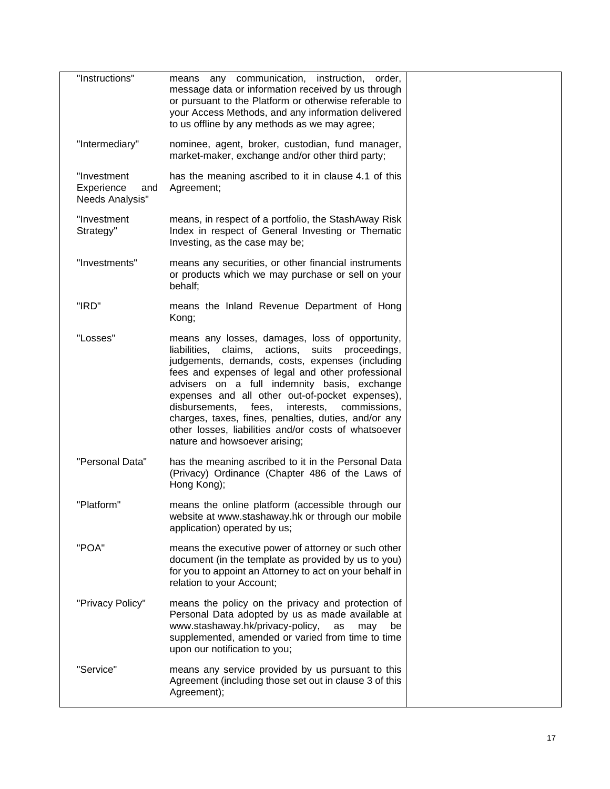| "Instructions"                                      | means any communication, instruction, order,<br>message data or information received by us through<br>or pursuant to the Platform or otherwise referable to<br>your Access Methods, and any information delivered<br>to us offline by any methods as we may agree;                                                                                                                                                                                                                                                          |  |
|-----------------------------------------------------|-----------------------------------------------------------------------------------------------------------------------------------------------------------------------------------------------------------------------------------------------------------------------------------------------------------------------------------------------------------------------------------------------------------------------------------------------------------------------------------------------------------------------------|--|
| "Intermediary"                                      | nominee, agent, broker, custodian, fund manager,<br>market-maker, exchange and/or other third party;                                                                                                                                                                                                                                                                                                                                                                                                                        |  |
| "Investment<br>Experience<br>and<br>Needs Analysis" | has the meaning ascribed to it in clause 4.1 of this<br>Agreement;                                                                                                                                                                                                                                                                                                                                                                                                                                                          |  |
| "Investment<br>Strategy"                            | means, in respect of a portfolio, the StashAway Risk<br>Index in respect of General Investing or Thematic<br>Investing, as the case may be;                                                                                                                                                                                                                                                                                                                                                                                 |  |
| "Investments"                                       | means any securities, or other financial instruments<br>or products which we may purchase or sell on your<br>behalf;                                                                                                                                                                                                                                                                                                                                                                                                        |  |
| "IRD"                                               | means the Inland Revenue Department of Hong<br>Kong;                                                                                                                                                                                                                                                                                                                                                                                                                                                                        |  |
| "Losses"                                            | means any losses, damages, loss of opportunity,<br>actions, suits proceedings,<br>liabilities, claims,<br>judgements, demands, costs, expenses (including<br>fees and expenses of legal and other professional<br>advisers on a full indemnity basis, exchange<br>expenses and all other out-of-pocket expenses),<br>disbursements,<br>interests,<br>commissions,<br>fees,<br>charges, taxes, fines, penalties, duties, and/or any<br>other losses, liabilities and/or costs of whatsoever<br>nature and howsoever arising; |  |
| "Personal Data"                                     | has the meaning ascribed to it in the Personal Data<br>(Privacy) Ordinance (Chapter 486 of the Laws of<br>Hong Kong);                                                                                                                                                                                                                                                                                                                                                                                                       |  |
| "Platform"                                          | means the online platform (accessible through our<br>website at www.stashaway.hk or through our mobile<br>application) operated by us;                                                                                                                                                                                                                                                                                                                                                                                      |  |
| "POA"                                               | means the executive power of attorney or such other<br>document (in the template as provided by us to you)<br>for you to appoint an Attorney to act on your behalf in<br>relation to your Account;                                                                                                                                                                                                                                                                                                                          |  |
| "Privacy Policy"                                    | means the policy on the privacy and protection of<br>Personal Data adopted by us as made available at<br>www.stashaway.hk/privacy-policy,<br>as<br>may<br>be<br>supplemented, amended or varied from time to time<br>upon our notification to you;                                                                                                                                                                                                                                                                          |  |
| "Service"                                           | means any service provided by us pursuant to this<br>Agreement (including those set out in clause 3 of this<br>Agreement);                                                                                                                                                                                                                                                                                                                                                                                                  |  |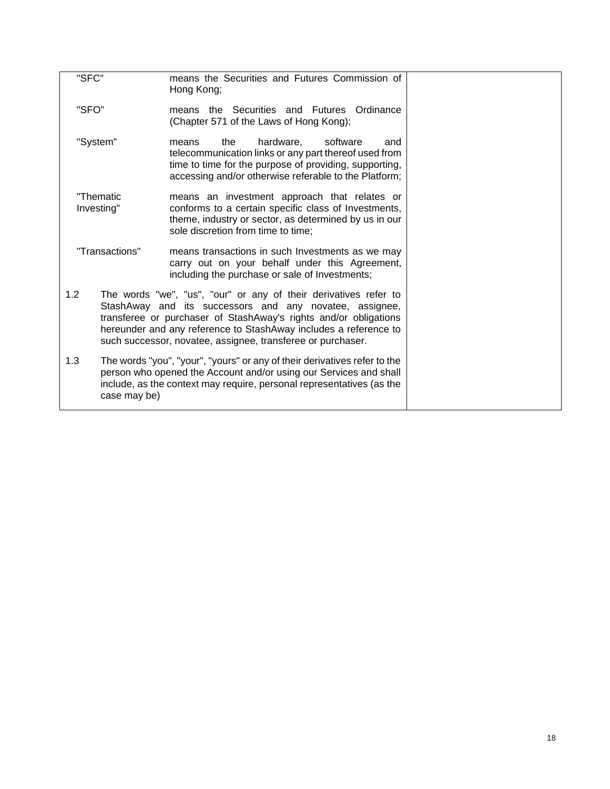| "SFC"                   |                | means the Securities and Futures Commission of<br>Hong Kong;                                                                                                                                                                                                                                                                       |  |
|-------------------------|----------------|------------------------------------------------------------------------------------------------------------------------------------------------------------------------------------------------------------------------------------------------------------------------------------------------------------------------------------|--|
| "SFO"                   |                | means the Securities and Futures Ordinance<br>(Chapter 571 of the Laws of Hong Kong);                                                                                                                                                                                                                                              |  |
| "System"                |                | software<br>the<br>hardware.<br>means<br>and<br>telecommunication links or any part thereof used from<br>time to time for the purpose of providing, supporting,<br>accessing and/or otherwise referable to the Platform;                                                                                                           |  |
| "Thematic<br>Investing" |                | means an investment approach that relates or<br>conforms to a certain specific class of Investments,<br>theme, industry or sector, as determined by us in our<br>sole discretion from time to time;                                                                                                                                |  |
|                         | "Transactions" | means transactions in such Investments as we may<br>carry out on your behalf under this Agreement,<br>including the purchase or sale of Investments;                                                                                                                                                                               |  |
| 1.2                     |                | The words "we", "us", "our" or any of their derivatives refer to<br>StashAway and its successors and any novatee, assignee,<br>transferee or purchaser of StashAway's rights and/or obligations<br>hereunder and any reference to StashAway includes a reference to<br>such successor, novatee, assignee, transferee or purchaser. |  |
| 1.3                     | case may be)   | The words "you", "your", "yours" or any of their derivatives refer to the<br>person who opened the Account and/or using our Services and shall<br>include, as the context may require, personal representatives (as the                                                                                                            |  |
|                         |                |                                                                                                                                                                                                                                                                                                                                    |  |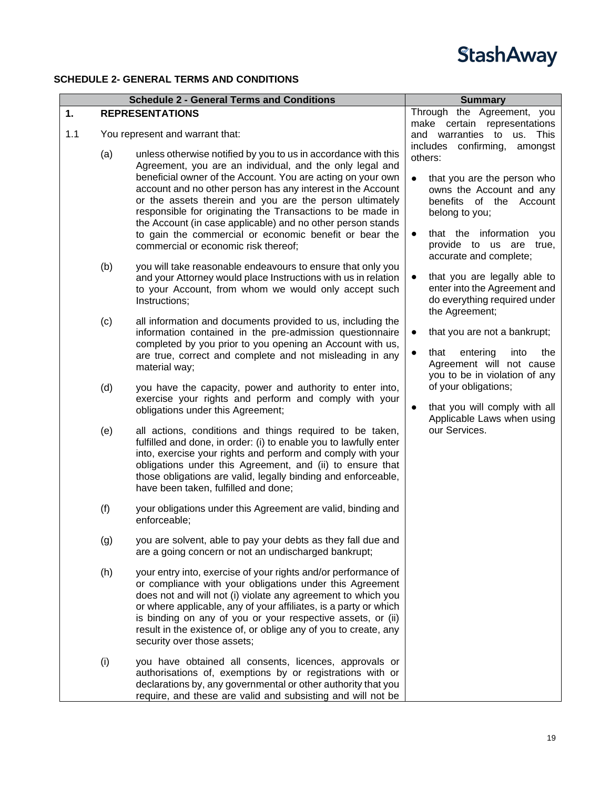### <span id="page-25-0"></span>**SCHEDULE 2- GENERAL TERMS AND CONDITIONS**

<span id="page-25-1"></span>

|     |     | <b>Schedule 2 - General Terms and Conditions</b>                                                                                                                                                                                                                                                                                                                                                                                                                                                                                                   | <b>Summary</b>                                                                                                                                                                                                                  |
|-----|-----|----------------------------------------------------------------------------------------------------------------------------------------------------------------------------------------------------------------------------------------------------------------------------------------------------------------------------------------------------------------------------------------------------------------------------------------------------------------------------------------------------------------------------------------------------|---------------------------------------------------------------------------------------------------------------------------------------------------------------------------------------------------------------------------------|
| 1.  |     | <b>REPRESENTATIONS</b>                                                                                                                                                                                                                                                                                                                                                                                                                                                                                                                             | Through the Agreement, you                                                                                                                                                                                                      |
| 1.1 |     | You represent and warrant that:                                                                                                                                                                                                                                                                                                                                                                                                                                                                                                                    | make certain representations<br>and warranties to us. This                                                                                                                                                                      |
|     | (a) | unless otherwise notified by you to us in accordance with this<br>Agreement, you are an individual, and the only legal and<br>beneficial owner of the Account. You are acting on your own<br>account and no other person has any interest in the Account<br>or the assets therein and you are the person ultimately<br>responsible for originating the Transactions to be made in<br>the Account (in case applicable) and no other person stands<br>to gain the commercial or economic benefit or bear the<br>commercial or economic risk thereof; | includes confirming,<br>amongst<br>others:<br>that you are the person who<br>owns the Account and any<br>benefits of the<br>Account<br>belong to you;<br>that the information<br>you<br>$\bullet$<br>provide to us are<br>true, |
|     | (b) | you will take reasonable endeavours to ensure that only you<br>and your Attorney would place Instructions with us in relation<br>to your Account, from whom we would only accept such<br>Instructions;                                                                                                                                                                                                                                                                                                                                             | accurate and complete;<br>that you are legally able to<br>enter into the Agreement and<br>do everything required under<br>the Agreement;                                                                                        |
|     | (c) | all information and documents provided to us, including the<br>information contained in the pre-admission questionnaire<br>completed by you prior to you opening an Account with us,<br>are true, correct and complete and not misleading in any<br>material way;                                                                                                                                                                                                                                                                                  | that you are not a bankrupt;<br>$\bullet$<br>that<br>entering<br>into<br>the<br>$\bullet$<br>Agreement will not cause<br>you to be in violation of any                                                                          |
|     | (d) | you have the capacity, power and authority to enter into,<br>exercise your rights and perform and comply with your<br>obligations under this Agreement;                                                                                                                                                                                                                                                                                                                                                                                            | of your obligations;<br>that you will comply with all<br>Applicable Laws when using                                                                                                                                             |
|     | (e) | all actions, conditions and things required to be taken,<br>fulfilled and done, in order: (i) to enable you to lawfully enter<br>into, exercise your rights and perform and comply with your<br>obligations under this Agreement, and (ii) to ensure that<br>those obligations are valid, legally binding and enforceable,<br>have been taken, fulfilled and done;                                                                                                                                                                                 | our Services.                                                                                                                                                                                                                   |
|     | (f) | your obligations under this Agreement are valid, binding and<br>enforceable;                                                                                                                                                                                                                                                                                                                                                                                                                                                                       |                                                                                                                                                                                                                                 |
|     | (g) | you are solvent, able to pay your debts as they fall due and<br>are a going concern or not an undischarged bankrupt;                                                                                                                                                                                                                                                                                                                                                                                                                               |                                                                                                                                                                                                                                 |
|     | (h) | your entry into, exercise of your rights and/or performance of<br>or compliance with your obligations under this Agreement<br>does not and will not (i) violate any agreement to which you<br>or where applicable, any of your affiliates, is a party or which<br>is binding on any of you or your respective assets, or (ii)<br>result in the existence of, or oblige any of you to create, any<br>security over those assets;                                                                                                                    |                                                                                                                                                                                                                                 |
|     | (i) | you have obtained all consents, licences, approvals or<br>authorisations of, exemptions by or registrations with or<br>declarations by, any governmental or other authority that you<br>require, and these are valid and subsisting and will not be                                                                                                                                                                                                                                                                                                |                                                                                                                                                                                                                                 |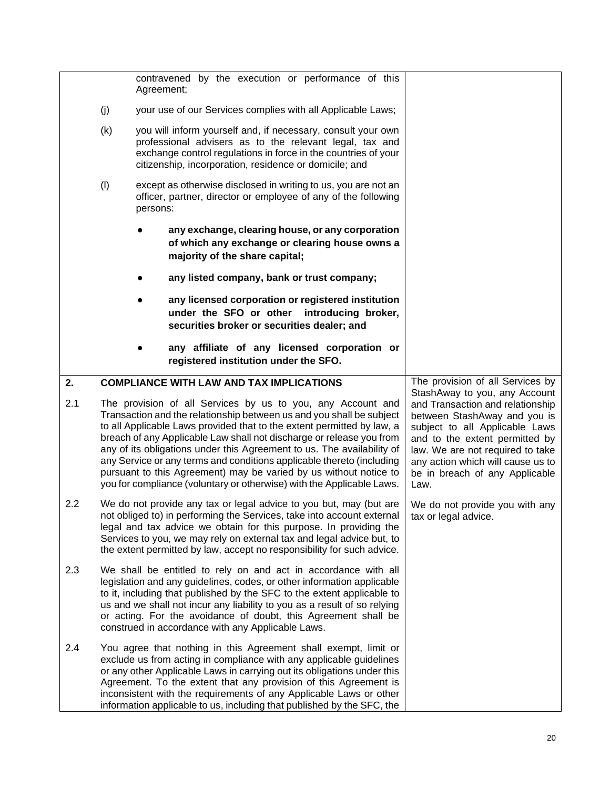<span id="page-26-0"></span>

|           |     | contravened by the execution or performance of this<br>Agreement;                                                                                                                                                                                                                                                                                                                                                                                                                                                                                                                                                                         |                     |                                                                                                                                                                                                                                                                                                                              |
|-----------|-----|-------------------------------------------------------------------------------------------------------------------------------------------------------------------------------------------------------------------------------------------------------------------------------------------------------------------------------------------------------------------------------------------------------------------------------------------------------------------------------------------------------------------------------------------------------------------------------------------------------------------------------------------|---------------------|------------------------------------------------------------------------------------------------------------------------------------------------------------------------------------------------------------------------------------------------------------------------------------------------------------------------------|
|           | (j) | your use of our Services complies with all Applicable Laws;                                                                                                                                                                                                                                                                                                                                                                                                                                                                                                                                                                               |                     |                                                                                                                                                                                                                                                                                                                              |
|           | (k) | you will inform yourself and, if necessary, consult your own<br>professional advisers as to the relevant legal, tax and<br>exchange control regulations in force in the countries of your<br>citizenship, incorporation, residence or domicile; and                                                                                                                                                                                                                                                                                                                                                                                       |                     |                                                                                                                                                                                                                                                                                                                              |
|           | (1) | except as otherwise disclosed in writing to us, you are not an<br>officer, partner, director or employee of any of the following<br>persons:                                                                                                                                                                                                                                                                                                                                                                                                                                                                                              |                     |                                                                                                                                                                                                                                                                                                                              |
|           |     | any exchange, clearing house, or any corporation<br>of which any exchange or clearing house owns a<br>majority of the share capital;                                                                                                                                                                                                                                                                                                                                                                                                                                                                                                      |                     |                                                                                                                                                                                                                                                                                                                              |
|           |     | any listed company, bank or trust company;                                                                                                                                                                                                                                                                                                                                                                                                                                                                                                                                                                                                |                     |                                                                                                                                                                                                                                                                                                                              |
|           |     | any licensed corporation or registered institution<br>under the SFO or other<br>securities broker or securities dealer; and                                                                                                                                                                                                                                                                                                                                                                                                                                                                                                               | introducing broker, |                                                                                                                                                                                                                                                                                                                              |
|           |     | any affiliate of any licensed corporation or<br>registered institution under the SFO.                                                                                                                                                                                                                                                                                                                                                                                                                                                                                                                                                     |                     |                                                                                                                                                                                                                                                                                                                              |
| 2.<br>2.1 |     | <b>COMPLIANCE WITH LAW AND TAX IMPLICATIONS</b><br>The provision of all Services by us to you, any Account and<br>Transaction and the relationship between us and you shall be subject<br>to all Applicable Laws provided that to the extent permitted by law, a<br>breach of any Applicable Law shall not discharge or release you from<br>any of its obligations under this Agreement to us. The availability of<br>any Service or any terms and conditions applicable thereto (including<br>pursuant to this Agreement) may be varied by us without notice to<br>you for compliance (voluntary or otherwise) with the Applicable Laws. |                     | The provision of all Services by<br>StashAway to you, any Account<br>and Transaction and relationship<br>between StashAway and you is<br>subject to all Applicable Laws<br>and to the extent permitted by<br>law. We are not required to take<br>any action which will cause us to<br>be in breach of any Applicable<br>Law. |
| 2.2       |     | We do not provide any tax or legal advice to you but, may (but are<br>not obliged to) in performing the Services, take into account external<br>legal and tax advice we obtain for this purpose. In providing the<br>Services to you, we may rely on external tax and legal advice but, to<br>the extent permitted by law, accept no responsibility for such advice.                                                                                                                                                                                                                                                                      |                     | We do not provide you with any<br>tax or legal advice.                                                                                                                                                                                                                                                                       |
| 2.3       |     | We shall be entitled to rely on and act in accordance with all<br>legislation and any guidelines, codes, or other information applicable<br>to it, including that published by the SFC to the extent applicable to<br>us and we shall not incur any liability to you as a result of so relying<br>or acting. For the avoidance of doubt, this Agreement shall be<br>construed in accordance with any Applicable Laws.                                                                                                                                                                                                                     |                     |                                                                                                                                                                                                                                                                                                                              |
| 2.4       |     | You agree that nothing in this Agreement shall exempt, limit or<br>exclude us from acting in compliance with any applicable guidelines<br>or any other Applicable Laws in carrying out its obligations under this<br>Agreement. To the extent that any provision of this Agreement is<br>inconsistent with the requirements of any Applicable Laws or other<br>information applicable to us, including that published by the SFC, the                                                                                                                                                                                                     |                     |                                                                                                                                                                                                                                                                                                                              |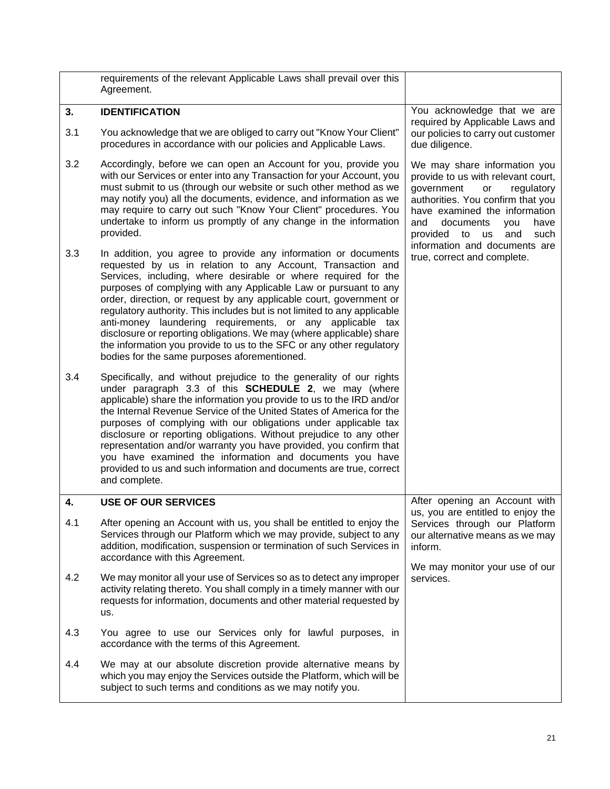<span id="page-27-1"></span><span id="page-27-0"></span>

|     | requirements of the relevant Applicable Laws shall prevail over this<br>Agreement.                                                                                                                                                                                                                                                                                                                                                                                                                                                                                                                                                                                                  |                                                                                                                                                                                                                                                                                    |
|-----|-------------------------------------------------------------------------------------------------------------------------------------------------------------------------------------------------------------------------------------------------------------------------------------------------------------------------------------------------------------------------------------------------------------------------------------------------------------------------------------------------------------------------------------------------------------------------------------------------------------------------------------------------------------------------------------|------------------------------------------------------------------------------------------------------------------------------------------------------------------------------------------------------------------------------------------------------------------------------------|
| 3.  | <b>IDENTIFICATION</b>                                                                                                                                                                                                                                                                                                                                                                                                                                                                                                                                                                                                                                                               | You acknowledge that we are<br>required by Applicable Laws and                                                                                                                                                                                                                     |
| 3.1 | You acknowledge that we are obliged to carry out "Know Your Client"<br>procedures in accordance with our policies and Applicable Laws.                                                                                                                                                                                                                                                                                                                                                                                                                                                                                                                                              | our policies to carry out customer<br>due diligence.                                                                                                                                                                                                                               |
| 3.2 | Accordingly, before we can open an Account for you, provide you<br>with our Services or enter into any Transaction for your Account, you<br>must submit to us (through our website or such other method as we<br>may notify you) all the documents, evidence, and information as we<br>may require to carry out such "Know Your Client" procedures. You<br>undertake to inform us promptly of any change in the information<br>provided.                                                                                                                                                                                                                                            | We may share information you<br>provide to us with relevant court,<br>government<br>regulatory<br>or<br>authorities. You confirm that you<br>have examined the information<br>and<br>documents<br>have<br>you<br>and<br>provided<br>to us<br>such<br>information and documents are |
| 3.3 | In addition, you agree to provide any information or documents<br>requested by us in relation to any Account, Transaction and<br>Services, including, where desirable or where required for the<br>purposes of complying with any Applicable Law or pursuant to any<br>order, direction, or request by any applicable court, government or<br>regulatory authority. This includes but is not limited to any applicable<br>anti-money laundering requirements, or any applicable tax<br>disclosure or reporting obligations. We may (where applicable) share<br>the information you provide to us to the SFC or any other regulatory<br>bodies for the same purposes aforementioned. | true, correct and complete.                                                                                                                                                                                                                                                        |
| 3.4 | Specifically, and without prejudice to the generality of our rights<br>under paragraph 3.3 of this <b>SCHEDULE 2</b> , we may (where<br>applicable) share the information you provide to us to the IRD and/or<br>the Internal Revenue Service of the United States of America for the<br>purposes of complying with our obligations under applicable tax<br>disclosure or reporting obligations. Without prejudice to any other<br>representation and/or warranty you have provided, you confirm that<br>you have examined the information and documents you have<br>provided to us and such information and documents are true, correct<br>and complete.                           |                                                                                                                                                                                                                                                                                    |
| 4.  | <b>USE OF OUR SERVICES</b>                                                                                                                                                                                                                                                                                                                                                                                                                                                                                                                                                                                                                                                          | After opening an Account with                                                                                                                                                                                                                                                      |
| 4.1 | After opening an Account with us, you shall be entitled to enjoy the<br>Services through our Platform which we may provide, subject to any<br>addition, modification, suspension or termination of such Services in<br>accordance with this Agreement.                                                                                                                                                                                                                                                                                                                                                                                                                              | us, you are entitled to enjoy the<br>Services through our Platform<br>our alternative means as we may<br>inform.                                                                                                                                                                   |
| 4.2 | We may monitor all your use of Services so as to detect any improper<br>activity relating thereto. You shall comply in a timely manner with our<br>requests for information, documents and other material requested by<br>us.                                                                                                                                                                                                                                                                                                                                                                                                                                                       | We may monitor your use of our<br>services.                                                                                                                                                                                                                                        |
| 4.3 | You agree to use our Services only for lawful purposes, in<br>accordance with the terms of this Agreement.                                                                                                                                                                                                                                                                                                                                                                                                                                                                                                                                                                          |                                                                                                                                                                                                                                                                                    |
| 4.4 | We may at our absolute discretion provide alternative means by<br>which you may enjoy the Services outside the Platform, which will be<br>subject to such terms and conditions as we may notify you.                                                                                                                                                                                                                                                                                                                                                                                                                                                                                |                                                                                                                                                                                                                                                                                    |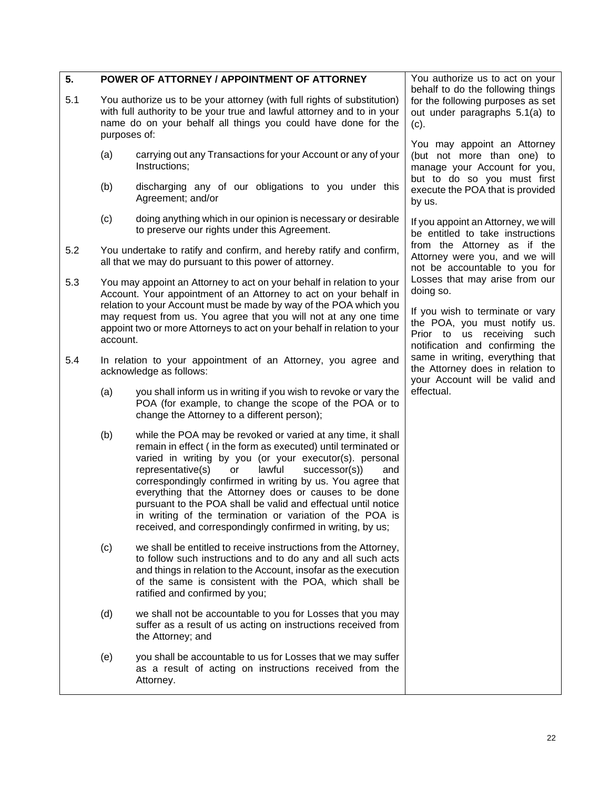<span id="page-28-0"></span>

| 5.  |              | POWER OF ATTORNEY / APPOINTMENT OF ATTORNEY                                                                                                                                                                                                                                                                                                                                                                                                                                                                                                                              | You authorize us to act on your<br>behalf to do the following things                                                              |
|-----|--------------|--------------------------------------------------------------------------------------------------------------------------------------------------------------------------------------------------------------------------------------------------------------------------------------------------------------------------------------------------------------------------------------------------------------------------------------------------------------------------------------------------------------------------------------------------------------------------|-----------------------------------------------------------------------------------------------------------------------------------|
| 5.1 | purposes of: | You authorize us to be your attorney (with full rights of substitution)<br>with full authority to be your true and lawful attorney and to in your<br>name do on your behalf all things you could have done for the                                                                                                                                                                                                                                                                                                                                                       | for the following purposes as set<br>out under paragraphs 5.1(a) to<br>$(c)$ .                                                    |
|     | (a)          | carrying out any Transactions for your Account or any of your<br>Instructions;                                                                                                                                                                                                                                                                                                                                                                                                                                                                                           | You may appoint an Attorney<br>(but not more than one) to<br>manage your Account for you,                                         |
|     | (b)          | discharging any of our obligations to you under this<br>Agreement; and/or                                                                                                                                                                                                                                                                                                                                                                                                                                                                                                | but to do so you must first<br>execute the POA that is provided<br>by us.                                                         |
|     | (c)          | doing anything which in our opinion is necessary or desirable<br>to preserve our rights under this Agreement.                                                                                                                                                                                                                                                                                                                                                                                                                                                            | If you appoint an Attorney, we will<br>be entitled to take instructions                                                           |
| 5.2 |              | You undertake to ratify and confirm, and hereby ratify and confirm,<br>all that we may do pursuant to this power of attorney.                                                                                                                                                                                                                                                                                                                                                                                                                                            | from the Attorney as if the<br>Attorney were you, and we will<br>not be accountable to you for                                    |
| 5.3 |              | You may appoint an Attorney to act on your behalf in relation to your<br>Account. Your appointment of an Attorney to act on your behalf in<br>relation to your Account must be made by way of the POA which you                                                                                                                                                                                                                                                                                                                                                          | Losses that may arise from our<br>doing so.                                                                                       |
|     | account.     | may request from us. You agree that you will not at any one time<br>appoint two or more Attorneys to act on your behalf in relation to your                                                                                                                                                                                                                                                                                                                                                                                                                              | If you wish to terminate or vary<br>the POA, you must notify us.<br>Prior to us receiving such<br>notification and confirming the |
| 5.4 |              | In relation to your appointment of an Attorney, you agree and<br>acknowledge as follows:                                                                                                                                                                                                                                                                                                                                                                                                                                                                                 | same in writing, everything that<br>the Attorney does in relation to<br>your Account will be valid and                            |
|     | (a)          | you shall inform us in writing if you wish to revoke or vary the<br>POA (for example, to change the scope of the POA or to<br>change the Attorney to a different person);                                                                                                                                                                                                                                                                                                                                                                                                | effectual.                                                                                                                        |
|     | (b)          | while the POA may be revoked or varied at any time, it shall<br>remain in effect (in the form as executed) until terminated or<br>varied in writing by you (or your executor(s). personal<br>representative(s)<br>lawful<br>successor(s)<br>or<br>and<br>correspondingly confirmed in writing by us. You agree that<br>everything that the Attorney does or causes to be done<br>pursuant to the POA shall be valid and effectual until notice<br>in writing of the termination or variation of the POA is<br>received, and correspondingly confirmed in writing, by us; |                                                                                                                                   |
|     | (c)          | we shall be entitled to receive instructions from the Attorney,<br>to follow such instructions and to do any and all such acts<br>and things in relation to the Account, insofar as the execution<br>of the same is consistent with the POA, which shall be<br>ratified and confirmed by you;                                                                                                                                                                                                                                                                            |                                                                                                                                   |
|     | (d)          | we shall not be accountable to you for Losses that you may<br>suffer as a result of us acting on instructions received from<br>the Attorney; and                                                                                                                                                                                                                                                                                                                                                                                                                         |                                                                                                                                   |
|     | (e)          | you shall be accountable to us for Losses that we may suffer<br>as a result of acting on instructions received from the<br>Attorney.                                                                                                                                                                                                                                                                                                                                                                                                                                     |                                                                                                                                   |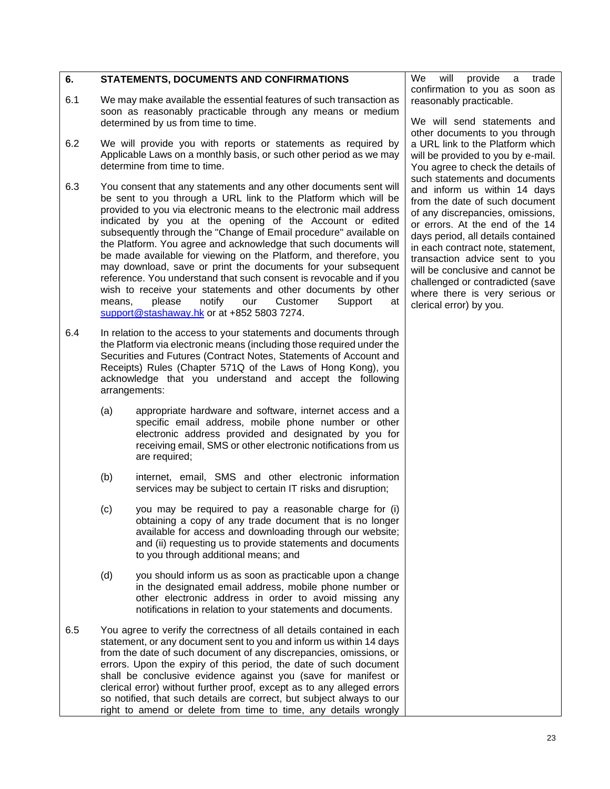### <span id="page-29-0"></span>**6. STATEMENTS, DOCUMENTS AND CONFIRMATIONS**

- 6.1 We may make available the essential features of such transaction as soon as reasonably practicable through any means or medium determined by us from time to time.
- 6.2 We will provide you with reports or statements as required by Applicable Laws on a monthly basis, or such other period as we may determine from time to time.
- 6.3 You consent that any statements and any other documents sent will be sent to you through a URL link to the Platform which will be provided to you via electronic means to the electronic mail address indicated by you at the opening of the Account or edited subsequently through the "Change of Email procedure" available on the Platform. You agree and acknowledge that such documents will be made available for viewing on the Platform, and therefore, you may download, save or print the documents for your subsequent reference. You understand that such consent is revocable and if you wish to receive your statements and other documents by other means, please notify our Customer Support at support@stashaway.hk or at +852 5803 7274.
- 6.4 In relation to the access to your statements and documents through the Platform via electronic means (including those required under the Securities and Futures (Contract Notes, Statements of Account and Receipts) Rules (Chapter 571Q of the Laws of Hong Kong), you acknowledge that you understand and accept the following arrangements:
	- (a) appropriate hardware and software, internet access and a specific email address, mobile phone number or other electronic address provided and designated by you for receiving email, SMS or other electronic notifications from us are required;
	- (b) internet, email, SMS and other electronic information services may be subject to certain IT risks and disruption;
	- (c) you may be required to pay a reasonable charge for (i) obtaining a copy of any trade document that is no longer available for access and downloading through our website; and (ii) requesting us to provide statements and documents to you through additional means; and
	- (d) you should inform us as soon as practicable upon a change in the designated email address, mobile phone number or other electronic address in order to avoid missing any notifications in relation to your statements and documents.
- 6.5 You agree to verify the correctness of all details contained in each statement, or any document sent to you and inform us within 14 days from the date of such document of any discrepancies, omissions, or errors. Upon the expiry of this period, the date of such document shall be conclusive evidence against you (save for manifest or clerical error) without further proof, except as to any alleged errors so notified, that such details are correct, but subject always to our right to amend or delete from time to time, any details wrongly

We will provide a trade confirmation to you as soon as reasonably practicable.

We will send statements and other documents to you through a URL link to the Platform which will be provided to you by e-mail. You agree to check the details of such statements and documents and inform us within 14 days from the date of such document of any discrepancies, omissions, or errors. At the end of the 14 days period, all details contained in each contract note, statement, transaction advice sent to you will be conclusive and cannot be challenged or contradicted (save where there is very serious or clerical error) by you.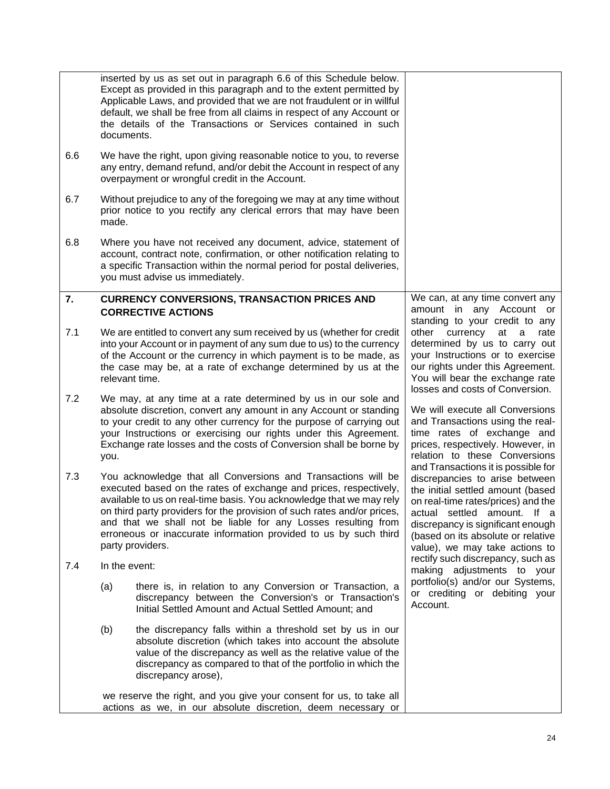<span id="page-30-0"></span>

|     | documents.    | inserted by us as set out in paragraph 6.6 of this Schedule below.<br>Except as provided in this paragraph and to the extent permitted by<br>Applicable Laws, and provided that we are not fraudulent or in willful<br>default, we shall be free from all claims in respect of any Account or<br>the details of the Transactions or Services contained in such                                                                                 |                                                                                                                                                                                                                                                                                              |
|-----|---------------|------------------------------------------------------------------------------------------------------------------------------------------------------------------------------------------------------------------------------------------------------------------------------------------------------------------------------------------------------------------------------------------------------------------------------------------------|----------------------------------------------------------------------------------------------------------------------------------------------------------------------------------------------------------------------------------------------------------------------------------------------|
| 6.6 |               | We have the right, upon giving reasonable notice to you, to reverse<br>any entry, demand refund, and/or debit the Account in respect of any<br>overpayment or wrongful credit in the Account.                                                                                                                                                                                                                                                  |                                                                                                                                                                                                                                                                                              |
| 6.7 | made.         | Without prejudice to any of the foregoing we may at any time without<br>prior notice to you rectify any clerical errors that may have been                                                                                                                                                                                                                                                                                                     |                                                                                                                                                                                                                                                                                              |
| 6.8 |               | Where you have not received any document, advice, statement of<br>account, contract note, confirmation, or other notification relating to<br>a specific Transaction within the normal period for postal deliveries,<br>you must advise us immediately.                                                                                                                                                                                         |                                                                                                                                                                                                                                                                                              |
| 7.  |               | <b>CURRENCY CONVERSIONS, TRANSACTION PRICES AND</b><br><b>CORRECTIVE ACTIONS</b>                                                                                                                                                                                                                                                                                                                                                               | We can, at any time convert any<br>amount in any Account or<br>standing to your credit to any                                                                                                                                                                                                |
| 7.1 |               | We are entitled to convert any sum received by us (whether for credit<br>into your Account or in payment of any sum due to us) to the currency<br>of the Account or the currency in which payment is to be made, as<br>the case may be, at a rate of exchange determined by us at the<br>relevant time.                                                                                                                                        | other<br>currency<br>at<br>a<br>rate<br>determined by us to carry out<br>your Instructions or to exercise<br>our rights under this Agreement.<br>You will bear the exchange rate<br>losses and costs of Conversion.                                                                          |
| 7.2 | you.          | We may, at any time at a rate determined by us in our sole and<br>absolute discretion, convert any amount in any Account or standing<br>to your credit to any other currency for the purpose of carrying out<br>your Instructions or exercising our rights under this Agreement.<br>Exchange rate losses and the costs of Conversion shall be borne by                                                                                         | We will execute all Conversions<br>and Transactions using the real-<br>time rates of exchange and<br>prices, respectively. However, in<br>relation to these Conversions                                                                                                                      |
| 7.3 |               | You acknowledge that all Conversions and Transactions will be<br>executed based on the rates of exchange and prices, respectively,<br>available to us on real-time basis. You acknowledge that we may rely<br>on third party providers for the provision of such rates and/or prices,<br>and that we shall not be liable for any Losses resulting from<br>erroneous or inaccurate information provided to us by such third<br>party providers. | and Transactions it is possible for<br>discrepancies to arise between<br>the initial settled amount (based<br>on real-time rates/prices) and the<br>actual settled amount. If a<br>discrepancy is significant enough<br>(based on its absolute or relative<br>value), we may take actions to |
| 7.4 | In the event: |                                                                                                                                                                                                                                                                                                                                                                                                                                                | rectify such discrepancy, such as<br>making adjustments to your                                                                                                                                                                                                                              |
|     | (a)           | there is, in relation to any Conversion or Transaction, a<br>discrepancy between the Conversion's or Transaction's<br>Initial Settled Amount and Actual Settled Amount; and                                                                                                                                                                                                                                                                    | portfolio(s) and/or our Systems,<br>or crediting or debiting your<br>Account.                                                                                                                                                                                                                |
|     | (b)           | the discrepancy falls within a threshold set by us in our<br>absolute discretion (which takes into account the absolute<br>value of the discrepancy as well as the relative value of the<br>discrepancy as compared to that of the portfolio in which the<br>discrepancy arose),                                                                                                                                                               |                                                                                                                                                                                                                                                                                              |
|     |               | we reserve the right, and you give your consent for us, to take all<br>actions as we, in our absolute discretion, deem necessary or                                                                                                                                                                                                                                                                                                            |                                                                                                                                                                                                                                                                                              |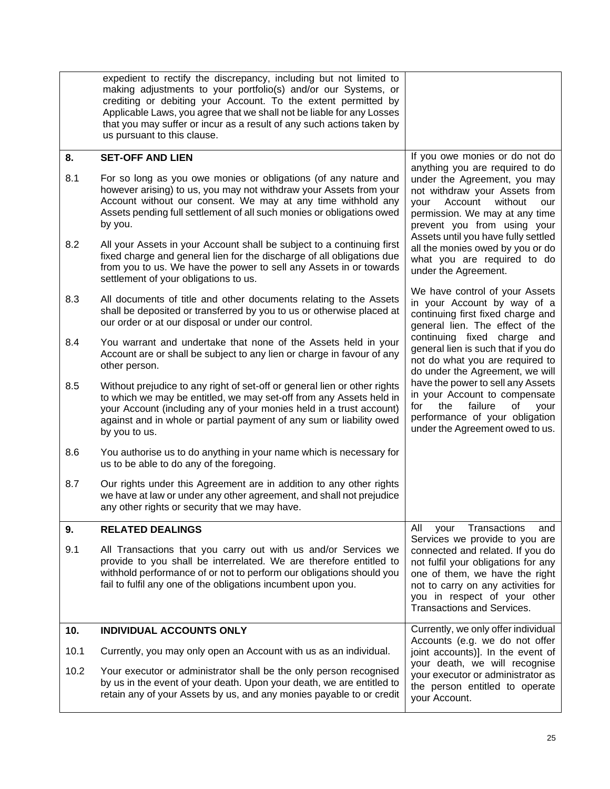<span id="page-31-2"></span><span id="page-31-1"></span><span id="page-31-0"></span>

|      | expedient to rectify the discrepancy, including but not limited to<br>making adjustments to your portfolio(s) and/or our Systems, or<br>crediting or debiting your Account. To the extent permitted by<br>Applicable Laws, you agree that we shall not be liable for any Losses<br>that you may suffer or incur as a result of any such actions taken by<br>us pursuant to this clause. |                                                                                                                                                                                                                                                 |
|------|-----------------------------------------------------------------------------------------------------------------------------------------------------------------------------------------------------------------------------------------------------------------------------------------------------------------------------------------------------------------------------------------|-------------------------------------------------------------------------------------------------------------------------------------------------------------------------------------------------------------------------------------------------|
| 8.   | <b>SET-OFF AND LIEN</b>                                                                                                                                                                                                                                                                                                                                                                 | If you owe monies or do not do                                                                                                                                                                                                                  |
| 8.1  | For so long as you owe monies or obligations (of any nature and<br>however arising) to us, you may not withdraw your Assets from your<br>Account without our consent. We may at any time withhold any<br>Assets pending full settlement of all such monies or obligations owed<br>by you.                                                                                               | anything you are required to do<br>under the Agreement, you may<br>not withdraw your Assets from<br>without<br>your<br>Account<br>our<br>permission. We may at any time<br>prevent you from using your<br>Assets until you have fully settled   |
| 8.2  | All your Assets in your Account shall be subject to a continuing first<br>fixed charge and general lien for the discharge of all obligations due<br>from you to us. We have the power to sell any Assets in or towards<br>settlement of your obligations to us.                                                                                                                         | all the monies owed by you or do<br>what you are required to do<br>under the Agreement.                                                                                                                                                         |
| 8.3  | All documents of title and other documents relating to the Assets<br>shall be deposited or transferred by you to us or otherwise placed at<br>our order or at our disposal or under our control.                                                                                                                                                                                        | We have control of your Assets<br>in your Account by way of a<br>continuing first fixed charge and<br>general lien. The effect of the                                                                                                           |
| 8.4  | You warrant and undertake that none of the Assets held in your<br>Account are or shall be subject to any lien or charge in favour of any<br>other person.                                                                                                                                                                                                                               | continuing fixed charge and<br>general lien is such that if you do<br>not do what you are required to<br>do under the Agreement, we will                                                                                                        |
| 8.5  | Without prejudice to any right of set-off or general lien or other rights<br>to which we may be entitled, we may set-off from any Assets held in<br>your Account (including any of your monies held in a trust account)<br>against and in whole or partial payment of any sum or liability owed<br>by you to us.                                                                        | have the power to sell any Assets<br>in your Account to compensate<br>failure<br>for<br>the<br>οf<br>your<br>performance of your obligation<br>under the Agreement owed to us.                                                                  |
| 8.6  | You authorise us to do anything in your name which is necessary for<br>us to be able to do any of the foregoing.                                                                                                                                                                                                                                                                        |                                                                                                                                                                                                                                                 |
| 8.7  | Our rights under this Agreement are in addition to any other rights<br>we have at law or under any other agreement, and shall not prejudice<br>any other rights or security that we may have.                                                                                                                                                                                           |                                                                                                                                                                                                                                                 |
| 9.   | <b>RELATED DEALINGS</b>                                                                                                                                                                                                                                                                                                                                                                 | Transactions<br>All<br>your<br>and                                                                                                                                                                                                              |
| 9.1  | All Transactions that you carry out with us and/or Services we<br>provide to you shall be interrelated. We are therefore entitled to<br>withhold performance of or not to perform our obligations should you<br>fail to fulfil any one of the obligations incumbent upon you.                                                                                                           | Services we provide to you are<br>connected and related. If you do<br>not fulfil your obligations for any<br>one of them, we have the right<br>not to carry on any activities for<br>you in respect of your other<br>Transactions and Services. |
| 10.  | <b>INDIVIDUAL ACCOUNTS ONLY</b>                                                                                                                                                                                                                                                                                                                                                         | Currently, we only offer individual<br>Accounts (e.g. we do not offer                                                                                                                                                                           |
| 10.1 | Currently, you may only open an Account with us as an individual.                                                                                                                                                                                                                                                                                                                       | joint accounts)]. In the event of                                                                                                                                                                                                               |
| 10.2 | Your executor or administrator shall be the only person recognised<br>by us in the event of your death. Upon your death, we are entitled to<br>retain any of your Assets by us, and any monies payable to or credit                                                                                                                                                                     | your death, we will recognise<br>your executor or administrator as<br>the person entitled to operate<br>your Account.                                                                                                                           |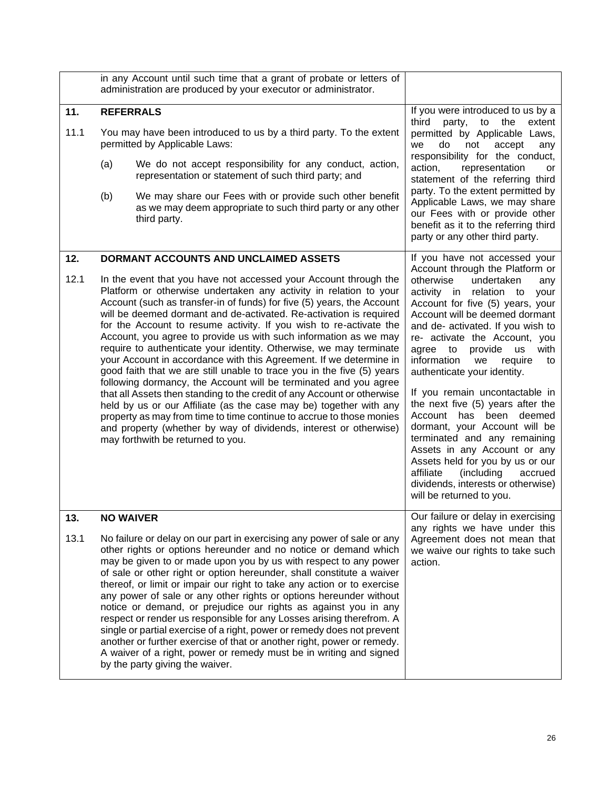<span id="page-32-2"></span><span id="page-32-1"></span><span id="page-32-0"></span>

|             |                                                                                                                                                                                                                                                                                                                                                                                                                                                                                                                                                                                                                                                                                                                                                                                                                                                                                                                                                                                                                                                                                                       | in any Account until such time that a grant of probate or letters of<br>administration are produced by your executor or administrator.                                                                                                                                                                                                                                                                                                                                                                                                                                                                                                                                                                                                                                                                                                                               |                                                                                                                                                                                                                                                                                                                                                                                                                                                                                                                                                                                                                                                                                                                                                      |
|-------------|-------------------------------------------------------------------------------------------------------------------------------------------------------------------------------------------------------------------------------------------------------------------------------------------------------------------------------------------------------------------------------------------------------------------------------------------------------------------------------------------------------------------------------------------------------------------------------------------------------------------------------------------------------------------------------------------------------------------------------------------------------------------------------------------------------------------------------------------------------------------------------------------------------------------------------------------------------------------------------------------------------------------------------------------------------------------------------------------------------|----------------------------------------------------------------------------------------------------------------------------------------------------------------------------------------------------------------------------------------------------------------------------------------------------------------------------------------------------------------------------------------------------------------------------------------------------------------------------------------------------------------------------------------------------------------------------------------------------------------------------------------------------------------------------------------------------------------------------------------------------------------------------------------------------------------------------------------------------------------------|------------------------------------------------------------------------------------------------------------------------------------------------------------------------------------------------------------------------------------------------------------------------------------------------------------------------------------------------------------------------------------------------------------------------------------------------------------------------------------------------------------------------------------------------------------------------------------------------------------------------------------------------------------------------------------------------------------------------------------------------------|
| 11.<br>11.1 | (a)<br>(b)                                                                                                                                                                                                                                                                                                                                                                                                                                                                                                                                                                                                                                                                                                                                                                                                                                                                                                                                                                                                                                                                                            | <b>REFERRALS</b><br>You may have been introduced to us by a third party. To the extent<br>permitted by Applicable Laws:<br>We do not accept responsibility for any conduct, action,<br>representation or statement of such third party; and<br>We may share our Fees with or provide such other benefit<br>as we may deem appropriate to such third party or any other<br>third party.                                                                                                                                                                                                                                                                                                                                                                                                                                                                               | If you were introduced to us by a<br>third<br>party,<br>to<br>the<br>extent<br>permitted by Applicable Laws,<br>we<br>do<br>not<br>accept<br>any<br>responsibility for the conduct,<br>action,<br>representation<br>or<br>statement of the referring third<br>party. To the extent permitted by<br>Applicable Laws, we may share<br>our Fees with or provide other<br>benefit as it to the referring third<br>party or any other third party.                                                                                                                                                                                                                                                                                                        |
| 12.<br>12.1 | DORMANT ACCOUNTS AND UNCLAIMED ASSETS<br>In the event that you have not accessed your Account through the<br>Platform or otherwise undertaken any activity in relation to your<br>Account (such as transfer-in of funds) for five (5) years, the Account<br>will be deemed dormant and de-activated. Re-activation is required<br>for the Account to resume activity. If you wish to re-activate the<br>Account, you agree to provide us with such information as we may<br>require to authenticate your identity. Otherwise, we may terminate<br>your Account in accordance with this Agreement. If we determine in<br>good faith that we are still unable to trace you in the five (5) years<br>following dormancy, the Account will be terminated and you agree<br>that all Assets then standing to the credit of any Account or otherwise<br>held by us or our Affiliate (as the case may be) together with any<br>property as may from time to time continue to accrue to those monies<br>and property (whether by way of dividends, interest or otherwise)<br>may forthwith be returned to you. |                                                                                                                                                                                                                                                                                                                                                                                                                                                                                                                                                                                                                                                                                                                                                                                                                                                                      | If you have not accessed your<br>Account through the Platform or<br>otherwise<br>undertaken<br>any<br>activity in<br>relation to<br>your<br>Account for five (5) years, your<br>Account will be deemed dormant<br>and de- activated. If you wish to<br>re- activate the Account, you<br>agree to<br>provide<br>with<br><b>us</b><br>information<br>require<br>we<br>to<br>authenticate your identity.<br>If you remain uncontactable in<br>the next five (5) years after the<br>Account has been deemed<br>dormant, your Account will be<br>terminated and any remaining<br>Assets in any Account or any<br>Assets held for you by us or our<br>affiliate<br>(including<br>accrued<br>dividends, interests or otherwise)<br>will be returned to you. |
| 13.<br>13.1 |                                                                                                                                                                                                                                                                                                                                                                                                                                                                                                                                                                                                                                                                                                                                                                                                                                                                                                                                                                                                                                                                                                       | <b>NO WAIVER</b><br>No failure or delay on our part in exercising any power of sale or any<br>other rights or options hereunder and no notice or demand which<br>may be given to or made upon you by us with respect to any power<br>of sale or other right or option hereunder, shall constitute a waiver<br>thereof, or limit or impair our right to take any action or to exercise<br>any power of sale or any other rights or options hereunder without<br>notice or demand, or prejudice our rights as against you in any<br>respect or render us responsible for any Losses arising therefrom. A<br>single or partial exercise of a right, power or remedy does not prevent<br>another or further exercise of that or another right, power or remedy.<br>A waiver of a right, power or remedy must be in writing and signed<br>by the party giving the waiver. | Our failure or delay in exercising<br>any rights we have under this<br>Agreement does not mean that<br>we waive our rights to take such<br>action.                                                                                                                                                                                                                                                                                                                                                                                                                                                                                                                                                                                                   |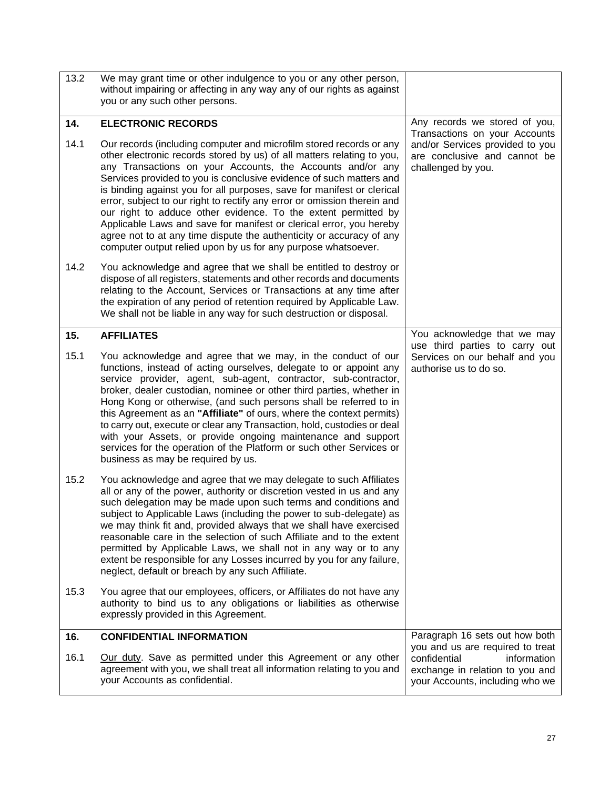<span id="page-33-2"></span><span id="page-33-1"></span><span id="page-33-0"></span>

| 13.2 | We may grant time or other indulgence to you or any other person,<br>without impairing or affecting in any way any of our rights as against<br>you or any such other persons.                                                                                                                                                                                                                                                                                                                                                                                                                                                                                                                                              |                                                                                                                        |
|------|----------------------------------------------------------------------------------------------------------------------------------------------------------------------------------------------------------------------------------------------------------------------------------------------------------------------------------------------------------------------------------------------------------------------------------------------------------------------------------------------------------------------------------------------------------------------------------------------------------------------------------------------------------------------------------------------------------------------------|------------------------------------------------------------------------------------------------------------------------|
| 14.  | <b>ELECTRONIC RECORDS</b>                                                                                                                                                                                                                                                                                                                                                                                                                                                                                                                                                                                                                                                                                                  | Any records we stored of you,                                                                                          |
| 14.1 | Our records (including computer and microfilm stored records or any<br>other electronic records stored by us) of all matters relating to you,<br>any Transactions on your Accounts, the Accounts and/or any<br>Services provided to you is conclusive evidence of such matters and<br>is binding against you for all purposes, save for manifest or clerical<br>error, subject to our right to rectify any error or omission therein and<br>our right to adduce other evidence. To the extent permitted by<br>Applicable Laws and save for manifest or clerical error, you hereby<br>agree not to at any time dispute the authenticity or accuracy of any<br>computer output relied upon by us for any purpose whatsoever. | Transactions on your Accounts<br>and/or Services provided to you<br>are conclusive and cannot be<br>challenged by you. |
| 14.2 | You acknowledge and agree that we shall be entitled to destroy or<br>dispose of all registers, statements and other records and documents<br>relating to the Account, Services or Transactions at any time after<br>the expiration of any period of retention required by Applicable Law.<br>We shall not be liable in any way for such destruction or disposal.                                                                                                                                                                                                                                                                                                                                                           |                                                                                                                        |
| 15.  | <b>AFFILIATES</b>                                                                                                                                                                                                                                                                                                                                                                                                                                                                                                                                                                                                                                                                                                          | You acknowledge that we may<br>use third parties to carry out                                                          |
| 15.1 | You acknowledge and agree that we may, in the conduct of our<br>functions, instead of acting ourselves, delegate to or appoint any<br>service provider, agent, sub-agent, contractor, sub-contractor,<br>broker, dealer custodian, nominee or other third parties, whether in<br>Hong Kong or otherwise, (and such persons shall be referred to in<br>this Agreement as an "Affiliate" of ours, where the context permits)<br>to carry out, execute or clear any Transaction, hold, custodies or deal<br>with your Assets, or provide ongoing maintenance and support<br>services for the operation of the Platform or such other Services or<br>business as may be required by us.                                        | Services on our behalf and you<br>authorise us to do so.                                                               |
| 15.2 | You acknowledge and agree that we may delegate to such Affiliates<br>all or any of the power, authority or discretion vested in us and any<br>such delegation may be made upon such terms and conditions and<br>subject to Applicable Laws (including the power to sub-delegate) as<br>we may think fit and, provided always that we shall have exercised<br>reasonable care in the selection of such Affiliate and to the extent<br>permitted by Applicable Laws, we shall not in any way or to any<br>extent be responsible for any Losses incurred by you for any failure,<br>neglect, default or breach by any such Affiliate.                                                                                         |                                                                                                                        |
| 15.3 | You agree that our employees, officers, or Affiliates do not have any<br>authority to bind us to any obligations or liabilities as otherwise<br>expressly provided in this Agreement.                                                                                                                                                                                                                                                                                                                                                                                                                                                                                                                                      |                                                                                                                        |
| 16.  | <b>CONFIDENTIAL INFORMATION</b>                                                                                                                                                                                                                                                                                                                                                                                                                                                                                                                                                                                                                                                                                            | Paragraph 16 sets out how both<br>you and us are required to treat                                                     |
| 16.1 | Our duty. Save as permitted under this Agreement or any other<br>agreement with you, we shall treat all information relating to you and<br>your Accounts as confidential.                                                                                                                                                                                                                                                                                                                                                                                                                                                                                                                                                  | confidential<br>information<br>exchange in relation to you and<br>your Accounts, including who we                      |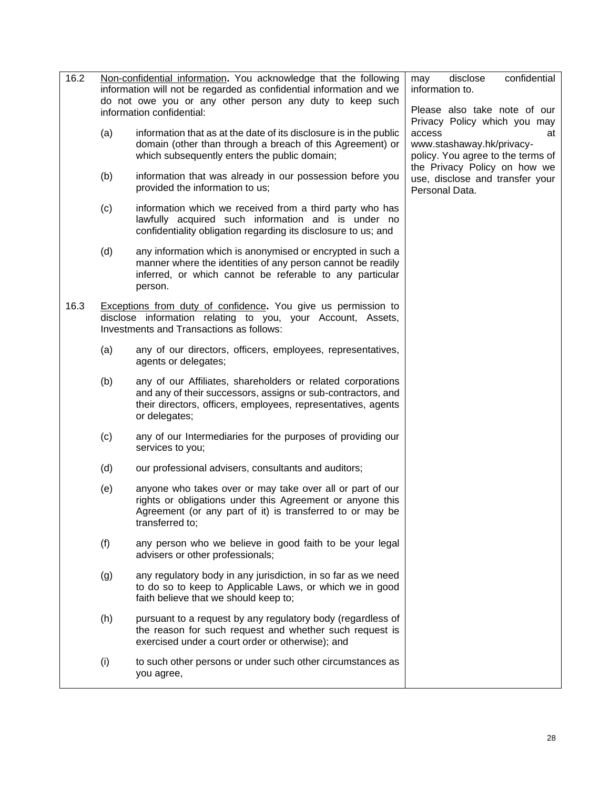| 16.2 |     | Non-confidential information. You acknowledge that the following<br>information will not be regarded as confidential information and we<br>do not owe you or any other person any duty to keep such<br>information confidential: | confidential<br>disclose<br>may<br>information to.<br>Please also take note of our                                                             |
|------|-----|----------------------------------------------------------------------------------------------------------------------------------------------------------------------------------------------------------------------------------|------------------------------------------------------------------------------------------------------------------------------------------------|
|      | (a) | information that as at the date of its disclosure is in the public<br>domain (other than through a breach of this Agreement) or<br>which subsequently enters the public domain;                                                  | Privacy Policy which you may<br>access<br>at<br>www.stashaway.hk/privacy-<br>policy. You agree to the terms of<br>the Privacy Policy on how we |
|      | (b) | information that was already in our possession before you<br>provided the information to us;                                                                                                                                     | use, disclose and transfer your<br>Personal Data.                                                                                              |
|      | (c) | information which we received from a third party who has<br>lawfully acquired such information and is under no<br>confidentiality obligation regarding its disclosure to us; and                                                 |                                                                                                                                                |
|      | (d) | any information which is anonymised or encrypted in such a<br>manner where the identities of any person cannot be readily<br>inferred, or which cannot be referable to any particular<br>person.                                 |                                                                                                                                                |
| 16.3 |     | Exceptions from duty of confidence. You give us permission to<br>disclose information relating to you, your Account, Assets,<br>Investments and Transactions as follows:                                                         |                                                                                                                                                |
|      | (a) | any of our directors, officers, employees, representatives,<br>agents or delegates;                                                                                                                                              |                                                                                                                                                |
|      | (b) | any of our Affiliates, shareholders or related corporations<br>and any of their successors, assigns or sub-contractors, and<br>their directors, officers, employees, representatives, agents<br>or delegates;                    |                                                                                                                                                |
|      | (c) | any of our Intermediaries for the purposes of providing our<br>services to you;                                                                                                                                                  |                                                                                                                                                |
|      | (d) | our professional advisers, consultants and auditors;                                                                                                                                                                             |                                                                                                                                                |
|      | (e) | anyone who takes over or may take over all or part of our<br>rights or obligations under this Agreement or anyone this<br>Agreement (or any part of it) is transferred to or may be<br>transferred to;                           |                                                                                                                                                |
|      | (f) | any person who we believe in good faith to be your legal<br>advisers or other professionals;                                                                                                                                     |                                                                                                                                                |
|      | (g) | any regulatory body in any jurisdiction, in so far as we need<br>to do so to keep to Applicable Laws, or which we in good<br>faith believe that we should keep to;                                                               |                                                                                                                                                |
|      | (h) | pursuant to a request by any regulatory body (regardless of<br>the reason for such request and whether such request is<br>exercised under a court order or otherwise); and                                                       |                                                                                                                                                |
|      | (i) | to such other persons or under such other circumstances as<br>you agree,                                                                                                                                                         |                                                                                                                                                |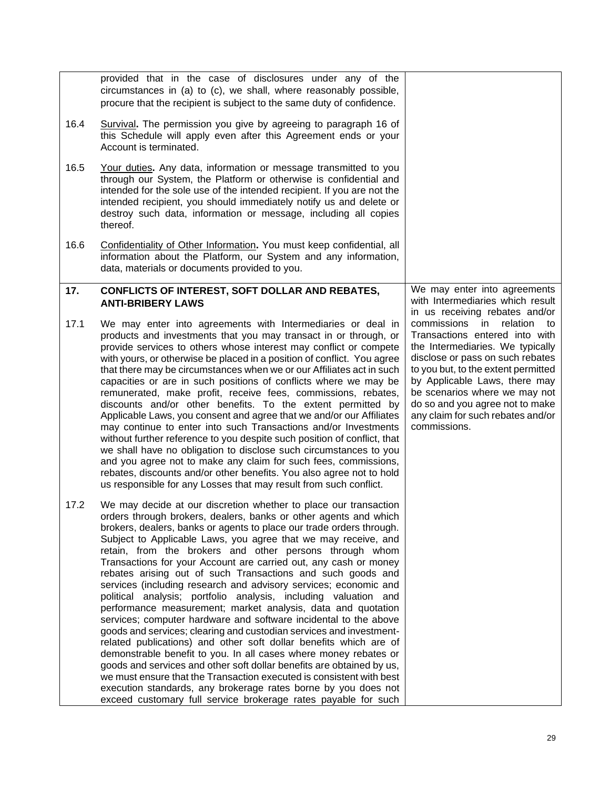<span id="page-35-0"></span>

|      | provided that in the case of disclosures under any of the<br>circumstances in (a) to (c), we shall, where reasonably possible,<br>procure that the recipient is subject to the same duty of confidence.                                                                                                                                                                                                                                                                                                                                                                                                                                                                                                                                                                                                                                                                                                                                                                                                                                                                                                                                                                                                                                                      |                                                                                                                                                                                                                                                                                                                                                 |
|------|--------------------------------------------------------------------------------------------------------------------------------------------------------------------------------------------------------------------------------------------------------------------------------------------------------------------------------------------------------------------------------------------------------------------------------------------------------------------------------------------------------------------------------------------------------------------------------------------------------------------------------------------------------------------------------------------------------------------------------------------------------------------------------------------------------------------------------------------------------------------------------------------------------------------------------------------------------------------------------------------------------------------------------------------------------------------------------------------------------------------------------------------------------------------------------------------------------------------------------------------------------------|-------------------------------------------------------------------------------------------------------------------------------------------------------------------------------------------------------------------------------------------------------------------------------------------------------------------------------------------------|
| 16.4 | Survival. The permission you give by agreeing to paragraph 16 of<br>this Schedule will apply even after this Agreement ends or your<br>Account is terminated.                                                                                                                                                                                                                                                                                                                                                                                                                                                                                                                                                                                                                                                                                                                                                                                                                                                                                                                                                                                                                                                                                                |                                                                                                                                                                                                                                                                                                                                                 |
| 16.5 | Your duties. Any data, information or message transmitted to you<br>through our System, the Platform or otherwise is confidential and<br>intended for the sole use of the intended recipient. If you are not the<br>intended recipient, you should immediately notify us and delete or<br>destroy such data, information or message, including all copies<br>thereof.                                                                                                                                                                                                                                                                                                                                                                                                                                                                                                                                                                                                                                                                                                                                                                                                                                                                                        |                                                                                                                                                                                                                                                                                                                                                 |
| 16.6 | Confidentiality of Other Information. You must keep confidential, all<br>information about the Platform, our System and any information,<br>data, materials or documents provided to you.                                                                                                                                                                                                                                                                                                                                                                                                                                                                                                                                                                                                                                                                                                                                                                                                                                                                                                                                                                                                                                                                    |                                                                                                                                                                                                                                                                                                                                                 |
| 17.  | CONFLICTS OF INTEREST, SOFT DOLLAR AND REBATES,<br><b>ANTI-BRIBERY LAWS</b>                                                                                                                                                                                                                                                                                                                                                                                                                                                                                                                                                                                                                                                                                                                                                                                                                                                                                                                                                                                                                                                                                                                                                                                  | We may enter into agreements<br>with Intermediaries which result<br>in us receiving rebates and/or                                                                                                                                                                                                                                              |
| 17.1 | We may enter into agreements with Intermediaries or deal in<br>products and investments that you may transact in or through, or<br>provide services to others whose interest may conflict or compete<br>with yours, or otherwise be placed in a position of conflict. You agree<br>that there may be circumstances when we or our Affiliates act in such<br>capacities or are in such positions of conflicts where we may be<br>remunerated, make profit, receive fees, commissions, rebates,<br>discounts and/or other benefits. To the extent permitted by<br>Applicable Laws, you consent and agree that we and/or our Affiliates<br>may continue to enter into such Transactions and/or Investments<br>without further reference to you despite such position of conflict, that<br>we shall have no obligation to disclose such circumstances to you<br>and you agree not to make any claim for such fees, commissions,<br>rebates, discounts and/or other benefits. You also agree not to hold<br>us responsible for any Losses that may result from such conflict.                                                                                                                                                                                     | commissions<br>relation<br>in.<br>to<br>Transactions entered into with<br>the Intermediaries. We typically<br>disclose or pass on such rebates<br>to you but, to the extent permitted<br>by Applicable Laws, there may<br>be scenarios where we may not<br>do so and you agree not to make<br>any claim for such rebates and/or<br>commissions. |
| 17.2 | We may decide at our discretion whether to place our transaction<br>orders through brokers, dealers, banks or other agents and which<br>brokers, dealers, banks or agents to place our trade orders through.<br>Subject to Applicable Laws, you agree that we may receive, and<br>retain, from the brokers and other persons through whom<br>Transactions for your Account are carried out, any cash or money<br>rebates arising out of such Transactions and such goods and<br>services (including research and advisory services; economic and<br>political analysis; portfolio analysis, including valuation and<br>performance measurement; market analysis, data and quotation<br>services; computer hardware and software incidental to the above<br>goods and services; clearing and custodian services and investment-<br>related publications) and other soft dollar benefits which are of<br>demonstrable benefit to you. In all cases where money rebates or<br>goods and services and other soft dollar benefits are obtained by us,<br>we must ensure that the Transaction executed is consistent with best<br>execution standards, any brokerage rates borne by you does not<br>exceed customary full service brokerage rates payable for such |                                                                                                                                                                                                                                                                                                                                                 |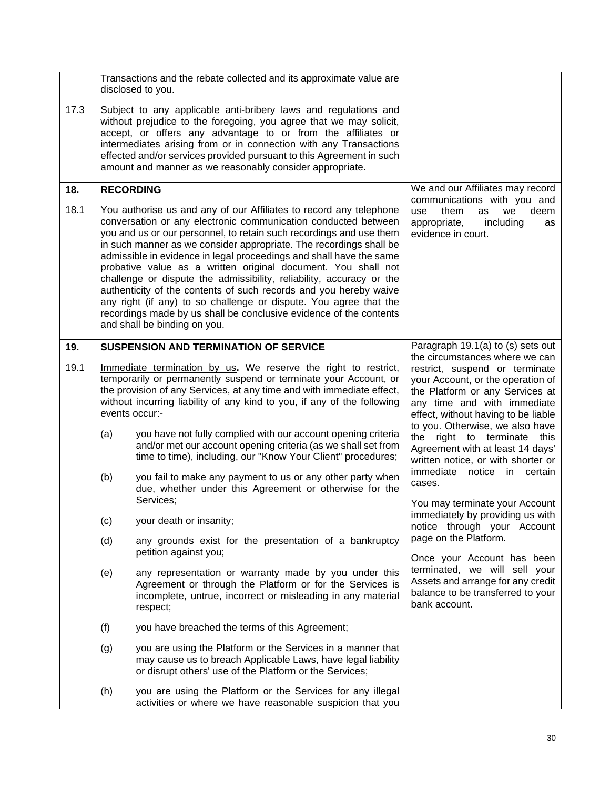<span id="page-36-1"></span><span id="page-36-0"></span>

|      |                  | Transactions and the rebate collected and its approximate value are<br>disclosed to you.                                                                                                                                                                                                                                                                                                                                                                                                                                                                                                                                                                                                                                                          |                                                                                                                                                                                                                |
|------|------------------|---------------------------------------------------------------------------------------------------------------------------------------------------------------------------------------------------------------------------------------------------------------------------------------------------------------------------------------------------------------------------------------------------------------------------------------------------------------------------------------------------------------------------------------------------------------------------------------------------------------------------------------------------------------------------------------------------------------------------------------------------|----------------------------------------------------------------------------------------------------------------------------------------------------------------------------------------------------------------|
| 17.3 |                  | Subject to any applicable anti-bribery laws and regulations and<br>without prejudice to the foregoing, you agree that we may solicit,<br>accept, or offers any advantage to or from the affiliates or<br>intermediates arising from or in connection with any Transactions<br>effected and/or services provided pursuant to this Agreement in such<br>amount and manner as we reasonably consider appropriate.                                                                                                                                                                                                                                                                                                                                    |                                                                                                                                                                                                                |
| 18.  | <b>RECORDING</b> |                                                                                                                                                                                                                                                                                                                                                                                                                                                                                                                                                                                                                                                                                                                                                   | We and our Affiliates may record                                                                                                                                                                               |
| 18.1 |                  | You authorise us and any of our Affiliates to record any telephone<br>conversation or any electronic communication conducted between<br>you and us or our personnel, to retain such recordings and use them<br>in such manner as we consider appropriate. The recordings shall be<br>admissible in evidence in legal proceedings and shall have the same<br>probative value as a written original document. You shall not<br>challenge or dispute the admissibility, reliability, accuracy or the<br>authenticity of the contents of such records and you hereby waive<br>any right (if any) to so challenge or dispute. You agree that the<br>recordings made by us shall be conclusive evidence of the contents<br>and shall be binding on you. | communications with you and<br>them<br>deem<br>use<br>we<br>as<br>appropriate,<br>including<br>as<br>evidence in court.                                                                                        |
| 19.  |                  | <b>SUSPENSION AND TERMINATION OF SERVICE</b>                                                                                                                                                                                                                                                                                                                                                                                                                                                                                                                                                                                                                                                                                                      | Paragraph 19.1(a) to (s) sets out                                                                                                                                                                              |
| 19.1 |                  | Immediate termination by us. We reserve the right to restrict,<br>temporarily or permanently suspend or terminate your Account, or<br>the provision of any Services, at any time and with immediate effect,<br>without incurring liability of any kind to you, if any of the following<br>events occur:-                                                                                                                                                                                                                                                                                                                                                                                                                                          | the circumstances where we can<br>restrict, suspend or terminate<br>your Account, or the operation of<br>the Platform or any Services at<br>any time and with immediate<br>effect, without having to be liable |
|      | (a)              | you have not fully complied with our account opening criteria<br>and/or met our account opening criteria (as we shall set from<br>time to time), including, our "Know Your Client" procedures;                                                                                                                                                                                                                                                                                                                                                                                                                                                                                                                                                    | to you. Otherwise, we also have<br>the right to terminate<br>this<br>Agreement with at least 14 days'<br>written notice, or with shorter or                                                                    |
|      | (b)              | you fail to make any payment to us or any other party when<br>due, whether under this Agreement or otherwise for the                                                                                                                                                                                                                                                                                                                                                                                                                                                                                                                                                                                                                              | immediate<br>notice<br>in certain<br>cases.                                                                                                                                                                    |
|      | (c)              | Services;<br>your death or insanity;                                                                                                                                                                                                                                                                                                                                                                                                                                                                                                                                                                                                                                                                                                              | You may terminate your Account<br>immediately by providing us with                                                                                                                                             |
|      | (d)              | any grounds exist for the presentation of a bankruptcy<br>petition against you;                                                                                                                                                                                                                                                                                                                                                                                                                                                                                                                                                                                                                                                                   | notice through your Account<br>page on the Platform.                                                                                                                                                           |
|      | (e)              | any representation or warranty made by you under this<br>Agreement or through the Platform or for the Services is<br>incomplete, untrue, incorrect or misleading in any material<br>respect;                                                                                                                                                                                                                                                                                                                                                                                                                                                                                                                                                      | Once your Account has been<br>terminated, we will sell your<br>Assets and arrange for any credit<br>balance to be transferred to your<br>bank account.                                                         |
|      | (f)              | you have breached the terms of this Agreement;                                                                                                                                                                                                                                                                                                                                                                                                                                                                                                                                                                                                                                                                                                    |                                                                                                                                                                                                                |
|      | (g)              | you are using the Platform or the Services in a manner that<br>may cause us to breach Applicable Laws, have legal liability<br>or disrupt others' use of the Platform or the Services;                                                                                                                                                                                                                                                                                                                                                                                                                                                                                                                                                            |                                                                                                                                                                                                                |
|      | (h)              | you are using the Platform or the Services for any illegal<br>activities or where we have reasonable suspicion that you                                                                                                                                                                                                                                                                                                                                                                                                                                                                                                                                                                                                                           |                                                                                                                                                                                                                |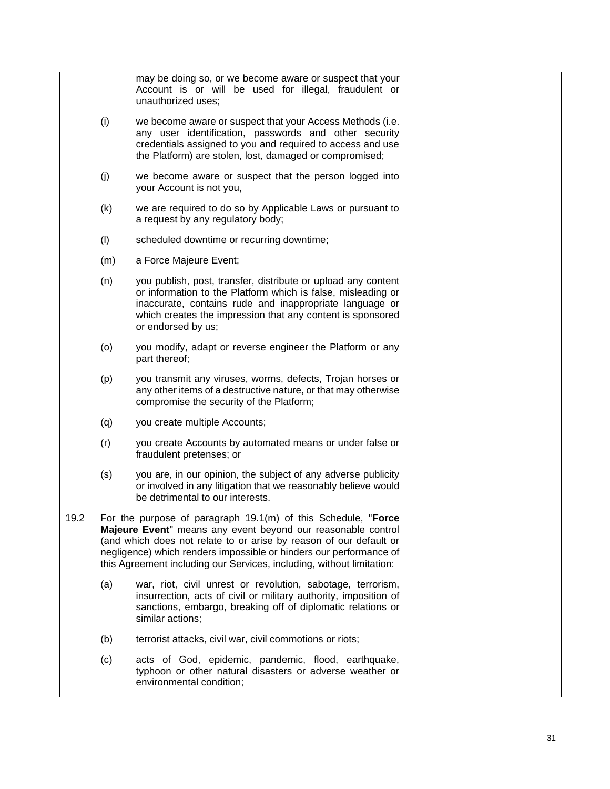|      |     | may be doing so, or we become aware or suspect that your<br>Account is or will be used for illegal, fraudulent or<br>unauthorized uses;                                                                                                                                                                                                            |  |
|------|-----|----------------------------------------------------------------------------------------------------------------------------------------------------------------------------------------------------------------------------------------------------------------------------------------------------------------------------------------------------|--|
|      | (i) | we become aware or suspect that your Access Methods (i.e.<br>any user identification, passwords and other security<br>credentials assigned to you and required to access and use<br>the Platform) are stolen, lost, damaged or compromised;                                                                                                        |  |
|      | (j) | we become aware or suspect that the person logged into<br>your Account is not you,                                                                                                                                                                                                                                                                 |  |
|      | (k) | we are required to do so by Applicable Laws or pursuant to<br>a request by any regulatory body;                                                                                                                                                                                                                                                    |  |
|      | (1) | scheduled downtime or recurring downtime;                                                                                                                                                                                                                                                                                                          |  |
|      | (m) | a Force Majeure Event;                                                                                                                                                                                                                                                                                                                             |  |
|      | (n) | you publish, post, transfer, distribute or upload any content<br>or information to the Platform which is false, misleading or<br>inaccurate, contains rude and inappropriate language or<br>which creates the impression that any content is sponsored<br>or endorsed by us;                                                                       |  |
|      | (o) | you modify, adapt or reverse engineer the Platform or any<br>part thereof;                                                                                                                                                                                                                                                                         |  |
|      | (p) | you transmit any viruses, worms, defects, Trojan horses or<br>any other items of a destructive nature, or that may otherwise<br>compromise the security of the Platform;                                                                                                                                                                           |  |
|      | (q) | you create multiple Accounts;                                                                                                                                                                                                                                                                                                                      |  |
|      | (r) | you create Accounts by automated means or under false or<br>fraudulent pretenses; or                                                                                                                                                                                                                                                               |  |
|      | (s) | you are, in our opinion, the subject of any adverse publicity<br>or involved in any litigation that we reasonably believe would<br>be detrimental to our interests.                                                                                                                                                                                |  |
| 19.2 |     | For the purpose of paragraph 19.1(m) of this Schedule, "Force<br>Majeure Event" means any event beyond our reasonable control<br>(and which does not relate to or arise by reason of our default or<br>negligence) which renders impossible or hinders our performance of<br>this Agreement including our Services, including, without limitation: |  |
|      | (a) | war, riot, civil unrest or revolution, sabotage, terrorism,<br>insurrection, acts of civil or military authority, imposition of<br>sanctions, embargo, breaking off of diplomatic relations or<br>similar actions;                                                                                                                                 |  |
|      | (b) | terrorist attacks, civil war, civil commotions or riots;                                                                                                                                                                                                                                                                                           |  |
|      | (c) | acts of God, epidemic, pandemic, flood, earthquake,<br>typhoon or other natural disasters or adverse weather or<br>environmental condition;                                                                                                                                                                                                        |  |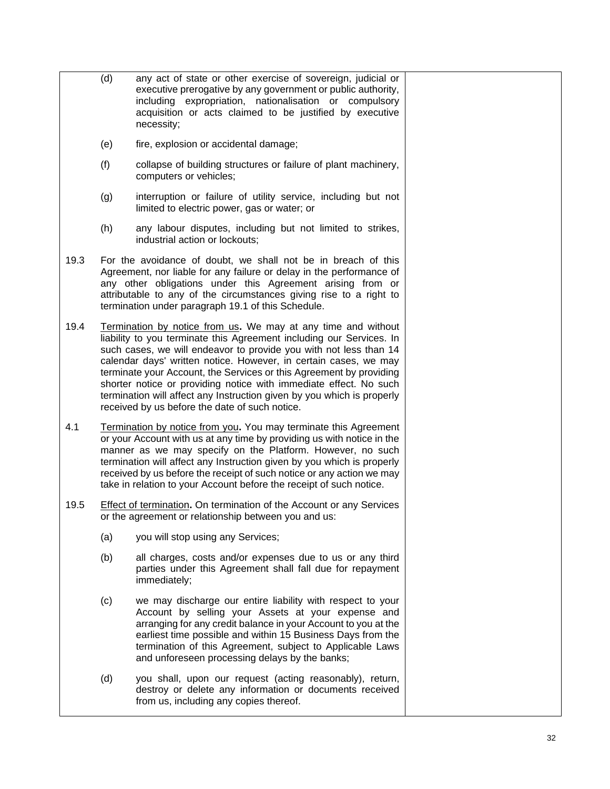- (d) any act of state or other exercise of sovereign, judicial or executive prerogative by any government or public authority, including expropriation, nationalisation or compulsory acquisition or acts claimed to be justified by executive necessity;
	- (e) fire, explosion or accidental damage;
	- (f) collapse of building structures or failure of plant machinery, computers or vehicles;
	- (g) interruption or failure of utility service, including but not limited to electric power, gas or water; or
	- (h) any labour disputes, including but not limited to strikes, industrial action or lockouts;
- 19.3 For the avoidance of doubt, we shall not be in breach of this Agreement, nor liable for any failure or delay in the performance of any other obligations under this Agreement arising from or attributable to any of the circumstances giving rise to a right to termination under paragraph 19.1 of this Schedule.
- 19.4 Termination by notice from us**.** We may at any time and without liability to you terminate this Agreement including our Services. In such cases, we will endeavor to provide you with not less than 14 calendar days' written notice. However, in certain cases, we may terminate your Account, the Services or this Agreement by providing shorter notice or providing notice with immediate effect. No such termination will affect any Instruction given by you which is properly received by us before the date of such notice.
- 4.1 Termination by notice from you**.** You may terminate this Agreement or your Account with us at any time by providing us with notice in the manner as we may specify on the Platform. However, no such termination will affect any Instruction given by you which is properly received by us before the receipt of such notice or any action we may take in relation to your Account before the receipt of such notice.
- 19.5 Effect of termination**.** On termination of the Account or any Services or the agreement or relationship between you and us:
	- (a) you will stop using any Services;
	- (b) all charges, costs and/or expenses due to us or any third parties under this Agreement shall fall due for repayment immediately;
	- (c) we may discharge our entire liability with respect to your Account by selling your Assets at your expense and arranging for any credit balance in your Account to you at the earliest time possible and within 15 Business Days from the termination of this Agreement, subject to Applicable Laws and unforeseen processing delays by the banks;
	- (d) you shall, upon our request (acting reasonably), return, destroy or delete any information or documents received from us, including any copies thereof.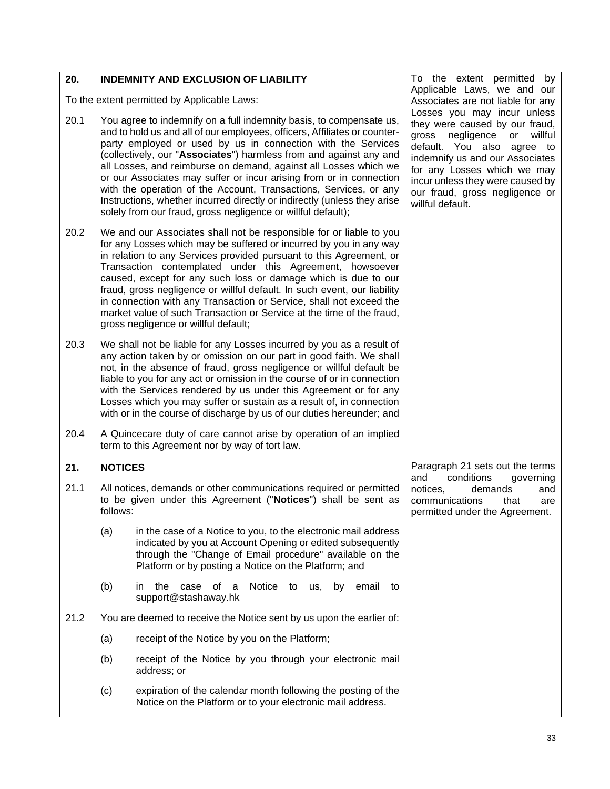<span id="page-39-1"></span><span id="page-39-0"></span>

| 20.  |                                             | <b>INDEMNITY AND EXCLUSION OF LIABILITY</b>                                                                                                                                                                                                                                                                                                                                                                                                                                                                                                                                                                                                        | To the extent permitted by                                                                                                                                                                                                                                                                      |
|------|---------------------------------------------|----------------------------------------------------------------------------------------------------------------------------------------------------------------------------------------------------------------------------------------------------------------------------------------------------------------------------------------------------------------------------------------------------------------------------------------------------------------------------------------------------------------------------------------------------------------------------------------------------------------------------------------------------|-------------------------------------------------------------------------------------------------------------------------------------------------------------------------------------------------------------------------------------------------------------------------------------------------|
|      | To the extent permitted by Applicable Laws: |                                                                                                                                                                                                                                                                                                                                                                                                                                                                                                                                                                                                                                                    | Applicable Laws, we and our<br>Associates are not liable for any                                                                                                                                                                                                                                |
| 20.1 |                                             | You agree to indemnify on a full indemnity basis, to compensate us,<br>and to hold us and all of our employees, officers, Affiliates or counter-<br>party employed or used by us in connection with the Services<br>(collectively, our "Associates") harmless from and against any and<br>all Losses, and reimburse on demand, against all Losses which we<br>or our Associates may suffer or incur arising from or in connection<br>with the operation of the Account, Transactions, Services, or any<br>Instructions, whether incurred directly or indirectly (unless they arise<br>solely from our fraud, gross negligence or willful default); | Losses you may incur unless<br>they were caused by our fraud,<br>gross<br>negligence<br>or<br>willful<br>default. You also agree to<br>indemnify us and our Associates<br>for any Losses which we may<br>incur unless they were caused by<br>our fraud, gross negligence or<br>willful default. |
| 20.2 |                                             | We and our Associates shall not be responsible for or liable to you<br>for any Losses which may be suffered or incurred by you in any way<br>in relation to any Services provided pursuant to this Agreement, or<br>Transaction contemplated under this Agreement, howsoever<br>caused, except for any such loss or damage which is due to our<br>fraud, gross negligence or willful default. In such event, our liability<br>in connection with any Transaction or Service, shall not exceed the<br>market value of such Transaction or Service at the time of the fraud,<br>gross negligence or willful default;                                 |                                                                                                                                                                                                                                                                                                 |
| 20.3 |                                             | We shall not be liable for any Losses incurred by you as a result of<br>any action taken by or omission on our part in good faith. We shall<br>not, in the absence of fraud, gross negligence or willful default be<br>liable to you for any act or omission in the course of or in connection<br>with the Services rendered by us under this Agreement or for any<br>Losses which you may suffer or sustain as a result of, in connection<br>with or in the course of discharge by us of our duties hereunder; and                                                                                                                                |                                                                                                                                                                                                                                                                                                 |
| 20.4 |                                             | A Quincecare duty of care cannot arise by operation of an implied<br>term to this Agreement nor by way of tort law.                                                                                                                                                                                                                                                                                                                                                                                                                                                                                                                                |                                                                                                                                                                                                                                                                                                 |
| 21.  | <b>NOTICES</b>                              |                                                                                                                                                                                                                                                                                                                                                                                                                                                                                                                                                                                                                                                    | Paragraph 21 sets out the terms                                                                                                                                                                                                                                                                 |
| 21.1 | follows:                                    | All notices, demands or other communications required or permitted<br>to be given under this Agreement ("Notices") shall be sent as                                                                                                                                                                                                                                                                                                                                                                                                                                                                                                                | conditions<br>and<br>governing<br>notices,<br>demands<br>and<br>communications<br>that<br>are<br>permitted under the Agreement.                                                                                                                                                                 |
|      | (a)                                         | in the case of a Notice to you, to the electronic mail address<br>indicated by you at Account Opening or edited subsequently<br>through the "Change of Email procedure" available on the<br>Platform or by posting a Notice on the Platform; and                                                                                                                                                                                                                                                                                                                                                                                                   |                                                                                                                                                                                                                                                                                                 |
|      | (b)                                         | Notice to<br>of a<br>the<br>case<br>us,<br>by<br>email<br>in.<br>to<br>support@stashaway.hk                                                                                                                                                                                                                                                                                                                                                                                                                                                                                                                                                        |                                                                                                                                                                                                                                                                                                 |
| 21.2 |                                             | You are deemed to receive the Notice sent by us upon the earlier of:                                                                                                                                                                                                                                                                                                                                                                                                                                                                                                                                                                               |                                                                                                                                                                                                                                                                                                 |
|      | (a)                                         | receipt of the Notice by you on the Platform;                                                                                                                                                                                                                                                                                                                                                                                                                                                                                                                                                                                                      |                                                                                                                                                                                                                                                                                                 |
|      | (b)                                         | receipt of the Notice by you through your electronic mail<br>address; or                                                                                                                                                                                                                                                                                                                                                                                                                                                                                                                                                                           |                                                                                                                                                                                                                                                                                                 |
|      | (c)                                         | expiration of the calendar month following the posting of the<br>Notice on the Platform or to your electronic mail address.                                                                                                                                                                                                                                                                                                                                                                                                                                                                                                                        |                                                                                                                                                                                                                                                                                                 |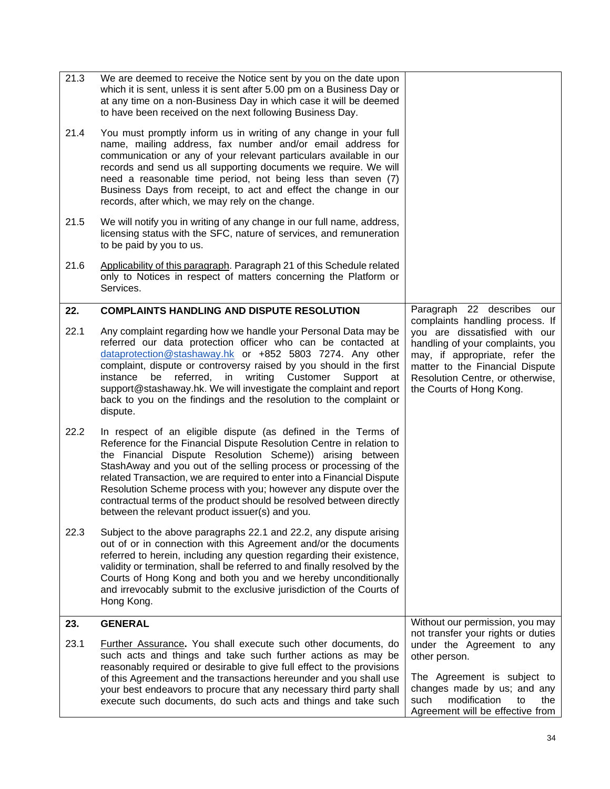<span id="page-40-1"></span><span id="page-40-0"></span>

| 21.3 | We are deemed to receive the Notice sent by you on the date upon<br>which it is sent, unless it is sent after 5.00 pm on a Business Day or<br>at any time on a non-Business Day in which case it will be deemed<br>to have been received on the next following Business Day.                                                                                                                                                                                                                                                                     |                                                                                                                                                                                                                                           |
|------|--------------------------------------------------------------------------------------------------------------------------------------------------------------------------------------------------------------------------------------------------------------------------------------------------------------------------------------------------------------------------------------------------------------------------------------------------------------------------------------------------------------------------------------------------|-------------------------------------------------------------------------------------------------------------------------------------------------------------------------------------------------------------------------------------------|
| 21.4 | You must promptly inform us in writing of any change in your full<br>name, mailing address, fax number and/or email address for<br>communication or any of your relevant particulars available in our<br>records and send us all supporting documents we require. We will<br>need a reasonable time period, not being less than seven (7)<br>Business Days from receipt, to act and effect the change in our<br>records, after which, we may rely on the change.                                                                                 |                                                                                                                                                                                                                                           |
| 21.5 | We will notify you in writing of any change in our full name, address,<br>licensing status with the SFC, nature of services, and remuneration<br>to be paid by you to us.                                                                                                                                                                                                                                                                                                                                                                        |                                                                                                                                                                                                                                           |
| 21.6 | Applicability of this paragraph. Paragraph 21 of this Schedule related<br>only to Notices in respect of matters concerning the Platform or<br>Services.                                                                                                                                                                                                                                                                                                                                                                                          |                                                                                                                                                                                                                                           |
| 22.  | <b>COMPLAINTS HANDLING AND DISPUTE RESOLUTION</b>                                                                                                                                                                                                                                                                                                                                                                                                                                                                                                | Paragraph 22 describes<br>our                                                                                                                                                                                                             |
| 22.1 | Any complaint regarding how we handle your Personal Data may be<br>referred our data protection officer who can be contacted at<br>dataprotection@stashaway.hk or +852 5803 7274. Any other<br>complaint, dispute or controversy raised by you should in the first<br>referred,<br>writing Customer<br>instance<br>be<br>in<br>Support<br>at<br>support@stashaway.hk. We will investigate the complaint and report<br>back to you on the findings and the resolution to the complaint or<br>dispute.                                             | complaints handling process. If<br>you are dissatisfied with our<br>handling of your complaints, you<br>may, if appropriate, refer the<br>matter to the Financial Dispute<br>Resolution Centre, or otherwise,<br>the Courts of Hong Kong. |
| 22.2 | In respect of an eligible dispute (as defined in the Terms of<br>Reference for the Financial Dispute Resolution Centre in relation to<br>the Financial Dispute Resolution Scheme)) arising between<br>StashAway and you out of the selling process or processing of the<br>related Transaction, we are required to enter into a Financial Dispute<br>Resolution Scheme process with you; however any dispute over the<br>contractual terms of the product should be resolved between directly<br>between the relevant product issuer(s) and you. |                                                                                                                                                                                                                                           |
| 22.3 | Subject to the above paragraphs 22.1 and 22.2, any dispute arising<br>out of or in connection with this Agreement and/or the documents<br>referred to herein, including any question regarding their existence,<br>validity or termination, shall be referred to and finally resolved by the<br>Courts of Hong Kong and both you and we hereby unconditionally<br>and irrevocably submit to the exclusive jurisdiction of the Courts of<br>Hong Kong.                                                                                            |                                                                                                                                                                                                                                           |
| 23.  | <b>GENERAL</b>                                                                                                                                                                                                                                                                                                                                                                                                                                                                                                                                   | Without our permission, you may<br>not transfer your rights or duties                                                                                                                                                                     |
| 23.1 | Further Assurance. You shall execute such other documents, do<br>such acts and things and take such further actions as may be<br>reasonably required or desirable to give full effect to the provisions<br>of this Agreement and the transactions hereunder and you shall use<br>your best endeavors to procure that any necessary third party shall<br>execute such documents, do such acts and things and take such                                                                                                                            | under the Agreement to any<br>other person.<br>The Agreement is subject to<br>changes made by us; and any<br>modification<br>such<br>the<br>to                                                                                            |
|      |                                                                                                                                                                                                                                                                                                                                                                                                                                                                                                                                                  | Agreement will be effective from                                                                                                                                                                                                          |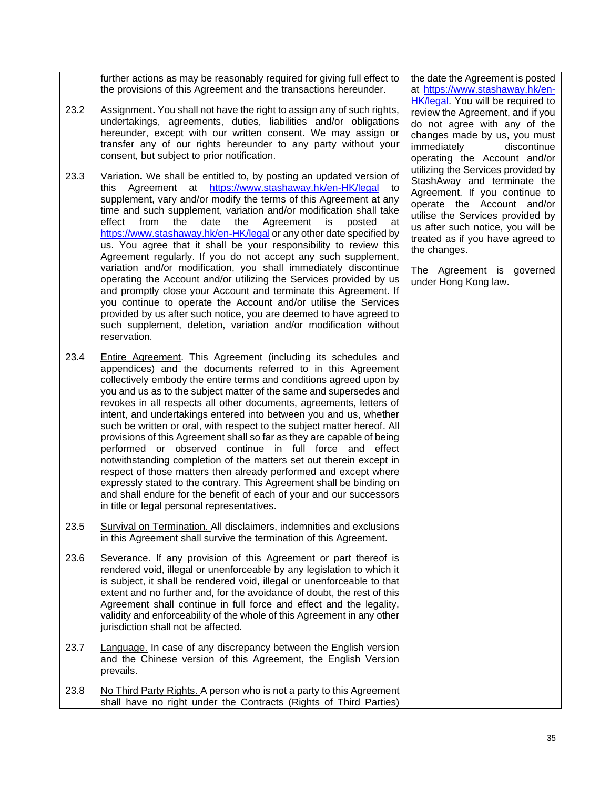further actions as may be reasonably required for giving full effect to the provisions of this Agreement and the transactions hereunder.

- 23.2 Assignment**.** You shall not have the right to assign any of such rights, undertakings, agreements, duties, liabilities and/or obligations hereunder, except with our written consent. We may assign or transfer any of our rights hereunder to any party without your consent, but subject to prior notification.
- 23.3 Variation**.** We shall be entitled to, by posting an updated version of this Agreement at <https://www.stashaway.hk/en-HK/legal> to supplement, vary and/or modify the terms of this Agreement at any time and such supplement, variation and/or modification shall take effect from the date the Agreement is posted at <https://www.stashaway.hk/en-HK/legal> or any other date specified by us. You agree that it shall be your responsibility to review this Agreement regularly. If you do not accept any such supplement, variation and/or modification, you shall immediately discontinue operating the Account and/or utilizing the Services provided by us and promptly close your Account and terminate this Agreement. If you continue to operate the Account and/or utilise the Services provided by us after such notice, you are deemed to have agreed to such supplement, deletion, variation and/or modification without reservation.
- 23.4 Entire Agreement. This Agreement (including its schedules and appendices) and the documents referred to in this Agreement collectively embody the entire terms and conditions agreed upon by you and us as to the subject matter of the same and supersedes and revokes in all respects all other documents, agreements, letters of intent, and undertakings entered into between you and us, whether such be written or oral, with respect to the subject matter hereof. All provisions of this Agreement shall so far as they are capable of being performed or observed continue in full force and effect notwithstanding completion of the matters set out therein except in respect of those matters then already performed and except where expressly stated to the contrary. This Agreement shall be binding on and shall endure for the benefit of each of your and our successors in title or legal personal representatives.
- 23.5 Survival on Termination. All disclaimers, indemnities and exclusions in this Agreement shall survive the termination of this Agreement.
- 23.6 Severance. If any provision of this Agreement or part thereof is rendered void, illegal or unenforceable by any legislation to which it is subject, it shall be rendered void, illegal or unenforceable to that extent and no further and, for the avoidance of doubt, the rest of this Agreement shall continue in full force and effect and the legality, validity and enforceability of the whole of this Agreement in any other jurisdiction shall not be affected.
- 23.7 Language. In case of any discrepancy between the English version and the Chinese version of this Agreement, the English Version prevails.
- 23.8 No Third Party Rights. A person who is not a party to this Agreement shall have no right under the Contracts (Rights of Third Parties)

the date the Agreement is posted at [https://www.stashaway.hk/en-](https://www.stashaway.hk/en-HK/legal)[HK/legal.](https://www.stashaway.hk/en-HK/legal) You will be required to review the Agreement, and if you do not agree with any of the changes made by us, you must immediately discontinue operating the Account and/or utilizing the Services provided by StashAway and terminate the Agreement. If you continue to operate the Account and/or utilise the Services provided by us after such notice, you will be treated as if you have agreed to the changes.

The Agreement is governed under Hong Kong law.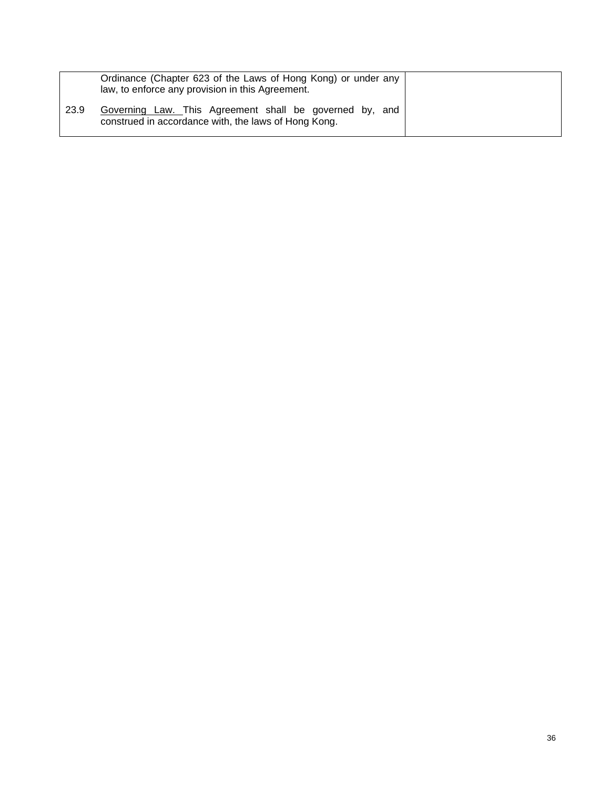|      | Ordinance (Chapter 623 of the Laws of Hong Kong) or under any<br>law, to enforce any provision in this Agreement. |  |
|------|-------------------------------------------------------------------------------------------------------------------|--|
| 23.9 | Governing Law. This Agreement shall be governed by, and<br>construed in accordance with, the laws of Hong Kong.   |  |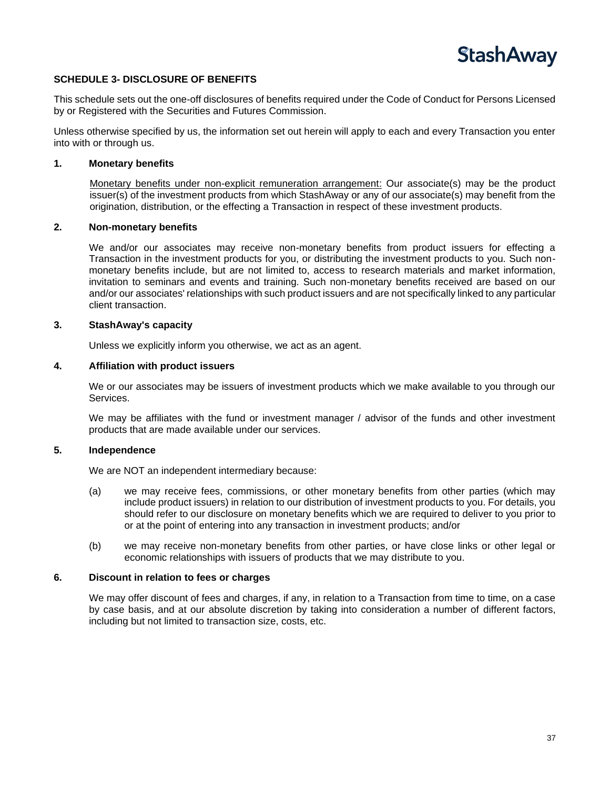

### <span id="page-43-0"></span>**SCHEDULE 3- DISCLOSURE OF BENEFITS**

This schedule sets out the one-off disclosures of benefits required under the Code of Conduct for Persons Licensed by or Registered with the Securities and Futures Commission.

Unless otherwise specified by us, the information set out herein will apply to each and every Transaction you enter into with or through us.

### **1. Monetary benefits**

Monetary benefits under non-explicit remuneration arrangement: Our associate(s) may be the product issuer(s) of the investment products from which StashAway or any of our associate(s) may benefit from the origination, distribution, or the effecting a Transaction in respect of these investment products.

### **2. Non-monetary benefits**

We and/or our associates may receive non-monetary benefits from product issuers for effecting a Transaction in the investment products for you, or distributing the investment products to you. Such nonmonetary benefits include, but are not limited to, access to research materials and market information, invitation to seminars and events and training. Such non-monetary benefits received are based on our and/or our associates' relationships with such product issuers and are not specifically linked to any particular client transaction.

### **3. StashAway's capacity**

Unless we explicitly inform you otherwise, we act as an agent.

### **4. Affiliation with product issuers**

We or our associates may be issuers of investment products which we make available to you through our Services.

We may be affiliates with the fund or investment manager / advisor of the funds and other investment products that are made available under our services.

### **5. Independence**

We are NOT an independent intermediary because:

- (a) we may receive fees, commissions, or other monetary benefits from other parties (which may include product issuers) in relation to our distribution of investment products to you. For details, you should refer to our disclosure on monetary benefits which we are required to deliver to you prior to or at the point of entering into any transaction in investment products; and/or
- (b) we may receive non-monetary benefits from other parties, or have close links or other legal or economic relationships with issuers of products that we may distribute to you.

### **6. Discount in relation to fees or charges**

We may offer discount of fees and charges, if any, in relation to a Transaction from time to time, on a case by case basis, and at our absolute discretion by taking into consideration a number of different factors, including but not limited to transaction size, costs, etc.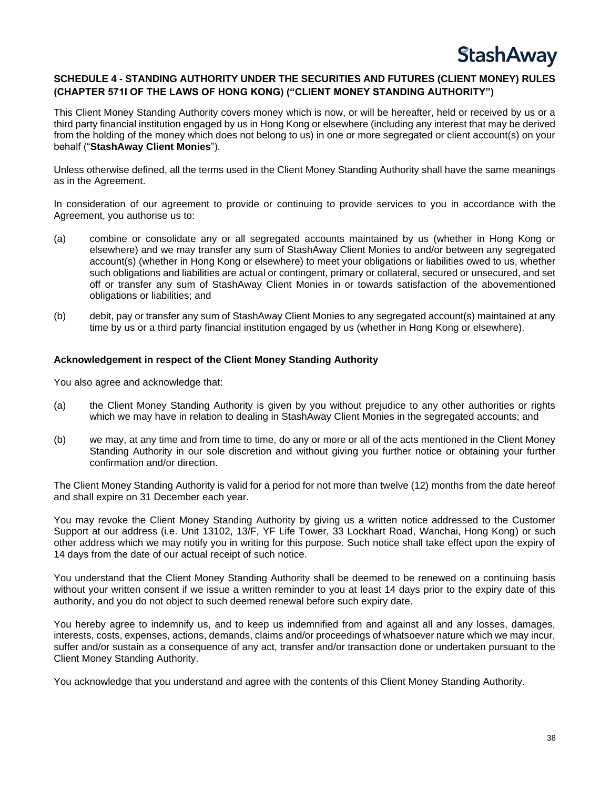

### <span id="page-44-0"></span>**SCHEDULE 4 - STANDING AUTHORITY UNDER THE SECURITIES AND FUTURES (CLIENT MONEY) RULES (CHAPTER 571I OF THE LAWS OF HONG KONG) ("CLIENT MONEY STANDING AUTHORITY")**

This Client Money Standing Authority covers money which is now, or will be hereafter, held or received by us or a third party financial institution engaged by us in Hong Kong or elsewhere (including any interest that may be derived from the holding of the money which does not belong to us) in one or more segregated or client account(s) on your behalf ("**StashAway Client Monies**").

Unless otherwise defined, all the terms used in the Client Money Standing Authority shall have the same meanings as in the Agreement.

In consideration of our agreement to provide or continuing to provide services to you in accordance with the Agreement, you authorise us to:

- (a) combine or consolidate any or all segregated accounts maintained by us (whether in Hong Kong or elsewhere) and we may transfer any sum of StashAway Client Monies to and/or between any segregated account(s) (whether in Hong Kong or elsewhere) to meet your obligations or liabilities owed to us, whether such obligations and liabilities are actual or contingent, primary or collateral, secured or unsecured, and set off or transfer any sum of StashAway Client Monies in or towards satisfaction of the abovementioned obligations or liabilities; and
- (b) debit, pay or transfer any sum of StashAway Client Monies to any segregated account(s) maintained at any time by us or a third party financial institution engaged by us (whether in Hong Kong or elsewhere).

### **Acknowledgement in respect of the Client Money Standing Authority**

You also agree and acknowledge that:

- (a) the Client Money Standing Authority is given by you without prejudice to any other authorities or rights which we may have in relation to dealing in StashAway Client Monies in the segregated accounts; and
- (b) we may, at any time and from time to time, do any or more or all of the acts mentioned in the Client Money Standing Authority in our sole discretion and without giving you further notice or obtaining your further confirmation and/or direction.

The Client Money Standing Authority is valid for a period for not more than twelve (12) months from the date hereof and shall expire on 31 December each year.

You may revoke the Client Money Standing Authority by giving us a written notice addressed to the Customer Support at our address (i.e. Unit 13102, 13/F, YF Life Tower, 33 Lockhart Road, Wanchai, Hong Kong) or such other address which we may notify you in writing for this purpose. Such notice shall take effect upon the expiry of 14 days from the date of our actual receipt of such notice.

You understand that the Client Money Standing Authority shall be deemed to be renewed on a continuing basis without your written consent if we issue a written reminder to you at least 14 days prior to the expiry date of this authority, and you do not object to such deemed renewal before such expiry date.

You hereby agree to indemnify us, and to keep us indemnified from and against all and any losses, damages, interests, costs, expenses, actions, demands, claims and/or proceedings of whatsoever nature which we may incur, suffer and/or sustain as a consequence of any act, transfer and/or transaction done or undertaken pursuant to the Client Money Standing Authority.

You acknowledge that you understand and agree with the contents of this Client Money Standing Authority.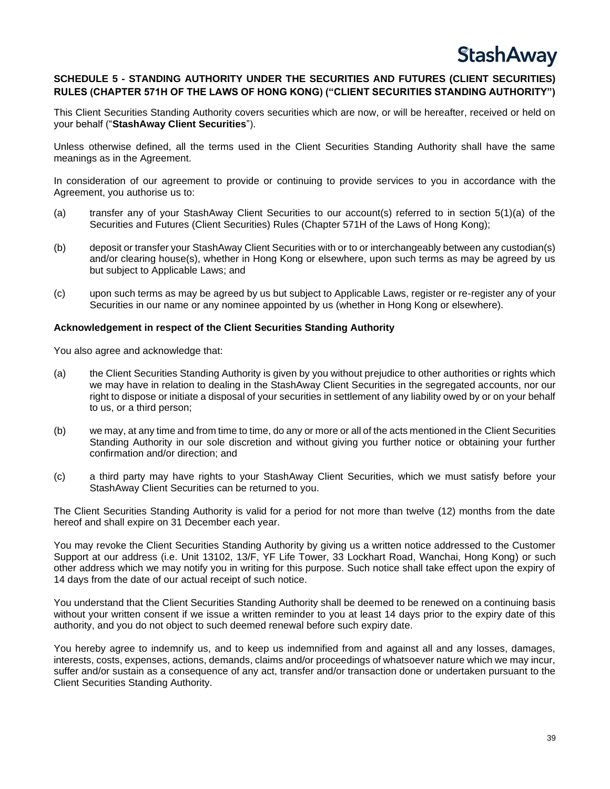### <span id="page-45-0"></span>**SCHEDULE 5 - STANDING AUTHORITY UNDER THE SECURITIES AND FUTURES (CLIENT SECURITIES) RULES (CHAPTER 571H OF THE LAWS OF HONG KONG) ("CLIENT SECURITIES STANDING AUTHORITY")**

This Client Securities Standing Authority covers securities which are now, or will be hereafter, received or held on your behalf ("**StashAway Client Securities**").

Unless otherwise defined, all the terms used in the Client Securities Standing Authority shall have the same meanings as in the Agreement.

In consideration of our agreement to provide or continuing to provide services to you in accordance with the Agreement, you authorise us to:

- (a) transfer any of your StashAway Client Securities to our account(s) referred to in section 5(1)(a) of the Securities and Futures (Client Securities) Rules (Chapter 571H of the Laws of Hong Kong);
- (b) deposit or transfer your StashAway Client Securities with or to or interchangeably between any custodian(s) and/or clearing house(s), whether in Hong Kong or elsewhere, upon such terms as may be agreed by us but subject to Applicable Laws; and
- (c) upon such terms as may be agreed by us but subject to Applicable Laws, register or re-register any of your Securities in our name or any nominee appointed by us (whether in Hong Kong or elsewhere).

### **Acknowledgement in respect of the Client Securities Standing Authority**

You also agree and acknowledge that:

- (a) the Client Securities Standing Authority is given by you without prejudice to other authorities or rights which we may have in relation to dealing in the StashAway Client Securities in the segregated accounts, nor our right to dispose or initiate a disposal of your securities in settlement of any liability owed by or on your behalf to us, or a third person;
- (b) we may, at any time and from time to time, do any or more or all of the acts mentioned in the Client Securities Standing Authority in our sole discretion and without giving you further notice or obtaining your further confirmation and/or direction; and
- (c) a third party may have rights to your StashAway Client Securities, which we must satisfy before your StashAway Client Securities can be returned to you.

The Client Securities Standing Authority is valid for a period for not more than twelve (12) months from the date hereof and shall expire on 31 December each year.

You may revoke the Client Securities Standing Authority by giving us a written notice addressed to the Customer Support at our address (i.e. Unit 13102, 13/F, YF Life Tower, 33 Lockhart Road, Wanchai, Hong Kong) or such other address which we may notify you in writing for this purpose. Such notice shall take effect upon the expiry of 14 days from the date of our actual receipt of such notice.

You understand that the Client Securities Standing Authority shall be deemed to be renewed on a continuing basis without your written consent if we issue a written reminder to you at least 14 days prior to the expiry date of this authority, and you do not object to such deemed renewal before such expiry date.

You hereby agree to indemnify us, and to keep us indemnified from and against all and any losses, damages, interests, costs, expenses, actions, demands, claims and/or proceedings of whatsoever nature which we may incur, suffer and/or sustain as a consequence of any act, transfer and/or transaction done or undertaken pursuant to the Client Securities Standing Authority.